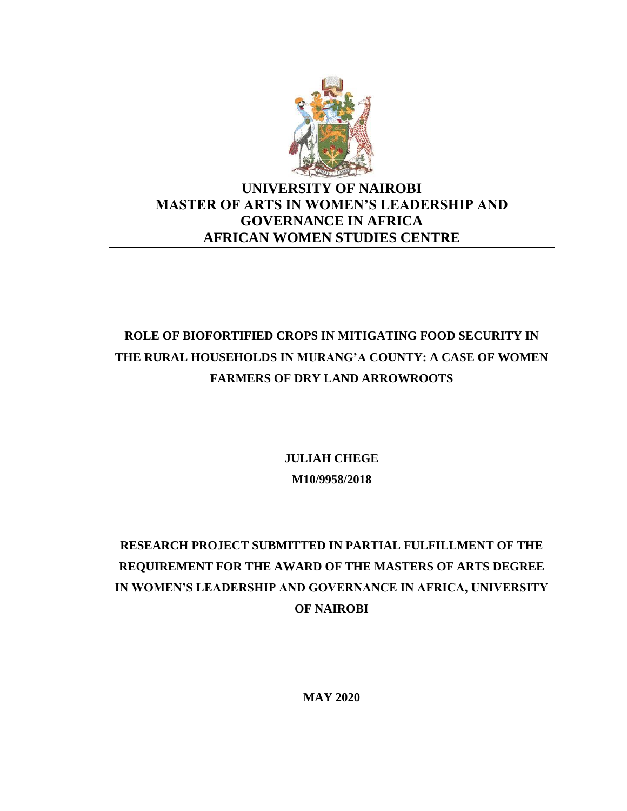

# **UNIVERSITY OF NAIROBI MASTER OF ARTS IN WOMEN'S LEADERSHIP AND GOVERNANCE IN AFRICA AFRICAN WOMEN STUDIES CENTRE**

# **ROLE OF BIOFORTIFIED CROPS IN MITIGATING FOOD SECURITY IN THE RURAL HOUSEHOLDS IN MURANG'A COUNTY: A CASE OF WOMEN FARMERS OF DRY LAND ARROWROOTS**

**JULIAH CHEGE M10/9958/2018**

# **RESEARCH PROJECT SUBMITTED IN PARTIAL FULFILLMENT OF THE REQUIREMENT FOR THE AWARD OF THE MASTERS OF ARTS DEGREE IN WOMEN'S LEADERSHIP AND GOVERNANCE IN AFRICA, UNIVERSITY OF NAIROBI**

**MAY 2020**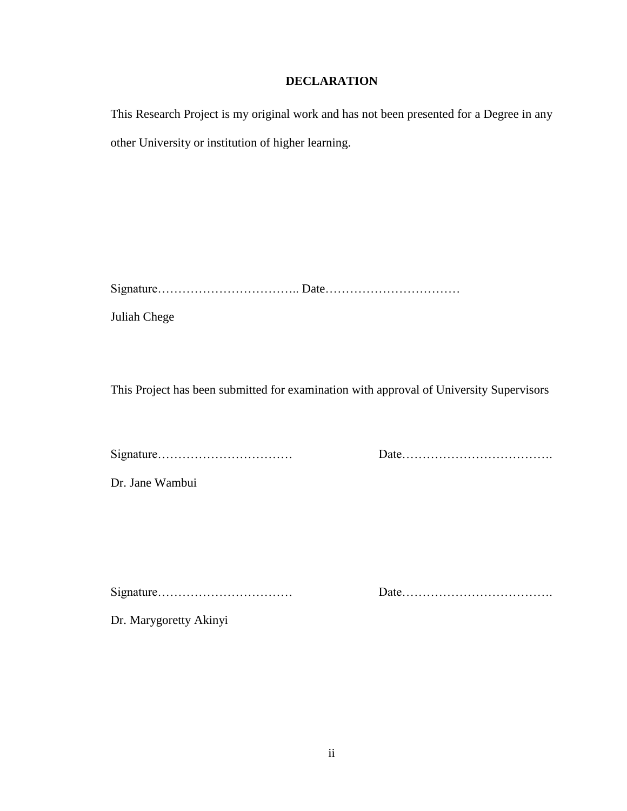# **DECLARATION**

<span id="page-1-0"></span>This Research Project is my original work and has not been presented for a Degree in any other University or institution of higher learning.

Signature…………………………….. Date……………………………

Juliah Chege

This Project has been submitted for examination with approval of University Supervisors

Signature…………………………… Date……………………………….

Dr. Jane Wambui

Signature…………………………… Date……………………………….

Dr. Marygoretty Akinyi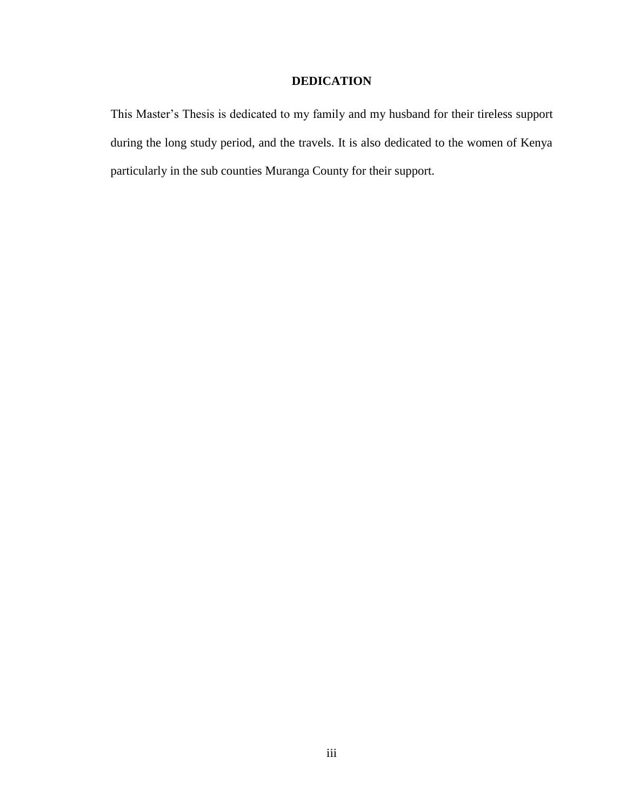# **DEDICATION**

<span id="page-2-0"></span>This Master's Thesis is dedicated to my family and my husband for their tireless support during the long study period, and the travels. It is also dedicated to the women of Kenya particularly in the sub counties Muranga County for their support.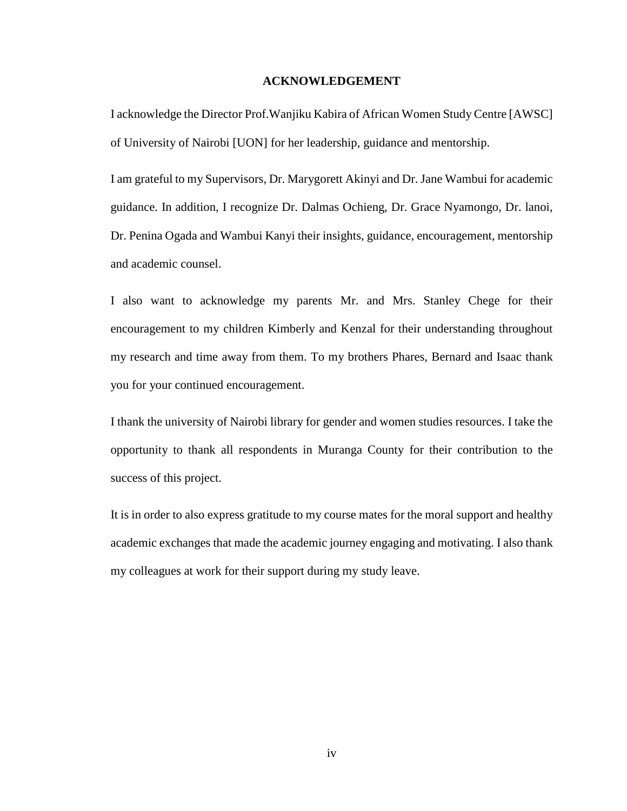### **ACKNOWLEDGEMENT**

<span id="page-3-0"></span>I acknowledge the Director Prof.Wanjiku Kabira of African Women Study Centre [AWSC] of University of Nairobi [UON] for her leadership, guidance and mentorship.

I am grateful to my Supervisors, Dr. Marygorett Akinyi and Dr. Jane Wambui for academic guidance. In addition, I recognize Dr. Dalmas Ochieng, Dr. Grace Nyamongo, Dr. lanoi, Dr. Penina Ogada and Wambui Kanyi their insights, guidance, encouragement, mentorship and academic counsel.

I also want to acknowledge my parents Mr. and Mrs. Stanley Chege for their encouragement to my children Kimberly and Kenzal for their understanding throughout my research and time away from them. To my brothers Phares, Bernard and Isaac thank you for your continued encouragement.

I thank the university of Nairobi library for gender and women studies resources. I take the opportunity to thank all respondents in Muranga County for their contribution to the success of this project.

It is in order to also express gratitude to my course mates for the moral support and healthy academic exchanges that made the academic journey engaging and motivating. I also thank my colleagues at work for their support during my study leave.

iv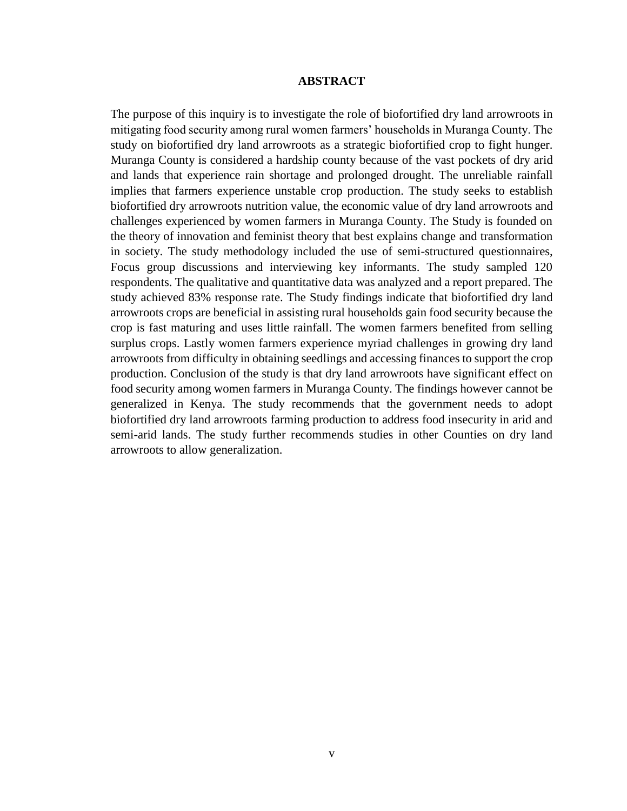#### **ABSTRACT**

<span id="page-4-0"></span>The purpose of this inquiry is to investigate the role of biofortified dry land arrowroots in mitigating food security among rural women farmers' households in Muranga County. The study on biofortified dry land arrowroots as a strategic biofortified crop to fight hunger. Muranga County is considered a hardship county because of the vast pockets of dry arid and lands that experience rain shortage and prolonged drought. The unreliable rainfall implies that farmers experience unstable crop production. The study seeks to establish biofortified dry arrowroots nutrition value, the economic value of dry land arrowroots and challenges experienced by women farmers in Muranga County. The Study is founded on the theory of innovation and feminist theory that best explains change and transformation in society. The study methodology included the use of semi-structured questionnaires, Focus group discussions and interviewing key informants. The study sampled 120 respondents. The qualitative and quantitative data was analyzed and a report prepared. The study achieved 83% response rate. The Study findings indicate that biofortified dry land arrowroots crops are beneficial in assisting rural households gain food security because the crop is fast maturing and uses little rainfall. The women farmers benefited from selling surplus crops. Lastly women farmers experience myriad challenges in growing dry land arrowroots from difficulty in obtaining seedlings and accessing finances to support the crop production. Conclusion of the study is that dry land arrowroots have significant effect on food security among women farmers in Muranga County. The findings however cannot be generalized in Kenya. The study recommends that the government needs to adopt biofortified dry land arrowroots farming production to address food insecurity in arid and semi-arid lands. The study further recommends studies in other Counties on dry land arrowroots to allow generalization.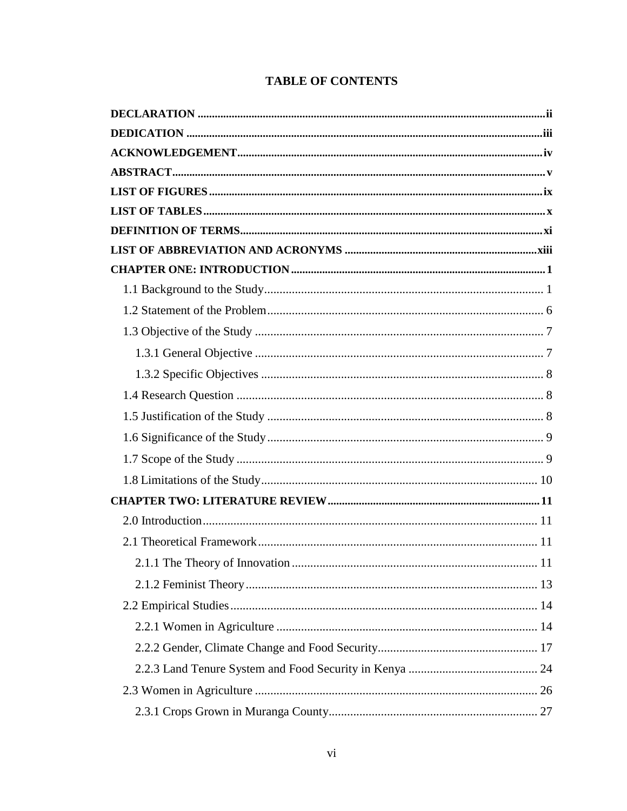|  | <b>TABLE OF CONTENTS</b> |
|--|--------------------------|
|--|--------------------------|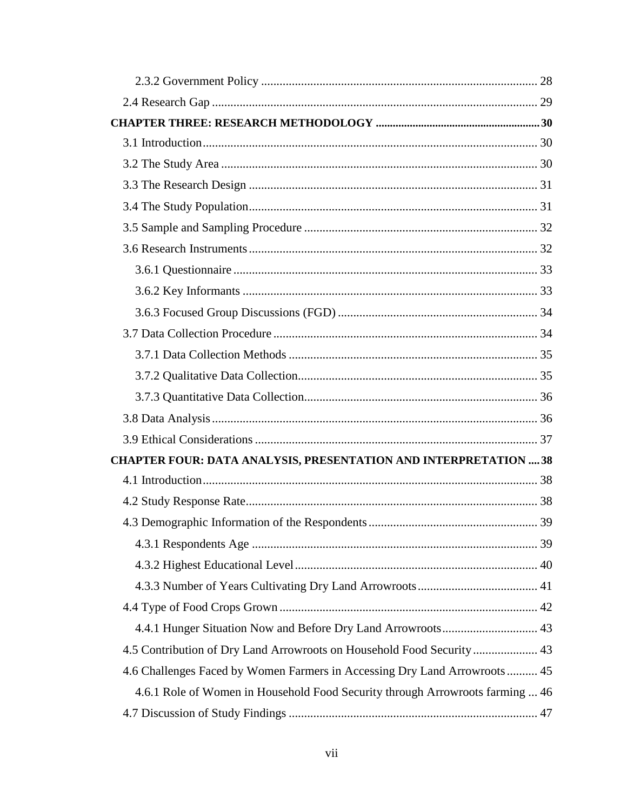| <b>CHAPTER FOUR: DATA ANALYSIS, PRESENTATION AND INTERPRETATION  38</b>       |  |
|-------------------------------------------------------------------------------|--|
|                                                                               |  |
|                                                                               |  |
|                                                                               |  |
|                                                                               |  |
|                                                                               |  |
|                                                                               |  |
|                                                                               |  |
|                                                                               |  |
| 4.5 Contribution of Dry Land Arrowroots on Household Food Security 43         |  |
| 4.6 Challenges Faced by Women Farmers in Accessing Dry Land Arrowroots 45     |  |
| 4.6.1 Role of Women in Household Food Security through Arrowroots farming  46 |  |
|                                                                               |  |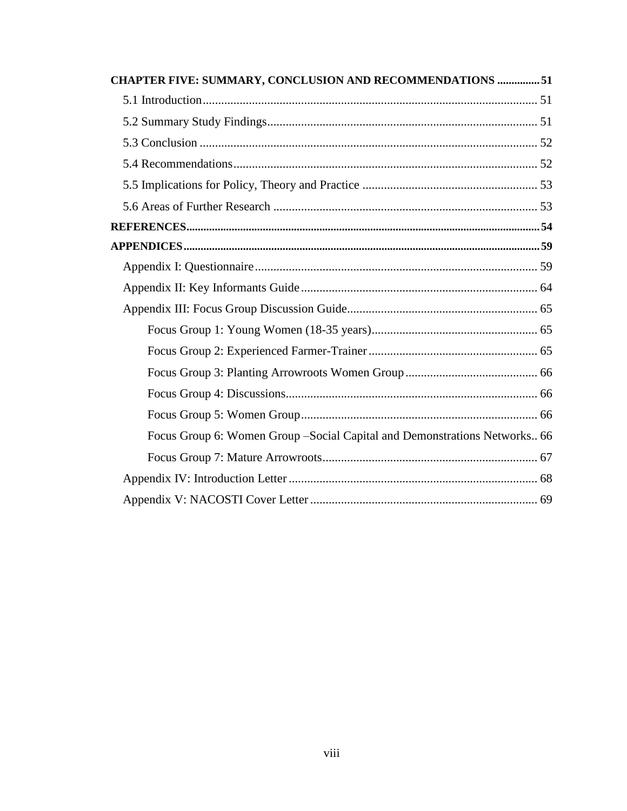| <b>CHAPTER FIVE: SUMMARY, CONCLUSION AND RECOMMENDATIONS 51</b>            |  |
|----------------------------------------------------------------------------|--|
|                                                                            |  |
|                                                                            |  |
|                                                                            |  |
|                                                                            |  |
|                                                                            |  |
|                                                                            |  |
|                                                                            |  |
|                                                                            |  |
|                                                                            |  |
|                                                                            |  |
|                                                                            |  |
|                                                                            |  |
|                                                                            |  |
|                                                                            |  |
|                                                                            |  |
|                                                                            |  |
| Focus Group 6: Women Group - Social Capital and Demonstrations Networks 66 |  |
|                                                                            |  |
|                                                                            |  |
|                                                                            |  |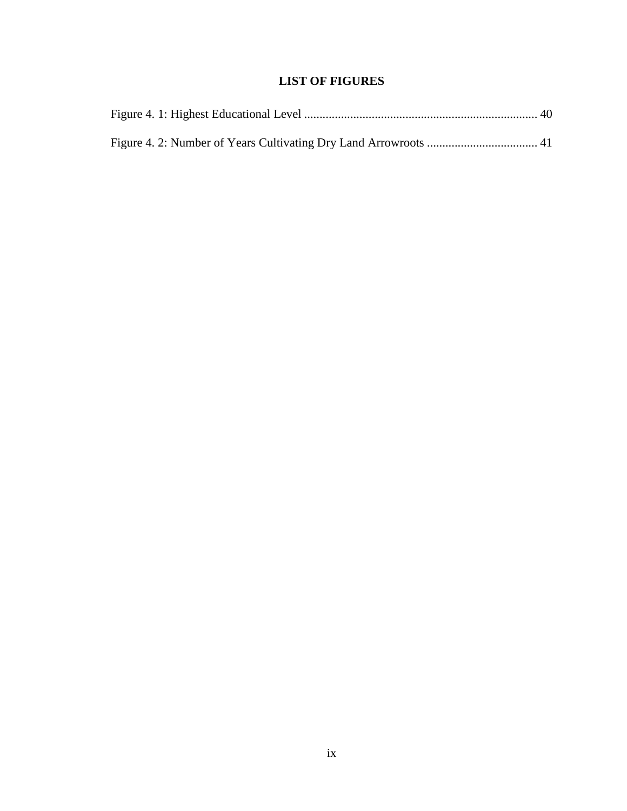# **LIST OF FIGURES**

<span id="page-8-0"></span>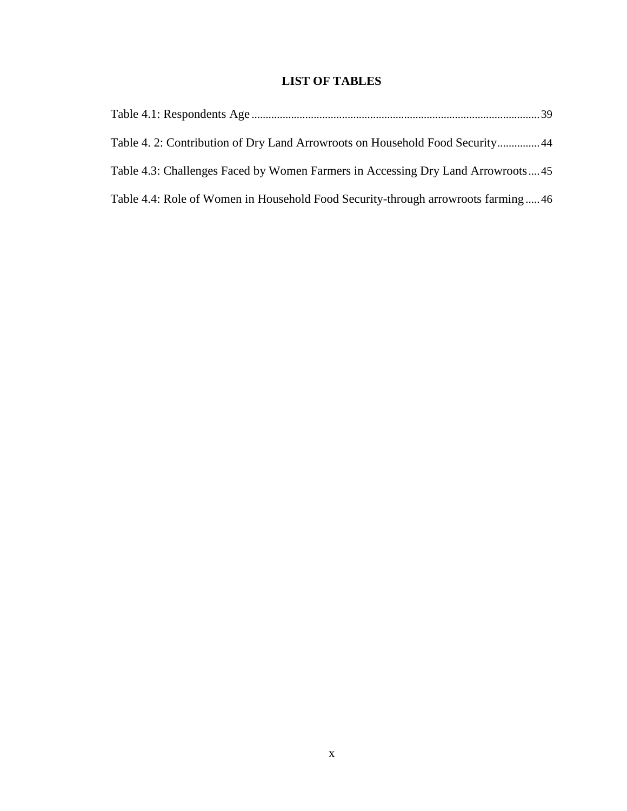# **LIST OF TABLES**

<span id="page-9-0"></span>

| Table 4. 2: Contribution of Dry Land Arrowroots on Household Food Security44     |  |
|----------------------------------------------------------------------------------|--|
| Table 4.3: Challenges Faced by Women Farmers in Accessing Dry Land Arrowroots45  |  |
| Table 4.4: Role of Women in Household Food Security-through arrowroots farming46 |  |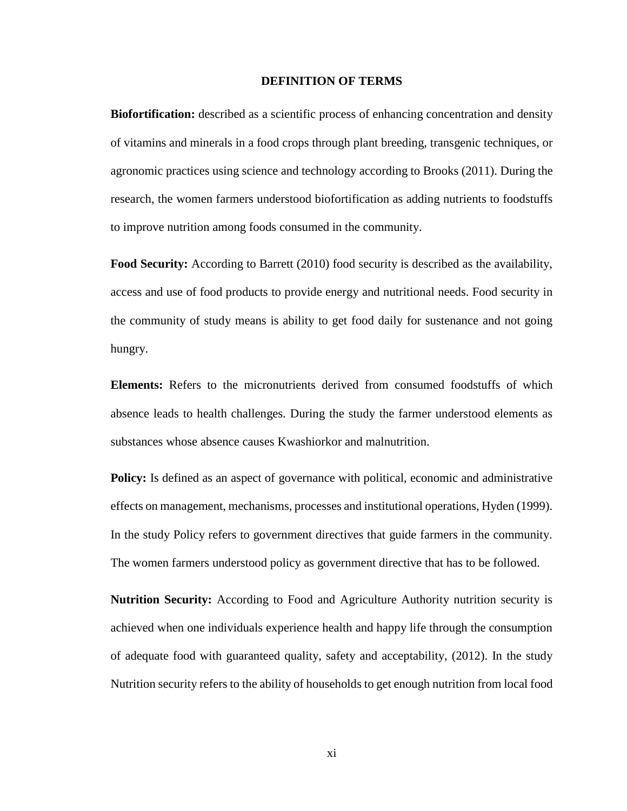#### **DEFINITION OF TERMS**

<span id="page-10-0"></span>**Biofortification:** described as a scientific process of enhancing concentration and density of vitamins and minerals in a food crops through plant breeding, transgenic techniques, or agronomic practices using science and technology according to Brooks (2011). During the research, the women farmers understood biofortification as adding nutrients to foodstuffs to improve nutrition among foods consumed in the community.

Food Security: According to Barrett (2010) food security is described as the availability, access and use of food products to provide energy and nutritional needs. Food security in the community of study means is ability to get food daily for sustenance and not going hungry.

**Elements:** Refers to the micronutrients derived from consumed foodstuffs of which absence leads to health challenges. During the study the farmer understood elements as substances whose absence causes Kwashiorkor and malnutrition.

**Policy:** Is defined as an aspect of governance with political, economic and administrative effects on management, mechanisms, processes and institutional operations, Hyden (1999). In the study Policy refers to government directives that guide farmers in the community. The women farmers understood policy as government directive that has to be followed.

**Nutrition Security:** According to Food and Agriculture Authority nutrition security is achieved when one individuals experience health and happy life through the consumption of adequate food with guaranteed quality, safety and acceptability, (2012). In the study Nutrition security refers to the ability of households to get enough nutrition from local food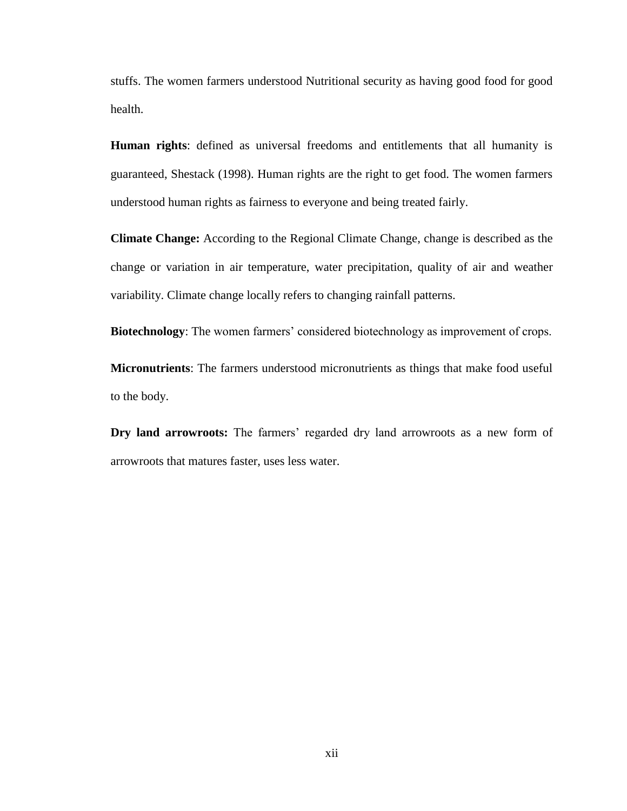stuffs. The women farmers understood Nutritional security as having good food for good health.

**Human rights**: defined as universal freedoms and entitlements that all humanity is guaranteed, Shestack (1998). Human rights are the right to get food. The women farmers understood human rights as fairness to everyone and being treated fairly.

**Climate Change:** According to the Regional Climate Change, change is described as the change or variation in air temperature, water precipitation, quality of air and weather variability. Climate change locally refers to changing rainfall patterns.

**Biotechnology**: The women farmers' considered biotechnology as improvement of crops.

**Micronutrients**: The farmers understood micronutrients as things that make food useful to the body.

**Dry land arrowroots:** The farmers' regarded dry land arrowroots as a new form of arrowroots that matures faster, uses less water.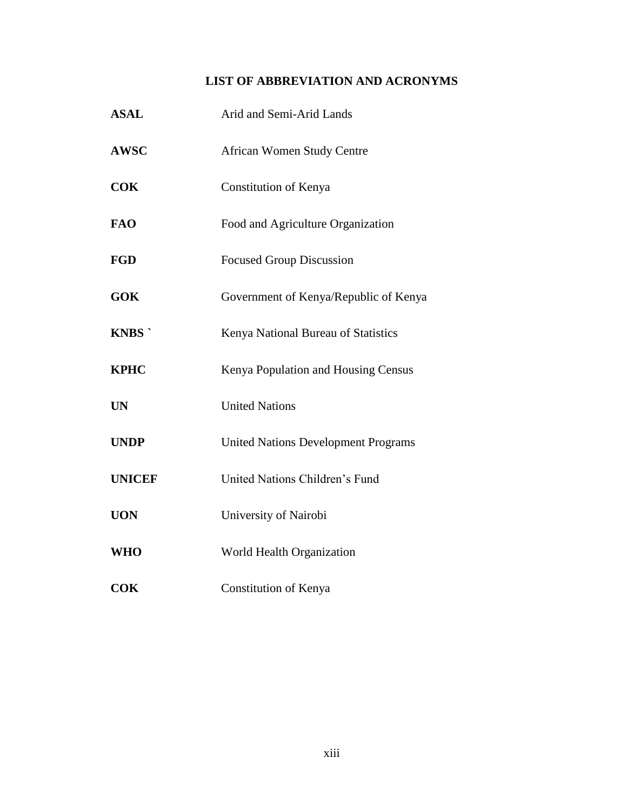# **LIST OF ABBREVIATION AND ACRONYMS**

<span id="page-12-0"></span>

| <b>ASAL</b>   | Arid and Semi-Arid Lands                   |
|---------------|--------------------------------------------|
| <b>AWSC</b>   | <b>African Women Study Centre</b>          |
| <b>COK</b>    | Constitution of Kenya                      |
| <b>FAO</b>    | Food and Agriculture Organization          |
| <b>FGD</b>    | <b>Focused Group Discussion</b>            |
| <b>GOK</b>    | Government of Kenya/Republic of Kenya      |
| <b>KNBS</b>   | Kenya National Bureau of Statistics        |
| <b>KPHC</b>   | Kenya Population and Housing Census        |
| <b>UN</b>     | <b>United Nations</b>                      |
| <b>UNDP</b>   | <b>United Nations Development Programs</b> |
| <b>UNICEF</b> | United Nations Children's Fund             |
| <b>UON</b>    | University of Nairobi                      |
| <b>WHO</b>    | World Health Organization                  |
| <b>COK</b>    | Constitution of Kenya                      |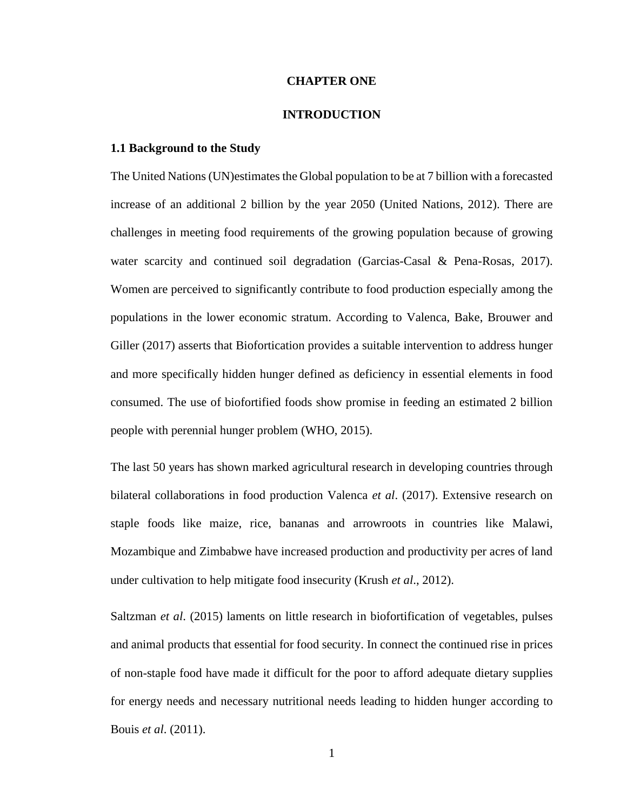### **CHAPTER ONE**

#### **INTRODUCTION**

### <span id="page-13-2"></span><span id="page-13-1"></span><span id="page-13-0"></span>**1.1 Background to the Study**

The United Nations (UN)estimates the Global population to be at 7 billion with a forecasted increase of an additional 2 billion by the year 2050 (United Nations, 2012). There are challenges in meeting food requirements of the growing population because of growing water scarcity and continued soil degradation (Garcias-Casal & Pena-Rosas, 2017). Women are perceived to significantly contribute to food production especially among the populations in the lower economic stratum. According to Valenca, Bake, Brouwer and Giller (2017) asserts that Biofortication provides a suitable intervention to address hunger and more specifically hidden hunger defined as deficiency in essential elements in food consumed. The use of biofortified foods show promise in feeding an estimated 2 billion people with perennial hunger problem (WHO, 2015).

The last 50 years has shown marked agricultural research in developing countries through bilateral collaborations in food production Valenca *et al*. (2017). Extensive research on staple foods like maize, rice, bananas and arrowroots in countries like Malawi, Mozambique and Zimbabwe have increased production and productivity per acres of land under cultivation to help mitigate food insecurity (Krush *et al*., 2012).

Saltzman *et al*. (2015) laments on little research in biofortification of vegetables, pulses and animal products that essential for food security. In connect the continued rise in prices of non-staple food have made it difficult for the poor to afford adequate dietary supplies for energy needs and necessary nutritional needs leading to hidden hunger according to Bouis *et al*. (2011).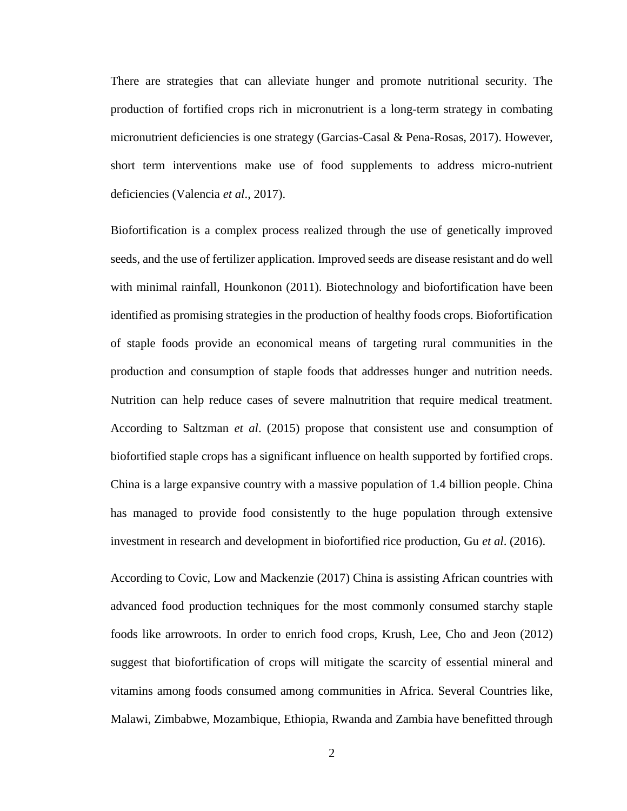There are strategies that can alleviate hunger and promote nutritional security. The production of fortified crops rich in micronutrient is a long-term strategy in combating micronutrient deficiencies is one strategy (Garcias-Casal & Pena-Rosas, 2017). However, short term interventions make use of food supplements to address micro-nutrient deficiencies (Valencia *et al*., 2017).

Biofortification is a complex process realized through the use of genetically improved seeds, and the use of fertilizer application. Improved seeds are disease resistant and do well with minimal rainfall, Hounkonon (2011). Biotechnology and biofortification have been identified as promising strategies in the production of healthy foods crops. Biofortification of staple foods provide an economical means of targeting rural communities in the production and consumption of staple foods that addresses hunger and nutrition needs. Nutrition can help reduce cases of severe malnutrition that require medical treatment. According to Saltzman *et al*. (2015) propose that consistent use and consumption of biofortified staple crops has a significant influence on health supported by fortified crops. China is a large expansive country with a massive population of 1.4 billion people. China has managed to provide food consistently to the huge population through extensive investment in research and development in biofortified rice production, Gu *et al*. (2016).

According to Covic, Low and Mackenzie (2017) China is assisting African countries with advanced food production techniques for the most commonly consumed starchy staple foods like arrowroots. In order to enrich food crops, Krush, Lee, Cho and Jeon (2012) suggest that biofortification of crops will mitigate the scarcity of essential mineral and vitamins among foods consumed among communities in Africa. Several Countries like, Malawi, Zimbabwe, Mozambique, Ethiopia, Rwanda and Zambia have benefitted through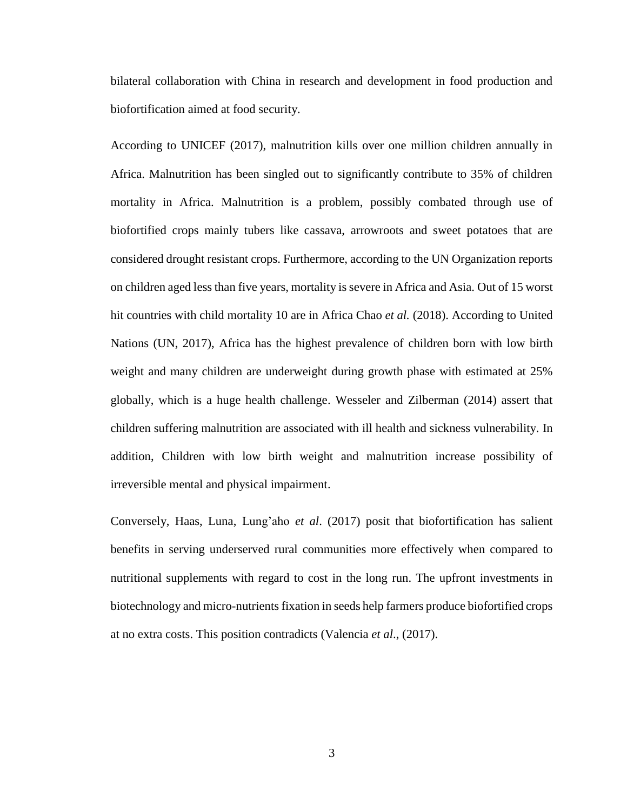bilateral collaboration with China in research and development in food production and biofortification aimed at food security.

According to UNICEF (2017), malnutrition kills over one million children annually in Africa. Malnutrition has been singled out to significantly contribute to 35% of children mortality in Africa. Malnutrition is a problem, possibly combated through use of biofortified crops mainly tubers like cassava, arrowroots and sweet potatoes that are considered drought resistant crops. Furthermore, according to the UN Organization reports on children aged less than five years, mortality is severe in Africa and Asia. Out of 15 worst hit countries with child mortality 10 are in Africa Chao *et al.* (2018). According to United Nations (UN, 2017), Africa has the highest prevalence of children born with low birth weight and many children are underweight during growth phase with estimated at 25% globally, which is a huge health challenge. Wesseler and Zilberman (2014) assert that children suffering malnutrition are associated with ill health and sickness vulnerability. In addition, Children with low birth weight and malnutrition increase possibility of irreversible mental and physical impairment.

Conversely, Haas, Luna, Lung'aho *et al*. (2017) posit that biofortification has salient benefits in serving underserved rural communities more effectively when compared to nutritional supplements with regard to cost in the long run. The upfront investments in biotechnology and micro-nutrients fixation in seeds help farmers produce biofortified crops at no extra costs. This position contradicts (Valencia *et al*., (2017).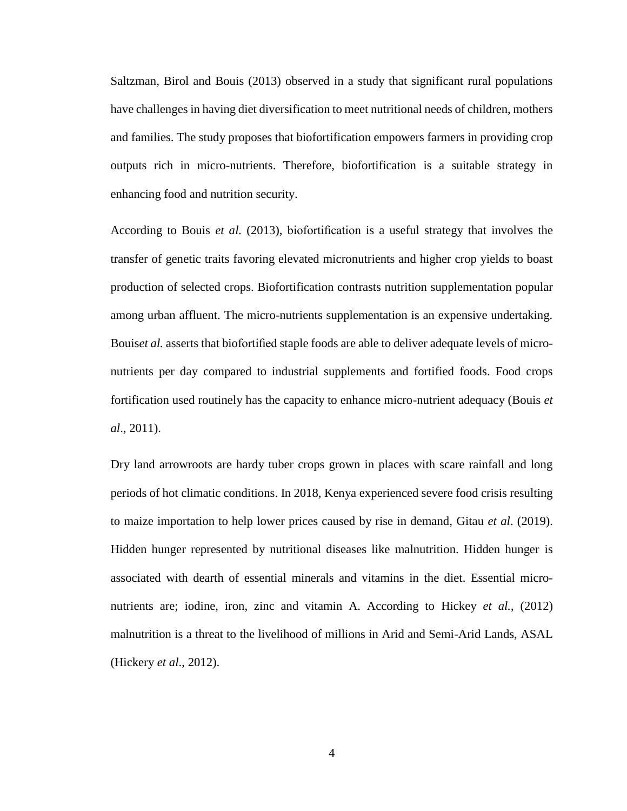Saltzman, Birol and Bouis (2013) observed in a study that significant rural populations have challenges in having diet diversification to meet nutritional needs of children, mothers and families. The study proposes that biofortification empowers farmers in providing crop outputs rich in micro-nutrients. Therefore, biofortification is a suitable strategy in enhancing food and nutrition security.

According to Bouis *et al.* (2013), biofortification is a useful strategy that involves the transfer of genetic traits favoring elevated micronutrients and higher crop yields to boast production of selected crops. Biofortification contrasts nutrition supplementation popular among urban affluent. The micro-nutrients supplementation is an expensive undertaking. Bouis*et al.* asserts that biofortified staple foods are able to deliver adequate levels of micronutrients per day compared to industrial supplements and fortified foods. Food crops fortification used routinely has the capacity to enhance micro-nutrient adequacy (Bouis *et al*., 2011).

Dry land arrowroots are hardy tuber crops grown in places with scare rainfall and long periods of hot climatic conditions. In 2018, Kenya experienced severe food crisis resulting to maize importation to help lower prices caused by rise in demand, Gitau *et al*. (2019). Hidden hunger represented by nutritional diseases like malnutrition. Hidden hunger is associated with dearth of essential minerals and vitamins in the diet. Essential micronutrients are; iodine, iron, zinc and vitamin A. According to Hickey *et al.*, (2012) malnutrition is a threat to the livelihood of millions in Arid and Semi-Arid Lands, ASAL (Hickery *et al*., 2012).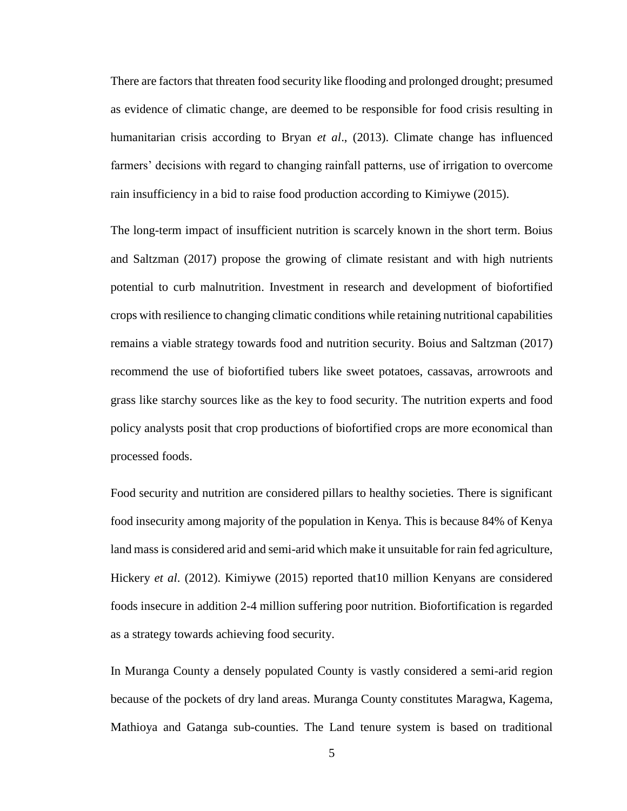There are factors that threaten food security like flooding and prolonged drought; presumed as evidence of climatic change, are deemed to be responsible for food crisis resulting in humanitarian crisis according to Bryan *et al*., (2013). Climate change has influenced farmers' decisions with regard to changing rainfall patterns, use of irrigation to overcome rain insufficiency in a bid to raise food production according to Kimiywe (2015).

The long-term impact of insufficient nutrition is scarcely known in the short term. Boius and Saltzman (2017) propose the growing of climate resistant and with high nutrients potential to curb malnutrition. Investment in research and development of biofortified crops with resilience to changing climatic conditions while retaining nutritional capabilities remains a viable strategy towards food and nutrition security. Boius and Saltzman (2017) recommend the use of biofortified tubers like sweet potatoes, cassavas, arrowroots and grass like starchy sources like as the key to food security. The nutrition experts and food policy analysts posit that crop productions of biofortified crops are more economical than processed foods.

Food security and nutrition are considered pillars to healthy societies. There is significant food insecurity among majority of the population in Kenya. This is because 84% of Kenya land mass is considered arid and semi-arid which make it unsuitable for rain fed agriculture, Hickery *et al*. (2012). Kimiywe (2015) reported that10 million Kenyans are considered foods insecure in addition 2-4 million suffering poor nutrition. Biofortification is regarded as a strategy towards achieving food security.

In Muranga County a densely populated County is vastly considered a semi-arid region because of the pockets of dry land areas. Muranga County constitutes Maragwa, Kagema, Mathioya and Gatanga sub-counties. The Land tenure system is based on traditional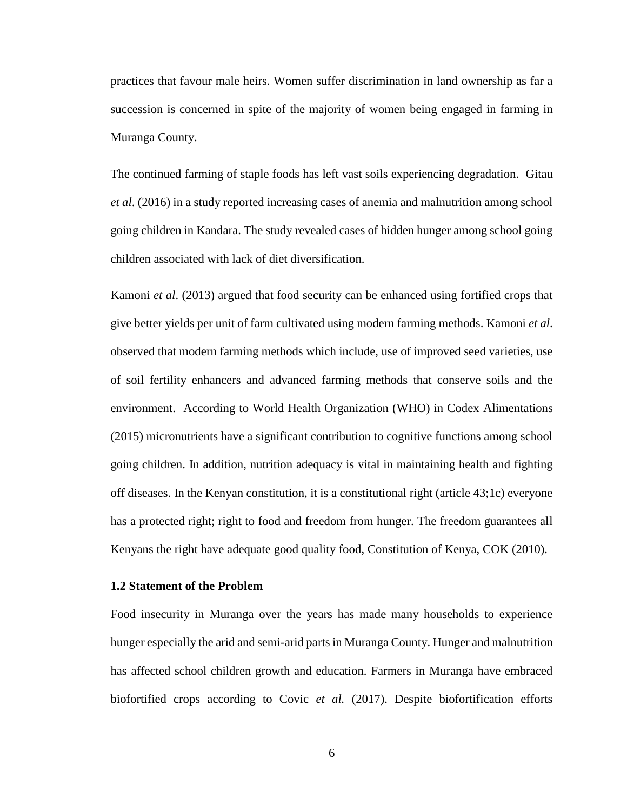practices that favour male heirs. Women suffer discrimination in land ownership as far a succession is concerned in spite of the majority of women being engaged in farming in Muranga County.

The continued farming of staple foods has left vast soils experiencing degradation. Gitau *et al*. (2016) in a study reported increasing cases of anemia and malnutrition among school going children in Kandara. The study revealed cases of hidden hunger among school going children associated with lack of diet diversification.

Kamoni *et al*. (2013) argued that food security can be enhanced using fortified crops that give better yields per unit of farm cultivated using modern farming methods. Kamoni *et al*. observed that modern farming methods which include, use of improved seed varieties, use of soil fertility enhancers and advanced farming methods that conserve soils and the environment. According to World Health Organization (WHO) in Codex Alimentations (2015) micronutrients have a significant contribution to cognitive functions among school going children. In addition, nutrition adequacy is vital in maintaining health and fighting off diseases. In the Kenyan constitution, it is a constitutional right (article 43;1c) everyone has a protected right; right to food and freedom from hunger. The freedom guarantees all Kenyans the right have adequate good quality food, Constitution of Kenya, COK (2010).

# <span id="page-18-0"></span>**1.2 Statement of the Problem**

Food insecurity in Muranga over the years has made many households to experience hunger especially the arid and semi-arid parts in Muranga County. Hunger and malnutrition has affected school children growth and education. Farmers in Muranga have embraced biofortified crops according to Covic *et al.* (2017). Despite biofortification efforts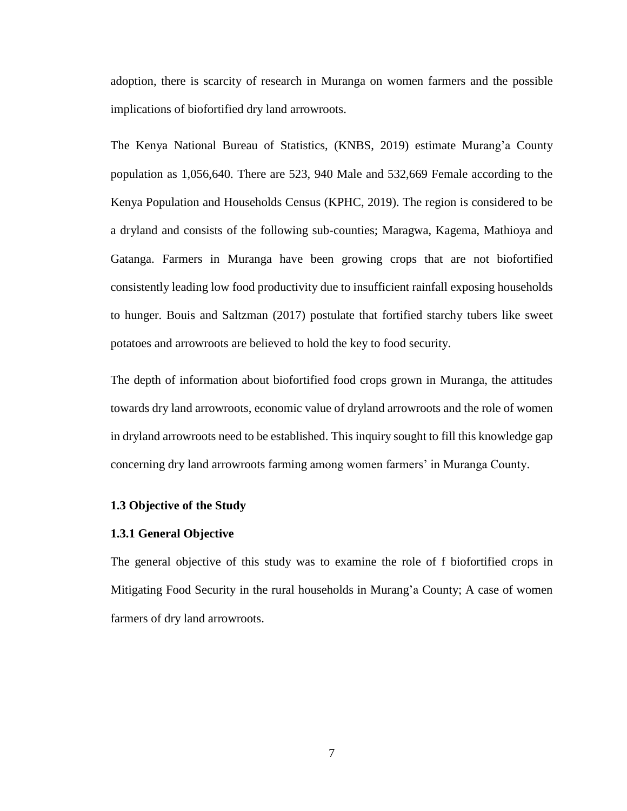adoption, there is scarcity of research in Muranga on women farmers and the possible implications of biofortified dry land arrowroots.

The Kenya National Bureau of Statistics, (KNBS, 2019) estimate Murang'a County population as 1,056,640. There are 523, 940 Male and 532,669 Female according to the Kenya Population and Households Census (KPHC, 2019). The region is considered to be a dryland and consists of the following sub-counties; Maragwa, Kagema, Mathioya and Gatanga. Farmers in Muranga have been growing crops that are not biofortified consistently leading low food productivity due to insufficient rainfall exposing households to hunger. Bouis and Saltzman (2017) postulate that fortified starchy tubers like sweet potatoes and arrowroots are believed to hold the key to food security.

The depth of information about biofortified food crops grown in Muranga, the attitudes towards dry land arrowroots, economic value of dryland arrowroots and the role of women in dryland arrowroots need to be established. This inquiry sought to fill this knowledge gap concerning dry land arrowroots farming among women farmers' in Muranga County.

### <span id="page-19-0"></span>**1.3 Objective of the Study**

#### <span id="page-19-1"></span>**1.3.1 General Objective**

The general objective of this study was to examine the role of f biofortified crops in Mitigating Food Security in the rural households in Murang'a County; A case of women farmers of dry land arrowroots.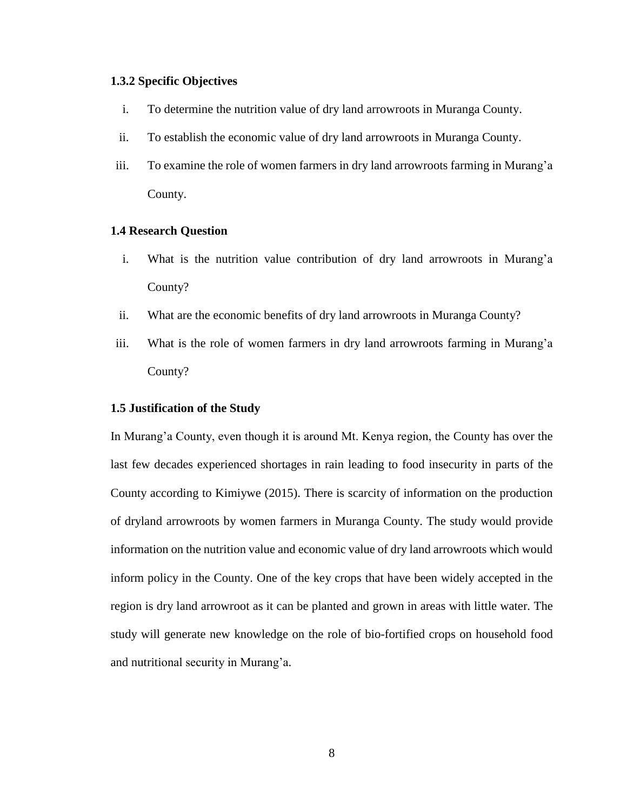# <span id="page-20-0"></span>**1.3.2 Specific Objectives**

- i. To determine the nutrition value of dry land arrowroots in Muranga County.
- ii. To establish the economic value of dry land arrowroots in Muranga County.
- iii. To examine the role of women farmers in dry land arrowroots farming in Murang'a County.

# <span id="page-20-1"></span>**1.4 Research Question**

- i. What is the nutrition value contribution of dry land arrowroots in Murang'a County?
- ii. What are the economic benefits of dry land arrowroots in Muranga County?
- iii. What is the role of women farmers in dry land arrowroots farming in Murang'a County?

#### <span id="page-20-2"></span>**1.5 Justification of the Study**

In Murang'a County, even though it is around Mt. Kenya region, the County has over the last few decades experienced shortages in rain leading to food insecurity in parts of the County according to Kimiywe (2015). There is scarcity of information on the production of dryland arrowroots by women farmers in Muranga County. The study would provide information on the nutrition value and economic value of dry land arrowroots which would inform policy in the County. One of the key crops that have been widely accepted in the region is dry land arrowroot as it can be planted and grown in areas with little water. The study will generate new knowledge on the role of bio-fortified crops on household food and nutritional security in Murang'a.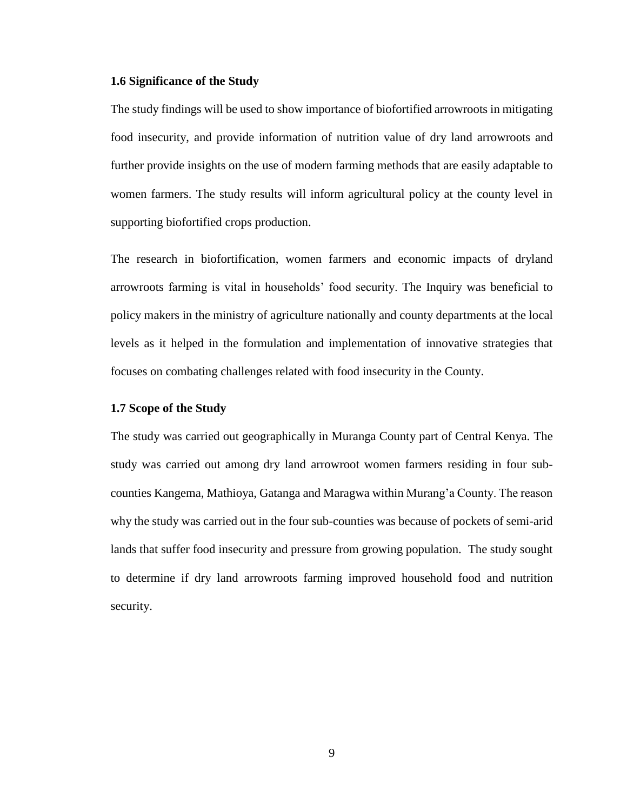## <span id="page-21-0"></span>**1.6 Significance of the Study**

The study findings will be used to show importance of biofortified arrowroots in mitigating food insecurity, and provide information of nutrition value of dry land arrowroots and further provide insights on the use of modern farming methods that are easily adaptable to women farmers. The study results will inform agricultural policy at the county level in supporting biofortified crops production.

The research in biofortification, women farmers and economic impacts of dryland arrowroots farming is vital in households' food security. The Inquiry was beneficial to policy makers in the ministry of agriculture nationally and county departments at the local levels as it helped in the formulation and implementation of innovative strategies that focuses on combating challenges related with food insecurity in the County.

# <span id="page-21-1"></span>**1.7 Scope of the Study**

The study was carried out geographically in Muranga County part of Central Kenya. The study was carried out among dry land arrowroot women farmers residing in four subcounties Kangema, Mathioya, Gatanga and Maragwa within Murang'a County. The reason why the study was carried out in the four sub-counties was because of pockets of semi-arid lands that suffer food insecurity and pressure from growing population. The study sought to determine if dry land arrowroots farming improved household food and nutrition security.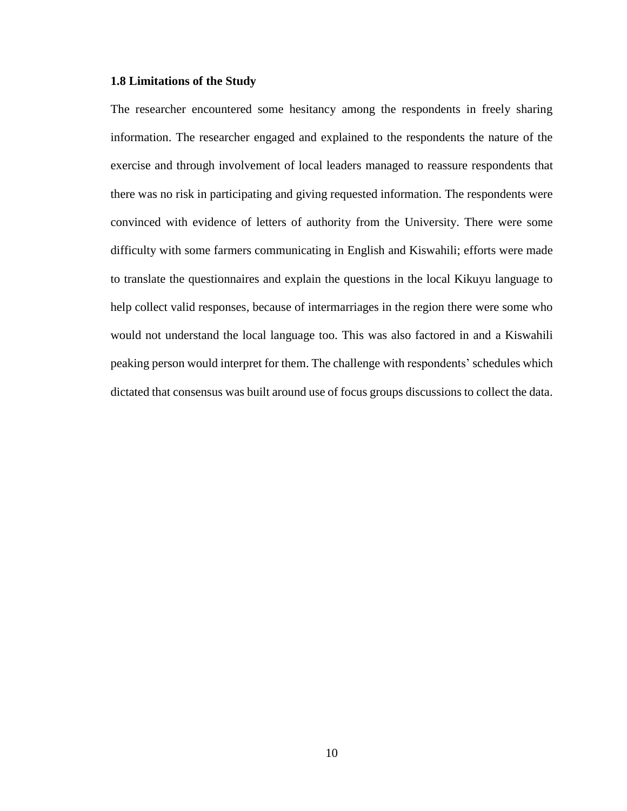# <span id="page-22-0"></span>**1.8 Limitations of the Study**

The researcher encountered some hesitancy among the respondents in freely sharing information. The researcher engaged and explained to the respondents the nature of the exercise and through involvement of local leaders managed to reassure respondents that there was no risk in participating and giving requested information. The respondents were convinced with evidence of letters of authority from the University. There were some difficulty with some farmers communicating in English and Kiswahili; efforts were made to translate the questionnaires and explain the questions in the local Kikuyu language to help collect valid responses, because of intermarriages in the region there were some who would not understand the local language too. This was also factored in and a Kiswahili peaking person would interpret for them. The challenge with respondents' schedules which dictated that consensus was built around use of focus groups discussions to collect the data.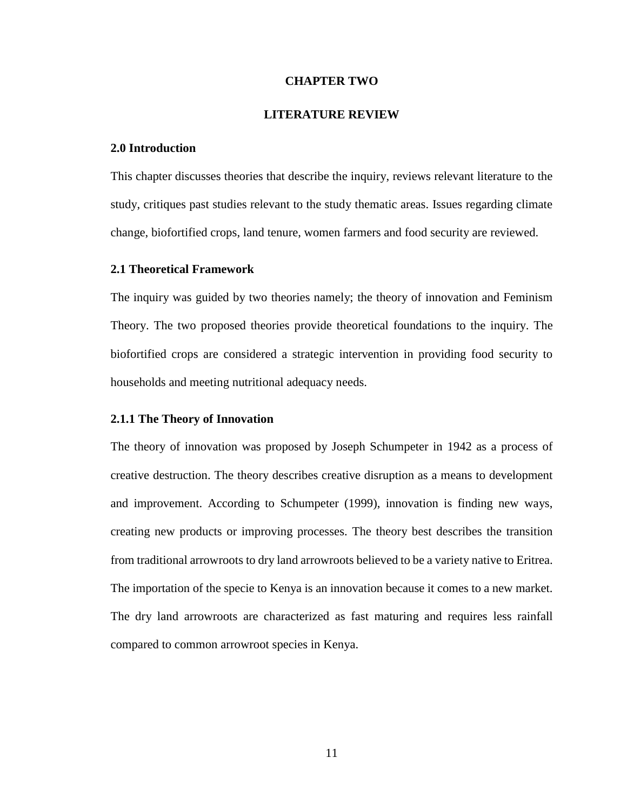### **CHAPTER TWO**

# **LITERATURE REVIEW**

## <span id="page-23-2"></span><span id="page-23-1"></span><span id="page-23-0"></span>**2.0 Introduction**

This chapter discusses theories that describe the inquiry, reviews relevant literature to the study, critiques past studies relevant to the study thematic areas. Issues regarding climate change, biofortified crops, land tenure, women farmers and food security are reviewed.

# <span id="page-23-3"></span>**2.1 Theoretical Framework**

The inquiry was guided by two theories namely; the theory of innovation and Feminism Theory. The two proposed theories provide theoretical foundations to the inquiry. The biofortified crops are considered a strategic intervention in providing food security to households and meeting nutritional adequacy needs.

### <span id="page-23-4"></span>**2.1.1 The Theory of Innovation**

The theory of innovation was proposed by Joseph Schumpeter in 1942 as a process of creative destruction. The theory describes creative disruption as a means to development and improvement. According to Schumpeter (1999), innovation is finding new ways, creating new products or improving processes. The theory best describes the transition from traditional arrowroots to dry land arrowroots believed to be a variety native to Eritrea. The importation of the specie to Kenya is an innovation because it comes to a new market. The dry land arrowroots are characterized as fast maturing and requires less rainfall compared to common arrowroot species in Kenya.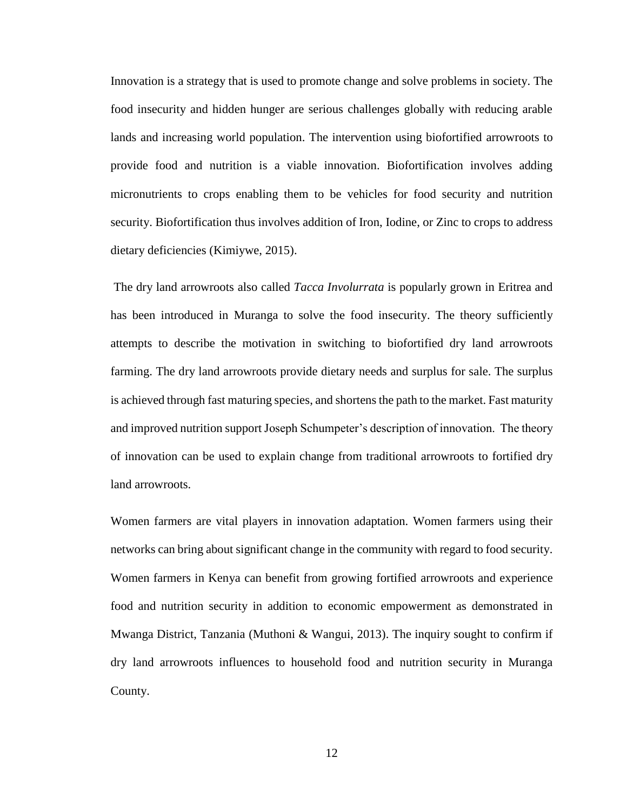Innovation is a strategy that is used to promote change and solve problems in society. The food insecurity and hidden hunger are serious challenges globally with reducing arable lands and increasing world population. The intervention using biofortified arrowroots to provide food and nutrition is a viable innovation. Biofortification involves adding micronutrients to crops enabling them to be vehicles for food security and nutrition security. Biofortification thus involves addition of Iron, Iodine, or Zinc to crops to address dietary deficiencies (Kimiywe, 2015).

The dry land arrowroots also called *Tacca Involurrata* is popularly grown in Eritrea and has been introduced in Muranga to solve the food insecurity. The theory sufficiently attempts to describe the motivation in switching to biofortified dry land arrowroots farming. The dry land arrowroots provide dietary needs and surplus for sale. The surplus is achieved through fast maturing species, and shortens the path to the market. Fast maturity and improved nutrition support Joseph Schumpeter's description of innovation. The theory of innovation can be used to explain change from traditional arrowroots to fortified dry land arrowroots.

Women farmers are vital players in innovation adaptation. Women farmers using their networks can bring about significant change in the community with regard to food security. Women farmers in Kenya can benefit from growing fortified arrowroots and experience food and nutrition security in addition to economic empowerment as demonstrated in Mwanga District, Tanzania (Muthoni & Wangui, 2013). The inquiry sought to confirm if dry land arrowroots influences to household food and nutrition security in Muranga County.

12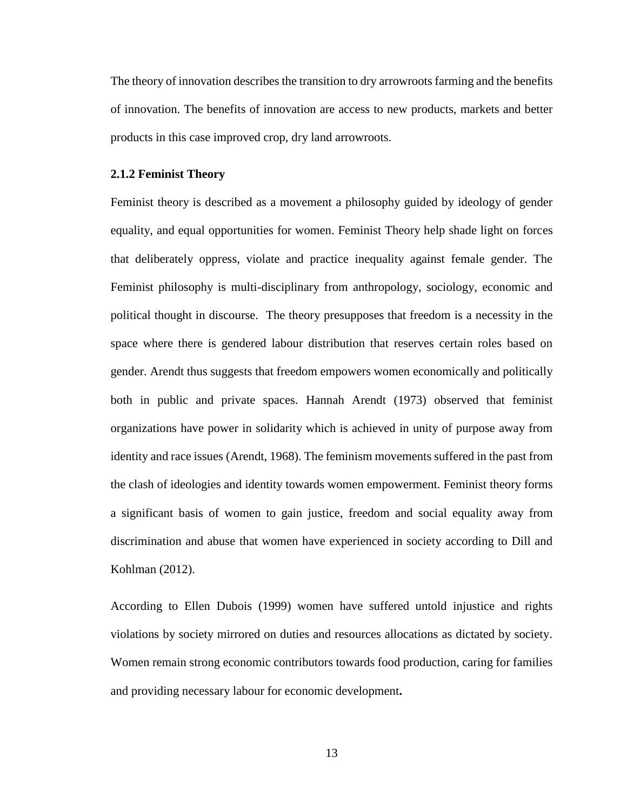The theory of innovation describes the transition to dry arrowroots farming and the benefits of innovation. The benefits of innovation are access to new products, markets and better products in this case improved crop, dry land arrowroots.

# <span id="page-25-0"></span>**2.1.2 Feminist Theory**

Feminist theory is described as a movement a philosophy guided by ideology of gender equality, and equal opportunities for women. Feminist Theory help shade light on forces that deliberately oppress, violate and practice inequality against female gender. The Feminist philosophy is multi-disciplinary from anthropology, sociology, economic and political thought in discourse. The theory presupposes that freedom is a necessity in the space where there is gendered labour distribution that reserves certain roles based on gender. Arendt thus suggests that freedom empowers women economically and politically both in public and private spaces. Hannah Arendt (1973) observed that feminist organizations have power in solidarity which is achieved in unity of purpose away from identity and race issues (Arendt, 1968). The feminism movements suffered in the past from the clash of ideologies and identity towards women empowerment. Feminist theory forms a significant basis of women to gain justice, freedom and social equality away from discrimination and abuse that women have experienced in society according to Dill and Kohlman (2012).

According to Ellen Dubois (1999) women have suffered untold injustice and rights violations by society mirrored on duties and resources allocations as dictated by society. Women remain strong economic contributors towards food production, caring for families and providing necessary labour for economic development**.**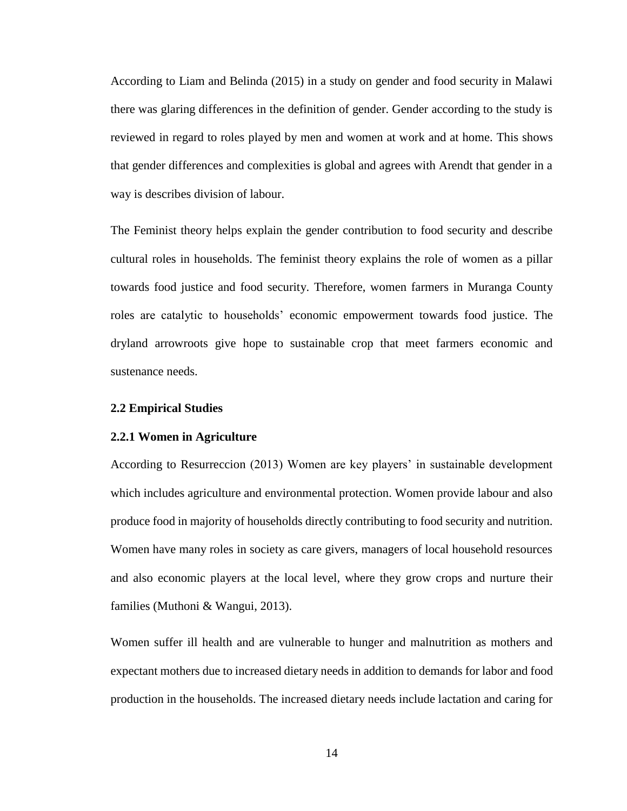According to Liam and Belinda (2015) in a study on gender and food security in Malawi there was glaring differences in the definition of gender. Gender according to the study is reviewed in regard to roles played by men and women at work and at home. This shows that gender differences and complexities is global and agrees with Arendt that gender in a way is describes division of labour.

The Feminist theory helps explain the gender contribution to food security and describe cultural roles in households. The feminist theory explains the role of women as a pillar towards food justice and food security. Therefore, women farmers in Muranga County roles are catalytic to households' economic empowerment towards food justice. The dryland arrowroots give hope to sustainable crop that meet farmers economic and sustenance needs.

#### <span id="page-26-0"></span>**2.2 Empirical Studies**

## <span id="page-26-1"></span>**2.2.1 Women in Agriculture**

According to Resurreccion (2013) Women are key players' in sustainable development which includes agriculture and environmental protection. Women provide labour and also produce food in majority of households directly contributing to food security and nutrition. Women have many roles in society as care givers, managers of local household resources and also economic players at the local level, where they grow crops and nurture their families (Muthoni & Wangui, 2013).

Women suffer ill health and are vulnerable to hunger and malnutrition as mothers and expectant mothers due to increased dietary needs in addition to demands for labor and food production in the households. The increased dietary needs include lactation and caring for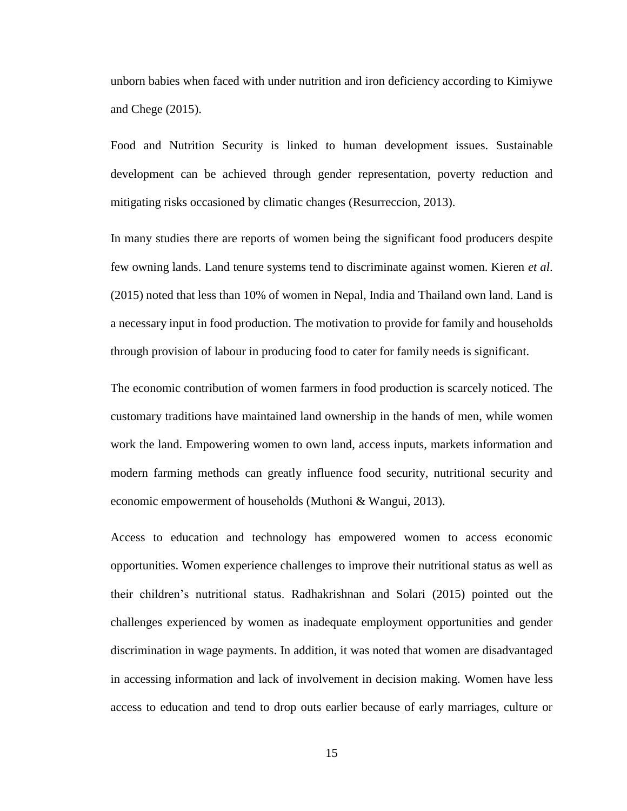unborn babies when faced with under nutrition and iron deficiency according to Kimiywe and Chege (2015).

Food and Nutrition Security is linked to human development issues. Sustainable development can be achieved through gender representation, poverty reduction and mitigating risks occasioned by climatic changes (Resurreccion, 2013).

In many studies there are reports of women being the significant food producers despite few owning lands. Land tenure systems tend to discriminate against women. Kieren *et al*. (2015) noted that less than 10% of women in Nepal, India and Thailand own land. Land is a necessary input in food production. The motivation to provide for family and households through provision of labour in producing food to cater for family needs is significant.

The economic contribution of women farmers in food production is scarcely noticed. The customary traditions have maintained land ownership in the hands of men, while women work the land. Empowering women to own land, access inputs, markets information and modern farming methods can greatly influence food security, nutritional security and economic empowerment of households (Muthoni & Wangui, 2013).

Access to education and technology has empowered women to access economic opportunities. Women experience challenges to improve their nutritional status as well as their children's nutritional status. Radhakrishnan and Solari (2015) pointed out the challenges experienced by women as inadequate employment opportunities and gender discrimination in wage payments. In addition, it was noted that women are disadvantaged in accessing information and lack of involvement in decision making. Women have less access to education and tend to drop outs earlier because of early marriages, culture or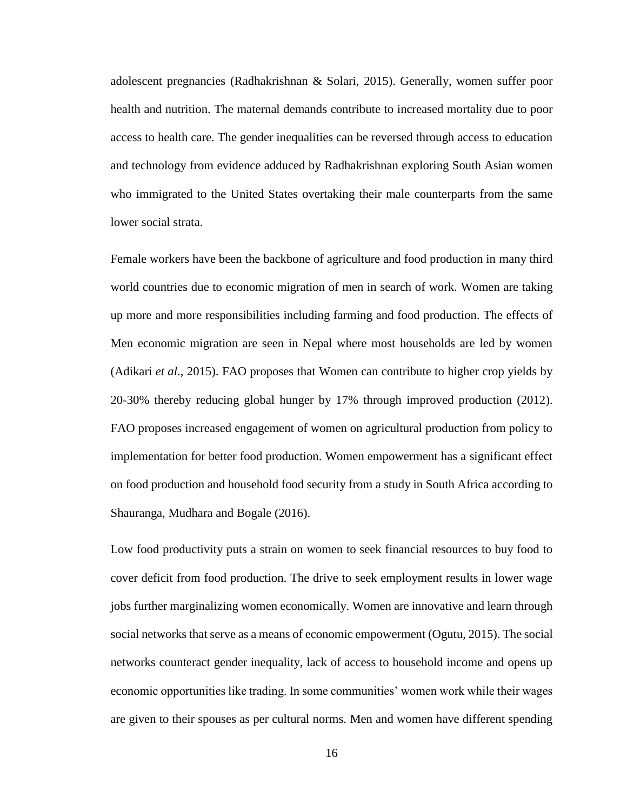adolescent pregnancies (Radhakrishnan & Solari, 2015). Generally, women suffer poor health and nutrition. The maternal demands contribute to increased mortality due to poor access to health care. The gender inequalities can be reversed through access to education and technology from evidence adduced by Radhakrishnan exploring South Asian women who immigrated to the United States overtaking their male counterparts from the same lower social strata.

Female workers have been the backbone of agriculture and food production in many third world countries due to economic migration of men in search of work. Women are taking up more and more responsibilities including farming and food production. The effects of Men economic migration are seen in Nepal where most households are led by women (Adikari *et al*., 2015). FAO proposes that Women can contribute to higher crop yields by 20-30% thereby reducing global hunger by 17% through improved production (2012). FAO proposes increased engagement of women on agricultural production from policy to implementation for better food production. Women empowerment has a significant effect on food production and household food security from a study in South Africa according to Shauranga, Mudhara and Bogale (2016).

Low food productivity puts a strain on women to seek financial resources to buy food to cover deficit from food production. The drive to seek employment results in lower wage jobs further marginalizing women economically. Women are innovative and learn through social networks that serve as a means of economic empowerment (Ogutu, 2015). The social networks counteract gender inequality, lack of access to household income and opens up economic opportunities like trading. In some communities' women work while their wages are given to their spouses as per cultural norms. Men and women have different spending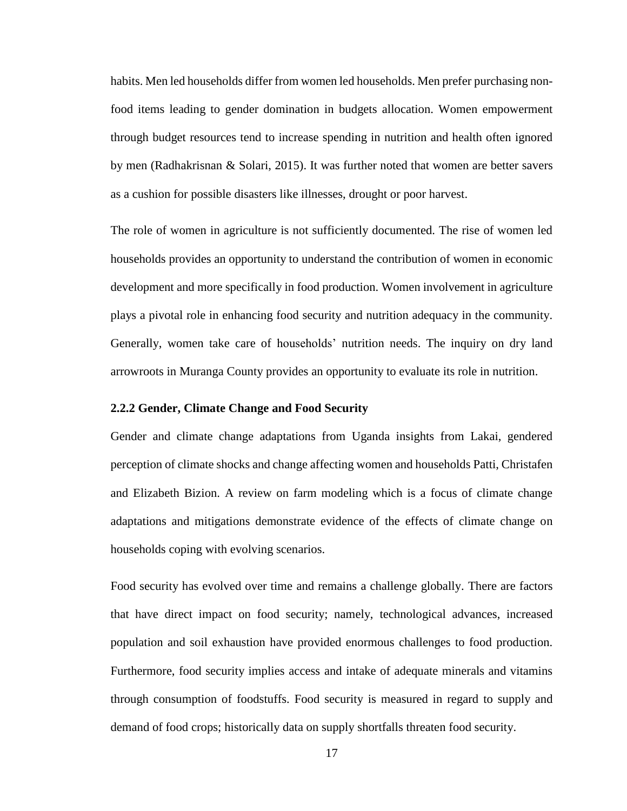habits. Men led households differ from women led households. Men prefer purchasing nonfood items leading to gender domination in budgets allocation. Women empowerment through budget resources tend to increase spending in nutrition and health often ignored by men (Radhakrisnan & Solari, 2015). It was further noted that women are better savers as a cushion for possible disasters like illnesses, drought or poor harvest.

The role of women in agriculture is not sufficiently documented. The rise of women led households provides an opportunity to understand the contribution of women in economic development and more specifically in food production. Women involvement in agriculture plays a pivotal role in enhancing food security and nutrition adequacy in the community. Generally, women take care of households' nutrition needs. The inquiry on dry land arrowroots in Muranga County provides an opportunity to evaluate its role in nutrition.

#### <span id="page-29-0"></span>**2.2.2 Gender, Climate Change and Food Security**

Gender and climate change adaptations from Uganda insights from Lakai, gendered perception of climate shocks and change affecting women and households Patti, Christafen and Elizabeth Bizion. A review on farm modeling which is a focus of climate change adaptations and mitigations demonstrate evidence of the effects of climate change on households coping with evolving scenarios.

Food security has evolved over time and remains a challenge globally. There are factors that have direct impact on food security; namely, technological advances, increased population and soil exhaustion have provided enormous challenges to food production. Furthermore, food security implies access and intake of adequate minerals and vitamins through consumption of foodstuffs. Food security is measured in regard to supply and demand of food crops; historically data on supply shortfalls threaten food security.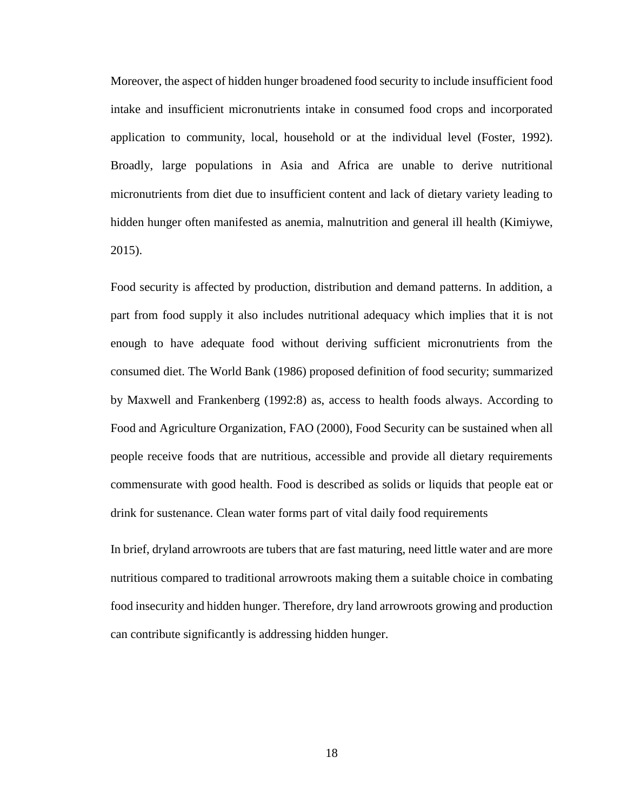Moreover, the aspect of hidden hunger broadened food security to include insufficient food intake and insufficient micronutrients intake in consumed food crops and incorporated application to community, local, household or at the individual level (Foster, 1992). Broadly, large populations in Asia and Africa are unable to derive nutritional micronutrients from diet due to insufficient content and lack of dietary variety leading to hidden hunger often manifested as anemia, malnutrition and general ill health (Kimiywe, 2015).

Food security is affected by production, distribution and demand patterns. In addition, a part from food supply it also includes nutritional adequacy which implies that it is not enough to have adequate food without deriving sufficient micronutrients from the consumed diet. The World Bank (1986) proposed definition of food security; summarized by Maxwell and Frankenberg (1992:8) as, access to health foods always. According to Food and Agriculture Organization, FAO (2000), Food Security can be sustained when all people receive foods that are nutritious, accessible and provide all dietary requirements commensurate with good health. Food is described as solids or liquids that people eat or drink for sustenance. Clean water forms part of vital daily food requirements

In brief, dryland arrowroots are tubers that are fast maturing, need little water and are more nutritious compared to traditional arrowroots making them a suitable choice in combating food insecurity and hidden hunger. Therefore, dry land arrowroots growing and production can contribute significantly is addressing hidden hunger.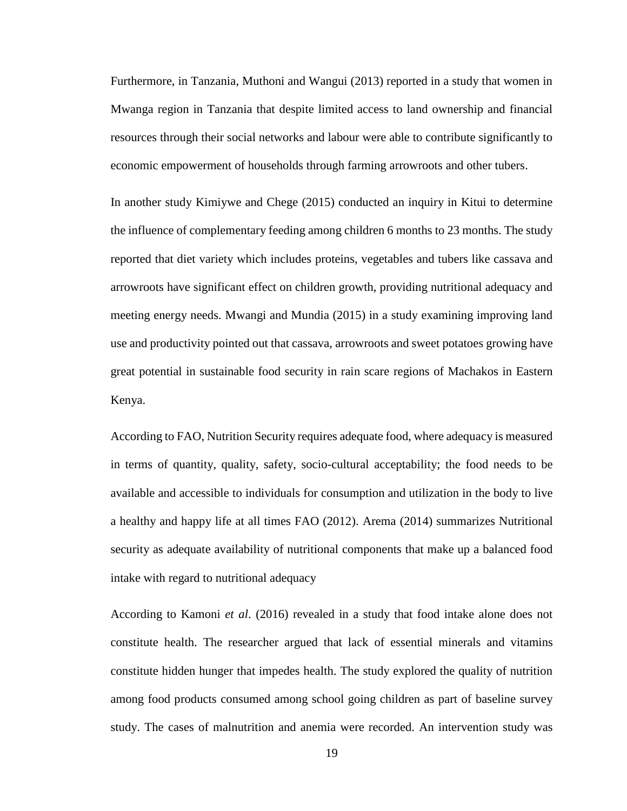Furthermore, in Tanzania, Muthoni and Wangui (2013) reported in a study that women in Mwanga region in Tanzania that despite limited access to land ownership and financial resources through their social networks and labour were able to contribute significantly to economic empowerment of households through farming arrowroots and other tubers.

In another study Kimiywe and Chege (2015) conducted an inquiry in Kitui to determine the influence of complementary feeding among children 6 months to 23 months. The study reported that diet variety which includes proteins, vegetables and tubers like cassava and arrowroots have significant effect on children growth, providing nutritional adequacy and meeting energy needs. Mwangi and Mundia (2015) in a study examining improving land use and productivity pointed out that cassava, arrowroots and sweet potatoes growing have great potential in sustainable food security in rain scare regions of Machakos in Eastern Kenya.

According to FAO, Nutrition Security requires adequate food, where adequacy is measured in terms of quantity, quality, safety, socio-cultural acceptability; the food needs to be available and accessible to individuals for consumption and utilization in the body to live a healthy and happy life at all times FAO (2012). Arema (2014) summarizes Nutritional security as adequate availability of nutritional components that make up a balanced food intake with regard to nutritional adequacy

According to Kamoni *et al*. (2016) revealed in a study that food intake alone does not constitute health. The researcher argued that lack of essential minerals and vitamins constitute hidden hunger that impedes health. The study explored the quality of nutrition among food products consumed among school going children as part of baseline survey study. The cases of malnutrition and anemia were recorded. An intervention study was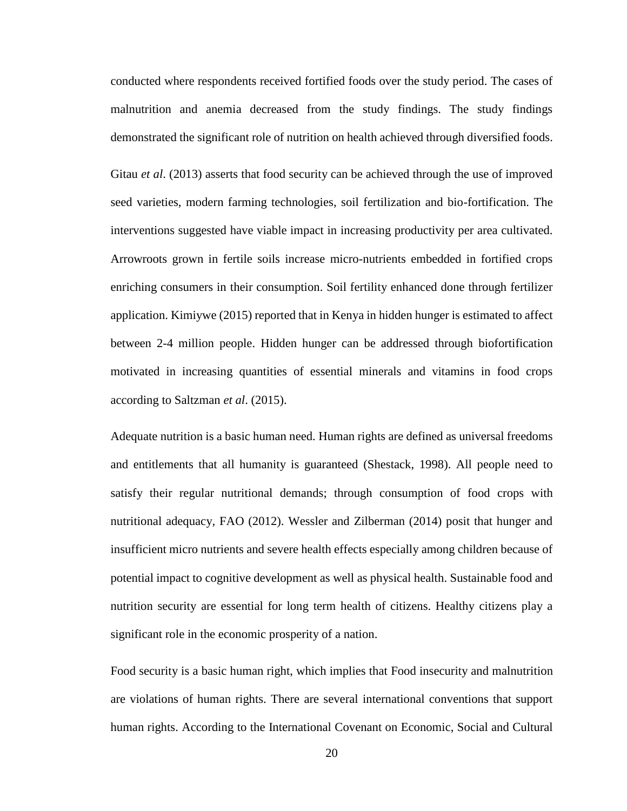conducted where respondents received fortified foods over the study period. The cases of malnutrition and anemia decreased from the study findings. The study findings demonstrated the significant role of nutrition on health achieved through diversified foods.

Gitau *et al*. (2013) asserts that food security can be achieved through the use of improved seed varieties, modern farming technologies, soil fertilization and bio-fortification. The interventions suggested have viable impact in increasing productivity per area cultivated. Arrowroots grown in fertile soils increase micro-nutrients embedded in fortified crops enriching consumers in their consumption. Soil fertility enhanced done through fertilizer application. Kimiywe (2015) reported that in Kenya in hidden hunger is estimated to affect between 2-4 million people. Hidden hunger can be addressed through biofortification motivated in increasing quantities of essential minerals and vitamins in food crops according to Saltzman *et al*. (2015).

Adequate nutrition is a basic human need. Human rights are defined as universal freedoms and entitlements that all humanity is guaranteed (Shestack, 1998). All people need to satisfy their regular nutritional demands; through consumption of food crops with nutritional adequacy, FAO (2012). Wessler and Zilberman (2014) posit that hunger and insufficient micro nutrients and severe health effects especially among children because of potential impact to cognitive development as well as physical health. Sustainable food and nutrition security are essential for long term health of citizens. Healthy citizens play a significant role in the economic prosperity of a nation.

Food security is a basic human right, which implies that Food insecurity and malnutrition are violations of human rights. There are several international conventions that support human rights. According to the International Covenant on Economic, Social and Cultural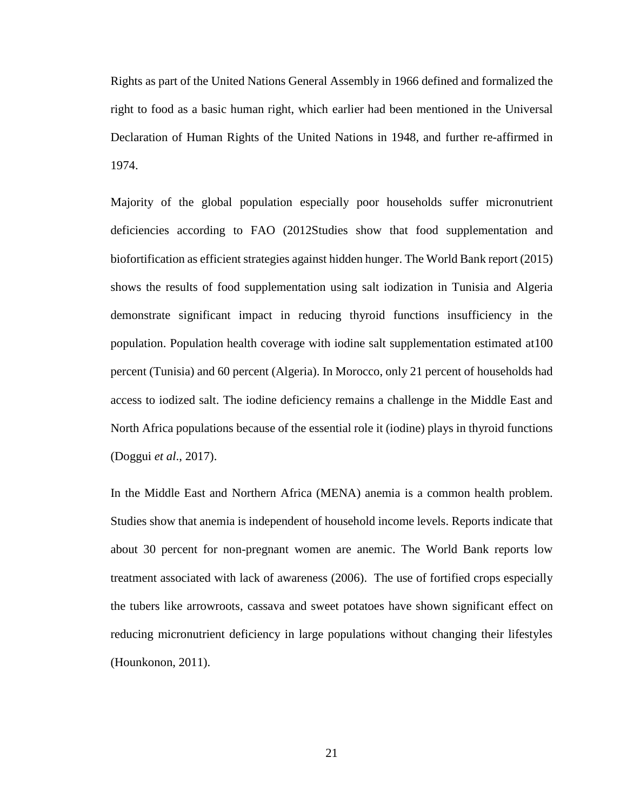Rights as part of the United Nations General Assembly in 1966 defined and formalized the right to food as a basic human right, which earlier had been mentioned in the Universal Declaration of Human Rights of the United Nations in 1948, and further re-affirmed in 1974.

Majority of the global population especially poor households suffer micronutrient deficiencies according to FAO (2012Studies show that food supplementation and biofortification as efficient strategies against hidden hunger. The World Bank report (2015) shows the results of food supplementation using salt iodization in Tunisia and Algeria demonstrate significant impact in reducing thyroid functions insufficiency in the population. Population health coverage with iodine salt supplementation estimated at100 percent (Tunisia) and 60 percent (Algeria). In Morocco, only 21 percent of households had access to iodized salt. The iodine deficiency remains a challenge in the Middle East and North Africa populations because of the essential role it (iodine) plays in thyroid functions (Doggui *et al*., 2017).

In the Middle East and Northern Africa (MENA) anemia is a common health problem. Studies show that anemia is independent of household income levels. Reports indicate that about 30 percent for non-pregnant women are anemic. The World Bank reports low treatment associated with lack of awareness (2006). The use of fortified crops especially the tubers like arrowroots, cassava and sweet potatoes have shown significant effect on reducing micronutrient deficiency in large populations without changing their lifestyles (Hounkonon, 2011).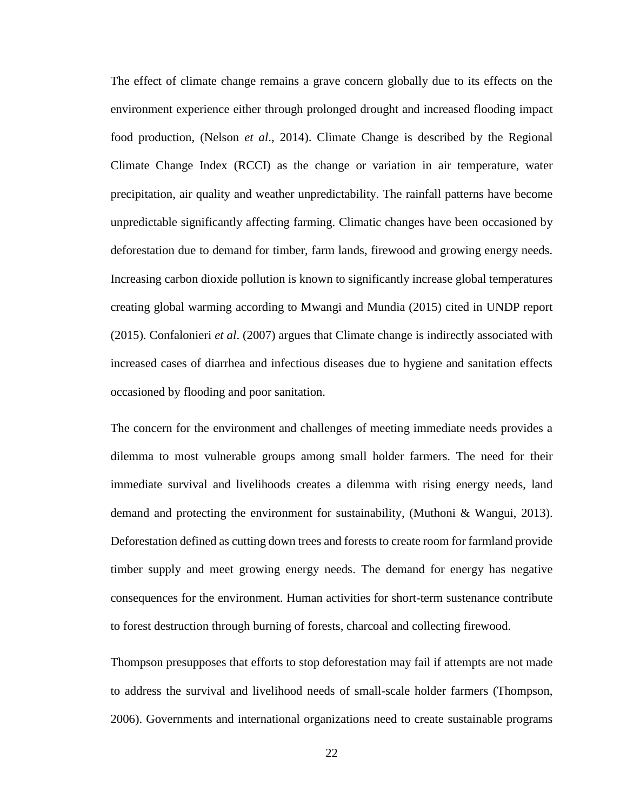The effect of climate change remains a grave concern globally due to its effects on the environment experience either through prolonged drought and increased flooding impact food production, (Nelson *et al*., 2014). Climate Change is described by the Regional Climate Change Index (RCCI) as the change or variation in air temperature, water precipitation, air quality and weather unpredictability. The rainfall patterns have become unpredictable significantly affecting farming. Climatic changes have been occasioned by deforestation due to demand for timber, farm lands, firewood and growing energy needs. Increasing carbon dioxide pollution is known to significantly increase global temperatures creating global warming according to Mwangi and Mundia (2015) cited in UNDP report (2015). Confalonieri *et al*. (2007) argues that Climate change is indirectly associated with increased cases of diarrhea and infectious diseases due to hygiene and sanitation effects occasioned by flooding and poor sanitation.

The concern for the environment and challenges of meeting immediate needs provides a dilemma to most vulnerable groups among small holder farmers. The need for their immediate survival and livelihoods creates a dilemma with rising energy needs, land demand and protecting the environment for sustainability, (Muthoni & Wangui, 2013). Deforestation defined as cutting down trees and forests to create room for farmland provide timber supply and meet growing energy needs. The demand for energy has negative consequences for the environment. Human activities for short-term sustenance contribute to forest destruction through burning of forests, charcoal and collecting firewood.

Thompson presupposes that efforts to stop deforestation may fail if attempts are not made to address the survival and livelihood needs of small-scale holder farmers (Thompson, 2006). Governments and international organizations need to create sustainable programs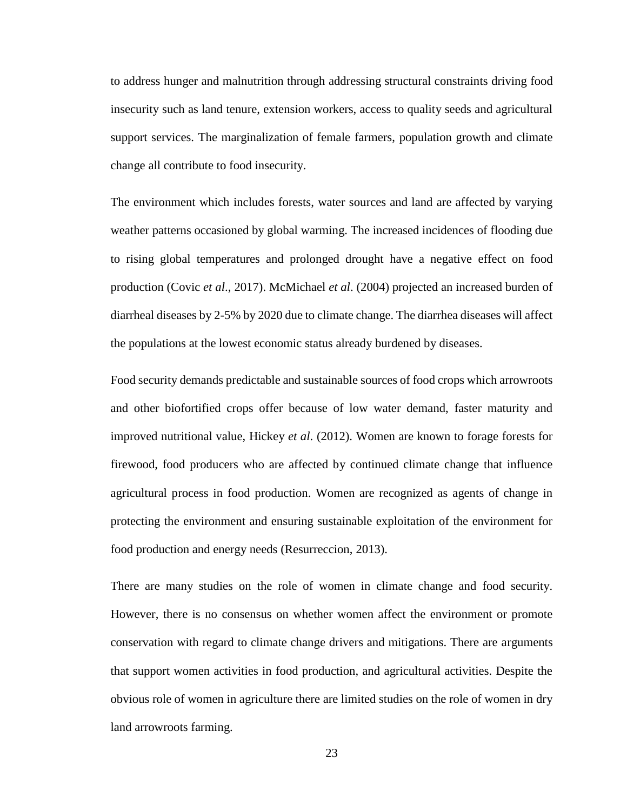to address hunger and malnutrition through addressing structural constraints driving food insecurity such as land tenure, extension workers, access to quality seeds and agricultural support services. The marginalization of female farmers, population growth and climate change all contribute to food insecurity.

The environment which includes forests, water sources and land are affected by varying weather patterns occasioned by global warming. The increased incidences of flooding due to rising global temperatures and prolonged drought have a negative effect on food production (Covic *et al*., 2017). McMichael *et al*. (2004) projected an increased burden of diarrheal diseases by 2-5% by 2020 due to climate change. The diarrhea diseases will affect the populations at the lowest economic status already burdened by diseases.

Food security demands predictable and sustainable sources of food crops which arrowroots and other biofortified crops offer because of low water demand, faster maturity and improved nutritional value, Hickey *et al*. (2012). Women are known to forage forests for firewood, food producers who are affected by continued climate change that influence agricultural process in food production. Women are recognized as agents of change in protecting the environment and ensuring sustainable exploitation of the environment for food production and energy needs (Resurreccion, 2013).

There are many studies on the role of women in climate change and food security. However, there is no consensus on whether women affect the environment or promote conservation with regard to climate change drivers and mitigations. There are arguments that support women activities in food production, and agricultural activities. Despite the obvious role of women in agriculture there are limited studies on the role of women in dry land arrowroots farming.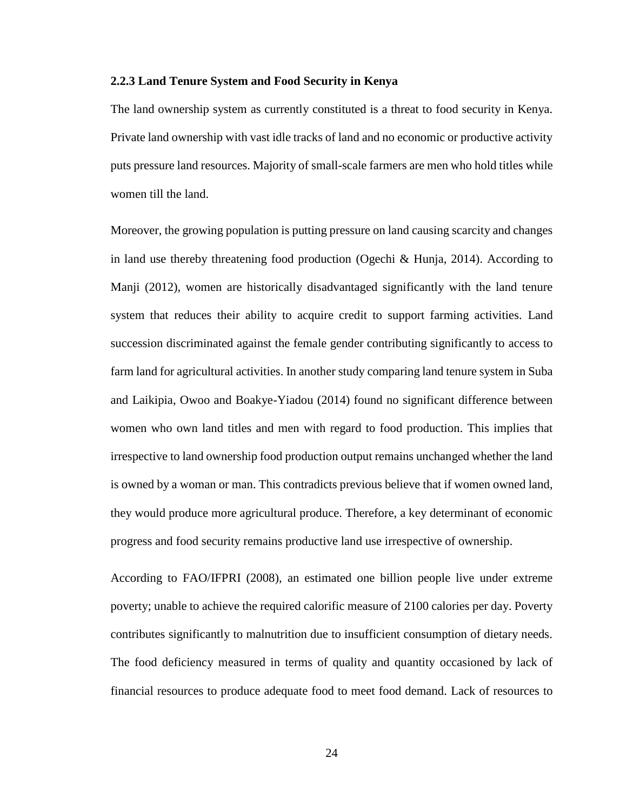### **2.2.3 Land Tenure System and Food Security in Kenya**

The land ownership system as currently constituted is a threat to food security in Kenya. Private land ownership with vast idle tracks of land and no economic or productive activity puts pressure land resources. Majority of small-scale farmers are men who hold titles while women till the land.

Moreover, the growing population is putting pressure on land causing scarcity and changes in land use thereby threatening food production (Ogechi & Hunja, 2014). According to Manji (2012), women are historically disadvantaged significantly with the land tenure system that reduces their ability to acquire credit to support farming activities. Land succession discriminated against the female gender contributing significantly to access to farm land for agricultural activities. In another study comparing land tenure system in Suba and Laikipia, Owoo and Boakye-Yiadou (2014) found no significant difference between women who own land titles and men with regard to food production. This implies that irrespective to land ownership food production output remains unchanged whether the land is owned by a woman or man. This contradicts previous believe that if women owned land, they would produce more agricultural produce. Therefore, a key determinant of economic progress and food security remains productive land use irrespective of ownership.

According to FAO/IFPRI (2008), an estimated one billion people live under extreme poverty; unable to achieve the required calorific measure of 2100 calories per day. Poverty contributes significantly to malnutrition due to insufficient consumption of dietary needs. The food deficiency measured in terms of quality and quantity occasioned by lack of financial resources to produce adequate food to meet food demand. Lack of resources to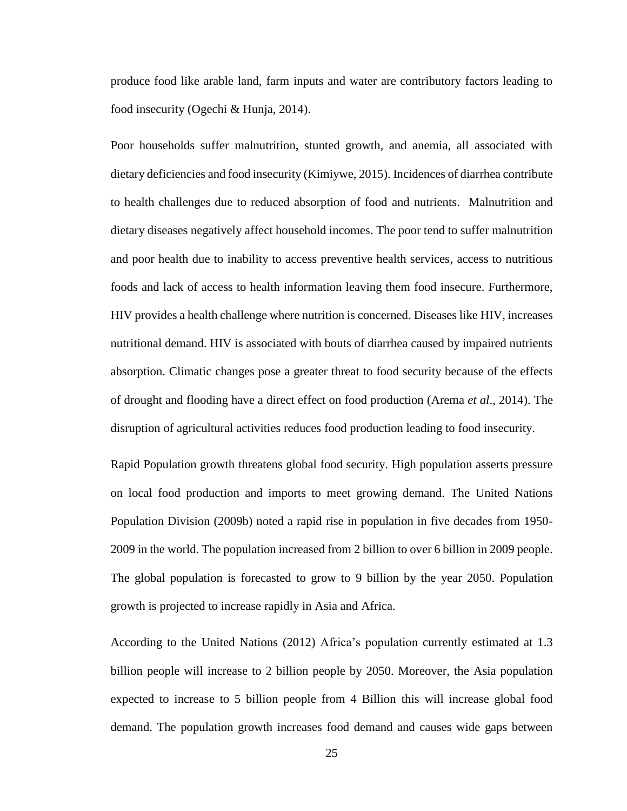produce food like arable land, farm inputs and water are contributory factors leading to food insecurity (Ogechi & Hunja, 2014).

Poor households suffer malnutrition, stunted growth, and anemia, all associated with dietary deficiencies and food insecurity (Kimiywe, 2015). Incidences of diarrhea contribute to health challenges due to reduced absorption of food and nutrients. Malnutrition and dietary diseases negatively affect household incomes. The poor tend to suffer malnutrition and poor health due to inability to access preventive health services, access to nutritious foods and lack of access to health information leaving them food insecure. Furthermore, HIV provides a health challenge where nutrition is concerned. Diseases like HIV, increases nutritional demand. HIV is associated with bouts of diarrhea caused by impaired nutrients absorption. Climatic changes pose a greater threat to food security because of the effects of drought and flooding have a direct effect on food production (Arema *et al*., 2014). The disruption of agricultural activities reduces food production leading to food insecurity.

Rapid Population growth threatens global food security. High population asserts pressure on local food production and imports to meet growing demand. The United Nations Population Division (2009b) noted a rapid rise in population in five decades from 1950- 2009 in the world. The population increased from 2 billion to over 6 billion in 2009 people. The global population is forecasted to grow to 9 billion by the year 2050. Population growth is projected to increase rapidly in Asia and Africa.

According to the United Nations (2012) Africa's population currently estimated at 1.3 billion people will increase to 2 billion people by 2050. Moreover, the Asia population expected to increase to 5 billion people from 4 Billion this will increase global food demand. The population growth increases food demand and causes wide gaps between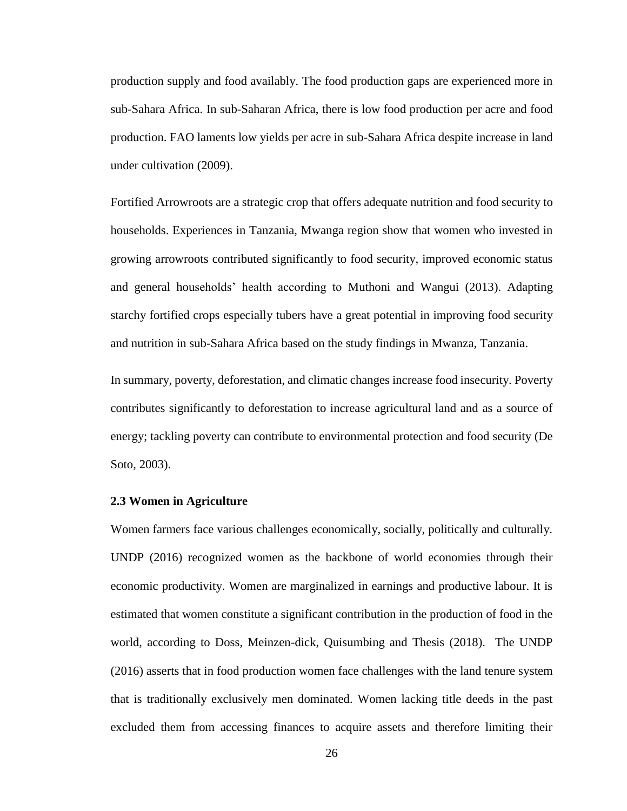production supply and food availably. The food production gaps are experienced more in sub-Sahara Africa. In sub-Saharan Africa, there is low food production per acre and food production. FAO laments low yields per acre in sub-Sahara Africa despite increase in land under cultivation (2009).

Fortified Arrowroots are a strategic crop that offers adequate nutrition and food security to households. Experiences in Tanzania, Mwanga region show that women who invested in growing arrowroots contributed significantly to food security, improved economic status and general households' health according to Muthoni and Wangui (2013). Adapting starchy fortified crops especially tubers have a great potential in improving food security and nutrition in sub-Sahara Africa based on the study findings in Mwanza, Tanzania.

In summary, poverty, deforestation, and climatic changes increase food insecurity. Poverty contributes significantly to deforestation to increase agricultural land and as a source of energy; tackling poverty can contribute to environmental protection and food security (De Soto, 2003).

## **2.3 Women in Agriculture**

Women farmers face various challenges economically, socially, politically and culturally. UNDP (2016) recognized women as the backbone of world economies through their economic productivity. Women are marginalized in earnings and productive labour. It is estimated that women constitute a significant contribution in the production of food in the world, according to Doss, Meinzen-dick, Quisumbing and Thesis (2018). The UNDP (2016) asserts that in food production women face challenges with the land tenure system that is traditionally exclusively men dominated. Women lacking title deeds in the past excluded them from accessing finances to acquire assets and therefore limiting their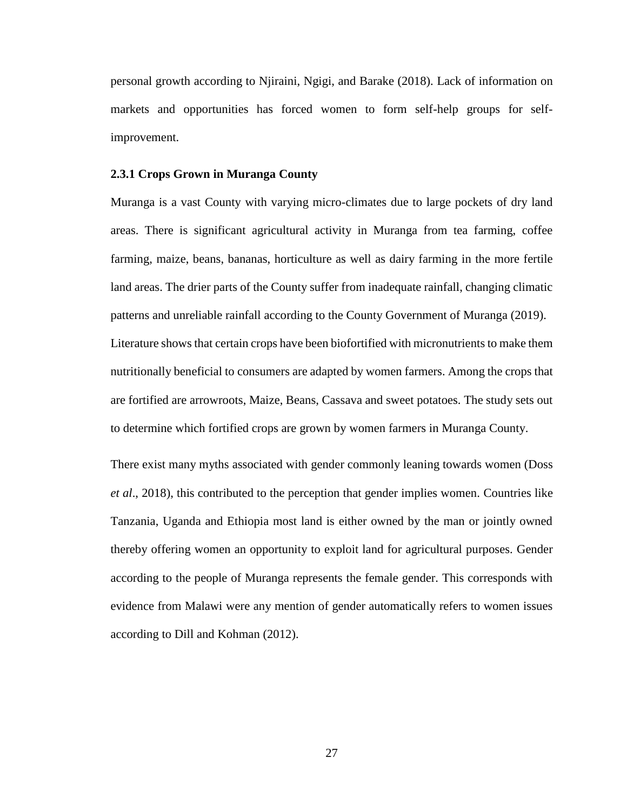personal growth according to Njiraini, Ngigi, and Barake (2018). Lack of information on markets and opportunities has forced women to form self-help groups for selfimprovement.

### **2.3.1 Crops Grown in Muranga County**

Muranga is a vast County with varying micro-climates due to large pockets of dry land areas. There is significant agricultural activity in Muranga from tea farming, coffee farming, maize, beans, bananas, horticulture as well as dairy farming in the more fertile land areas. The drier parts of the County suffer from inadequate rainfall, changing climatic patterns and unreliable rainfall according to the County Government of Muranga (2019). Literature shows that certain crops have been biofortified with micronutrients to make them nutritionally beneficial to consumers are adapted by women farmers. Among the crops that are fortified are arrowroots, Maize, Beans, Cassava and sweet potatoes. The study sets out to determine which fortified crops are grown by women farmers in Muranga County.

There exist many myths associated with gender commonly leaning towards women (Doss *et al*., 2018), this contributed to the perception that gender implies women. Countries like Tanzania, Uganda and Ethiopia most land is either owned by the man or jointly owned thereby offering women an opportunity to exploit land for agricultural purposes. Gender according to the people of Muranga represents the female gender. This corresponds with evidence from Malawi were any mention of gender automatically refers to women issues according to Dill and Kohman (2012).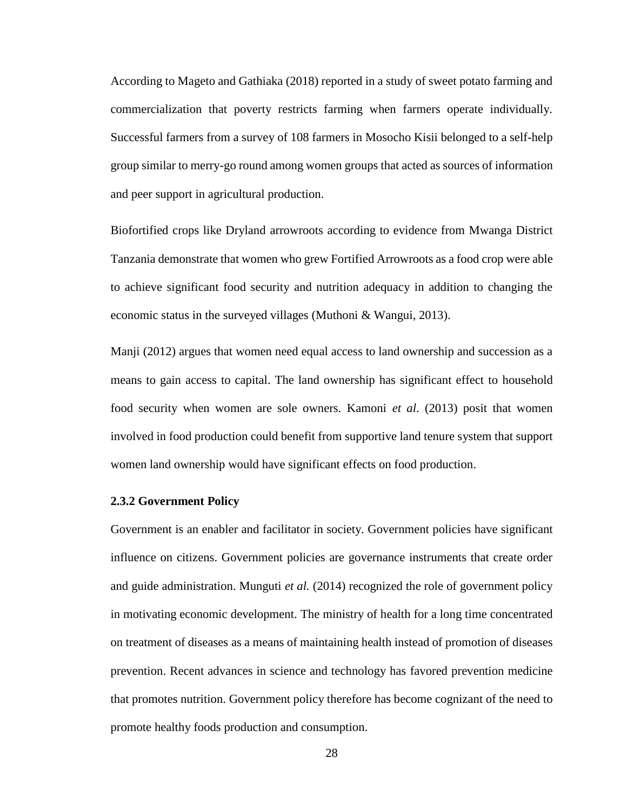According to Mageto and Gathiaka (2018) reported in a study of sweet potato farming and commercialization that poverty restricts farming when farmers operate individually. Successful farmers from a survey of 108 farmers in Mosocho Kisii belonged to a self-help group similar to merry-go round among women groups that acted as sources of information and peer support in agricultural production.

Biofortified crops like Dryland arrowroots according to evidence from Mwanga District Tanzania demonstrate that women who grew Fortified Arrowroots as a food crop were able to achieve significant food security and nutrition adequacy in addition to changing the economic status in the surveyed villages (Muthoni & Wangui, 2013).

Manji (2012) argues that women need equal access to land ownership and succession as a means to gain access to capital. The land ownership has significant effect to household food security when women are sole owners. Kamoni *et al*. (2013) posit that women involved in food production could benefit from supportive land tenure system that support women land ownership would have significant effects on food production.

### **2.3.2 Government Policy**

Government is an enabler and facilitator in society. Government policies have significant influence on citizens. Government policies are governance instruments that create order and guide administration. Munguti *et al.* (2014) recognized the role of government policy in motivating economic development. The ministry of health for a long time concentrated on treatment of diseases as a means of maintaining health instead of promotion of diseases prevention. Recent advances in science and technology has favored prevention medicine that promotes nutrition. Government policy therefore has become cognizant of the need to promote healthy foods production and consumption.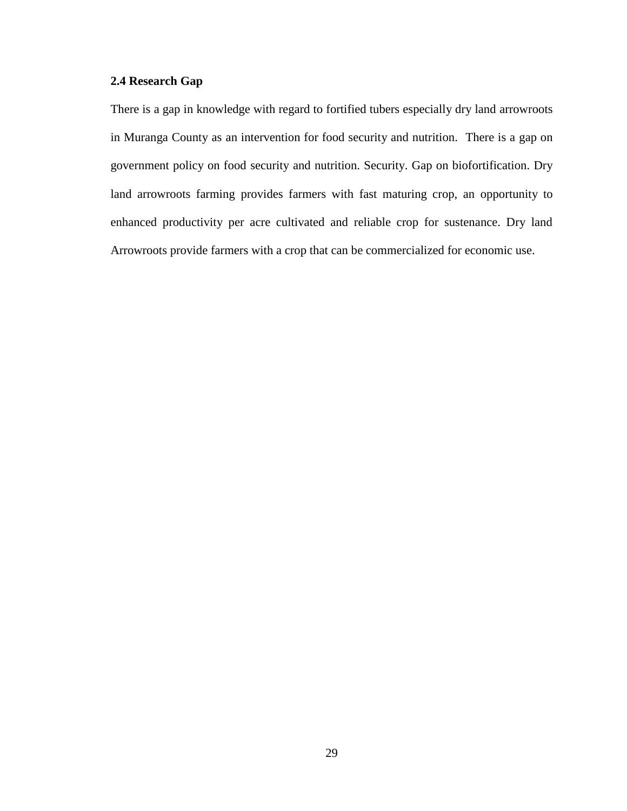## **2.4 Research Gap**

There is a gap in knowledge with regard to fortified tubers especially dry land arrowroots in Muranga County as an intervention for food security and nutrition. There is a gap on government policy on food security and nutrition. Security. Gap on biofortification. Dry land arrowroots farming provides farmers with fast maturing crop, an opportunity to enhanced productivity per acre cultivated and reliable crop for sustenance. Dry land Arrowroots provide farmers with a crop that can be commercialized for economic use.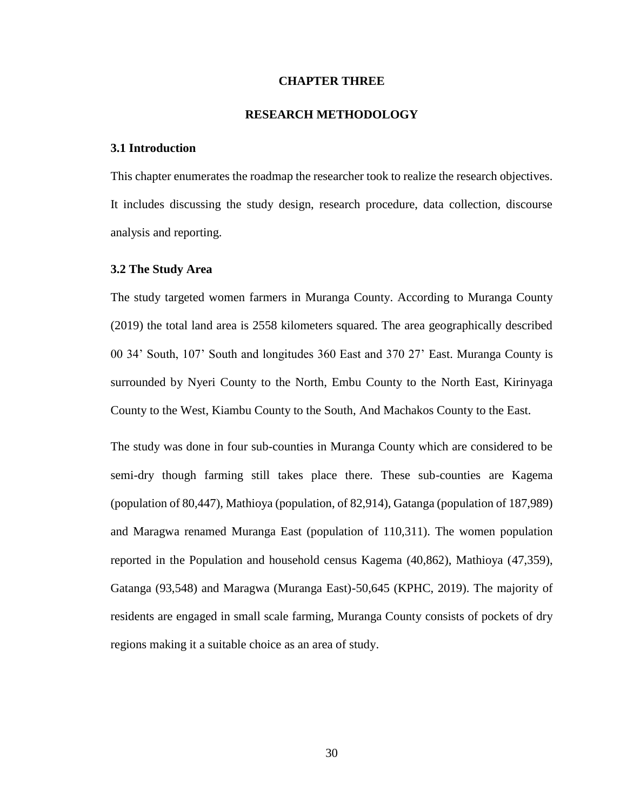### **CHAPTER THREE**

## **RESEARCH METHODOLOGY**

### **3.1 Introduction**

This chapter enumerates the roadmap the researcher took to realize the research objectives. It includes discussing the study design, research procedure, data collection, discourse analysis and reporting.

### **3.2 The Study Area**

The study targeted women farmers in Muranga County. According to Muranga County (2019) the total land area is 2558 kilometers squared. The area geographically described 00 34' South, 107' South and longitudes 360 East and 370 27' East. Muranga County is surrounded by Nyeri County to the North, Embu County to the North East, Kirinyaga County to the West, Kiambu County to the South, And Machakos County to the East.

The study was done in four sub-counties in Muranga County which are considered to be semi-dry though farming still takes place there. These sub-counties are Kagema (population of 80,447), Mathioya (population, of 82,914), Gatanga (population of 187,989) and Maragwa renamed Muranga East (population of 110,311). The women population reported in the Population and household census Kagema (40,862), Mathioya (47,359), Gatanga (93,548) and Maragwa (Muranga East)-50,645 (KPHC, 2019). The majority of residents are engaged in small scale farming, Muranga County consists of pockets of dry regions making it a suitable choice as an area of study.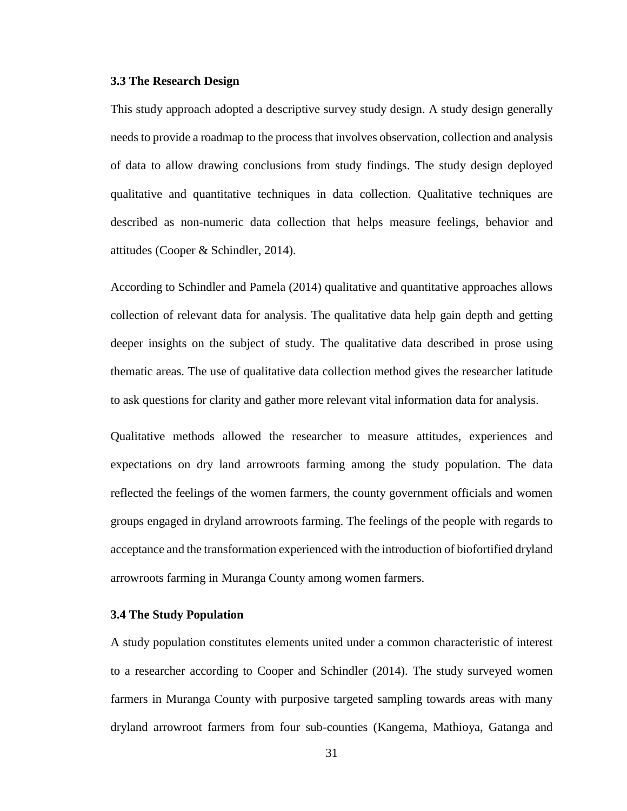### **3.3 The Research Design**

This study approach adopted a descriptive survey study design. A study design generally needs to provide a roadmap to the process that involves observation, collection and analysis of data to allow drawing conclusions from study findings. The study design deployed qualitative and quantitative techniques in data collection. Qualitative techniques are described as non-numeric data collection that helps measure feelings, behavior and attitudes (Cooper & Schindler, 2014).

According to Schindler and Pamela (2014) qualitative and quantitative approaches allows collection of relevant data for analysis. The qualitative data help gain depth and getting deeper insights on the subject of study. The qualitative data described in prose using thematic areas. The use of qualitative data collection method gives the researcher latitude to ask questions for clarity and gather more relevant vital information data for analysis.

Qualitative methods allowed the researcher to measure attitudes, experiences and expectations on dry land arrowroots farming among the study population. The data reflected the feelings of the women farmers, the county government officials and women groups engaged in dryland arrowroots farming. The feelings of the people with regards to acceptance and the transformation experienced with the introduction of biofortified dryland arrowroots farming in Muranga County among women farmers.

## **3.4 The Study Population**

A study population constitutes elements united under a common characteristic of interest to a researcher according to Cooper and Schindler (2014). The study surveyed women farmers in Muranga County with purposive targeted sampling towards areas with many dryland arrowroot farmers from four sub-counties (Kangema, Mathioya, Gatanga and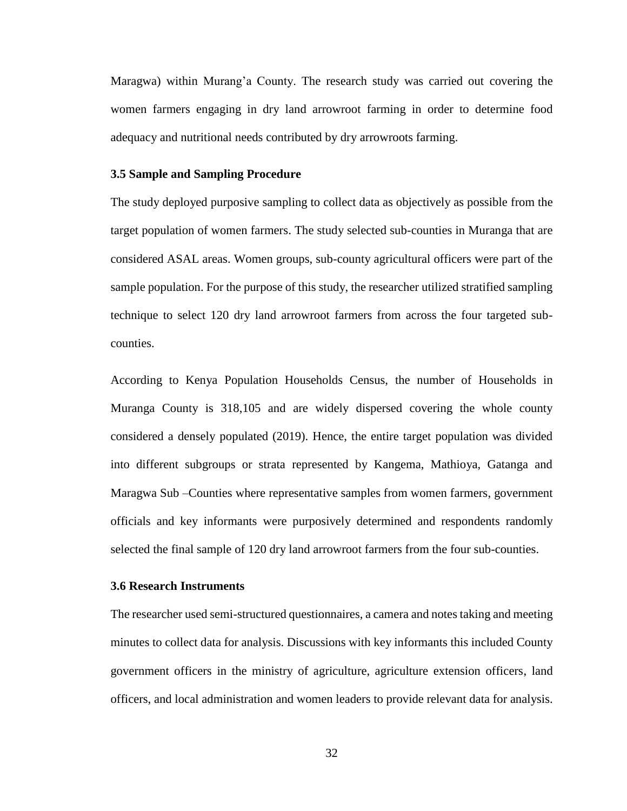Maragwa) within Murang'a County. The research study was carried out covering the women farmers engaging in dry land arrowroot farming in order to determine food adequacy and nutritional needs contributed by dry arrowroots farming.

## **3.5 Sample and Sampling Procedure**

The study deployed purposive sampling to collect data as objectively as possible from the target population of women farmers. The study selected sub-counties in Muranga that are considered ASAL areas. Women groups, sub-county agricultural officers were part of the sample population. For the purpose of this study, the researcher utilized stratified sampling technique to select 120 dry land arrowroot farmers from across the four targeted subcounties.

According to Kenya Population Households Census, the number of Households in Muranga County is 318,105 and are widely dispersed covering the whole county considered a densely populated (2019). Hence, the entire target population was divided into different subgroups or strata represented by Kangema, Mathioya, Gatanga and Maragwa Sub –Counties where representative samples from women farmers, government officials and key informants were purposively determined and respondents randomly selected the final sample of 120 dry land arrowroot farmers from the four sub-counties.

## **3.6 Research Instruments**

The researcher used semi-structured questionnaires, a camera and notes taking and meeting minutes to collect data for analysis. Discussions with key informants this included County government officers in the ministry of agriculture, agriculture extension officers, land officers, and local administration and women leaders to provide relevant data for analysis.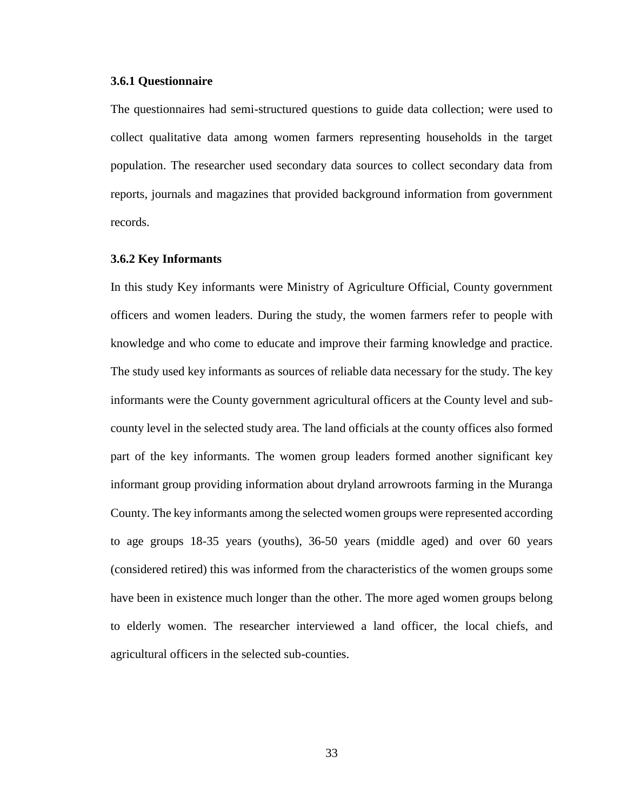### **3.6.1 Questionnaire**

The questionnaires had semi-structured questions to guide data collection; were used to collect qualitative data among women farmers representing households in the target population. The researcher used secondary data sources to collect secondary data from reports, journals and magazines that provided background information from government records.

### **3.6.2 Key Informants**

In this study Key informants were Ministry of Agriculture Official, County government officers and women leaders. During the study, the women farmers refer to people with knowledge and who come to educate and improve their farming knowledge and practice. The study used key informants as sources of reliable data necessary for the study. The key informants were the County government agricultural officers at the County level and subcounty level in the selected study area. The land officials at the county offices also formed part of the key informants. The women group leaders formed another significant key informant group providing information about dryland arrowroots farming in the Muranga County. The key informants among the selected women groups were represented according to age groups 18-35 years (youths), 36-50 years (middle aged) and over 60 years (considered retired) this was informed from the characteristics of the women groups some have been in existence much longer than the other. The more aged women groups belong to elderly women. The researcher interviewed a land officer, the local chiefs, and agricultural officers in the selected sub-counties.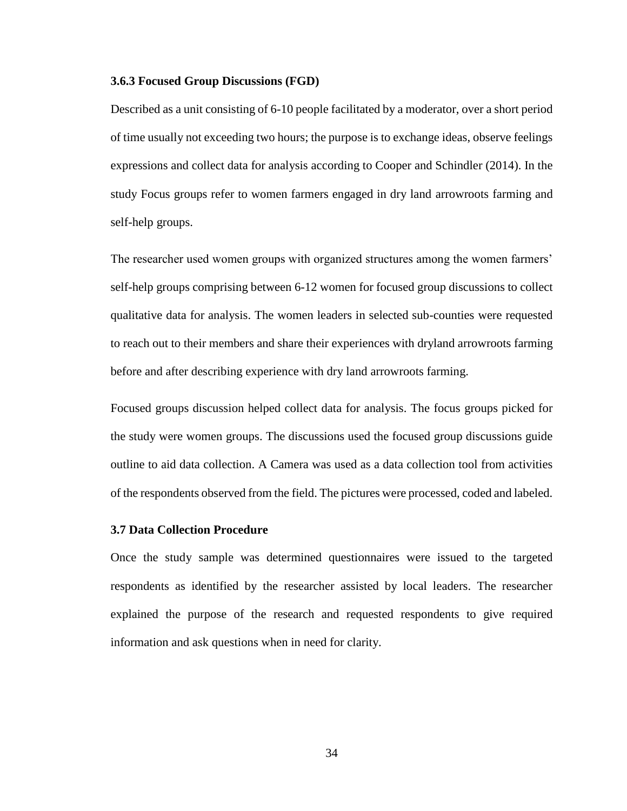### **3.6.3 Focused Group Discussions (FGD)**

Described as a unit consisting of 6-10 people facilitated by a moderator, over a short period of time usually not exceeding two hours; the purpose is to exchange ideas, observe feelings expressions and collect data for analysis according to Cooper and Schindler (2014). In the study Focus groups refer to women farmers engaged in dry land arrowroots farming and self-help groups.

The researcher used women groups with organized structures among the women farmers' self-help groups comprising between 6-12 women for focused group discussions to collect qualitative data for analysis. The women leaders in selected sub-counties were requested to reach out to their members and share their experiences with dryland arrowroots farming before and after describing experience with dry land arrowroots farming.

Focused groups discussion helped collect data for analysis. The focus groups picked for the study were women groups. The discussions used the focused group discussions guide outline to aid data collection. A Camera was used as a data collection tool from activities of the respondents observed from the field. The pictures were processed, coded and labeled.

### **3.7 Data Collection Procedure**

Once the study sample was determined questionnaires were issued to the targeted respondents as identified by the researcher assisted by local leaders. The researcher explained the purpose of the research and requested respondents to give required information and ask questions when in need for clarity.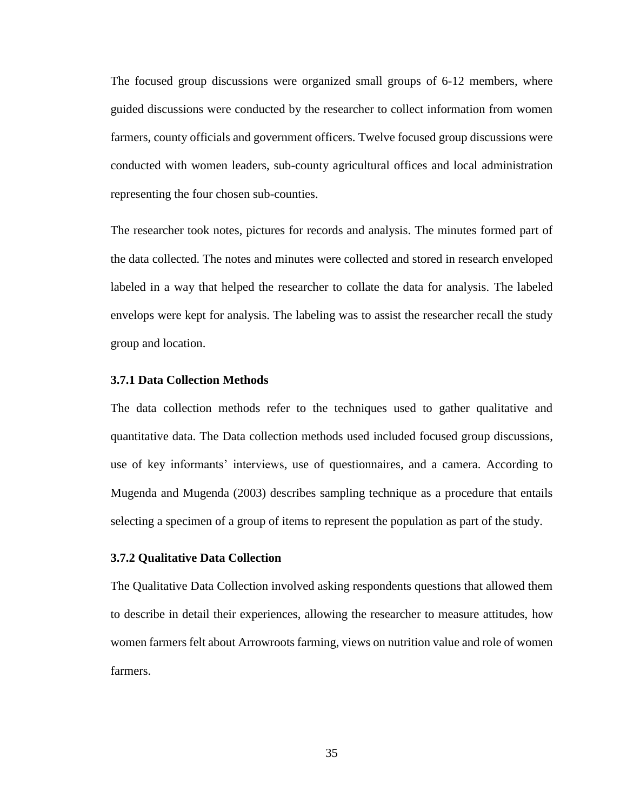The focused group discussions were organized small groups of 6-12 members, where guided discussions were conducted by the researcher to collect information from women farmers, county officials and government officers. Twelve focused group discussions were conducted with women leaders, sub-county agricultural offices and local administration representing the four chosen sub-counties.

The researcher took notes, pictures for records and analysis. The minutes formed part of the data collected. The notes and minutes were collected and stored in research enveloped labeled in a way that helped the researcher to collate the data for analysis. The labeled envelops were kept for analysis. The labeling was to assist the researcher recall the study group and location.

## **3.7.1 Data Collection Methods**

The data collection methods refer to the techniques used to gather qualitative and quantitative data. The Data collection methods used included focused group discussions, use of key informants' interviews, use of questionnaires, and a camera. According to Mugenda and Mugenda (2003) describes sampling technique as a procedure that entails selecting a specimen of a group of items to represent the population as part of the study.

### **3.7.2 Qualitative Data Collection**

The Qualitative Data Collection involved asking respondents questions that allowed them to describe in detail their experiences, allowing the researcher to measure attitudes, how women farmers felt about Arrowroots farming, views on nutrition value and role of women farmers.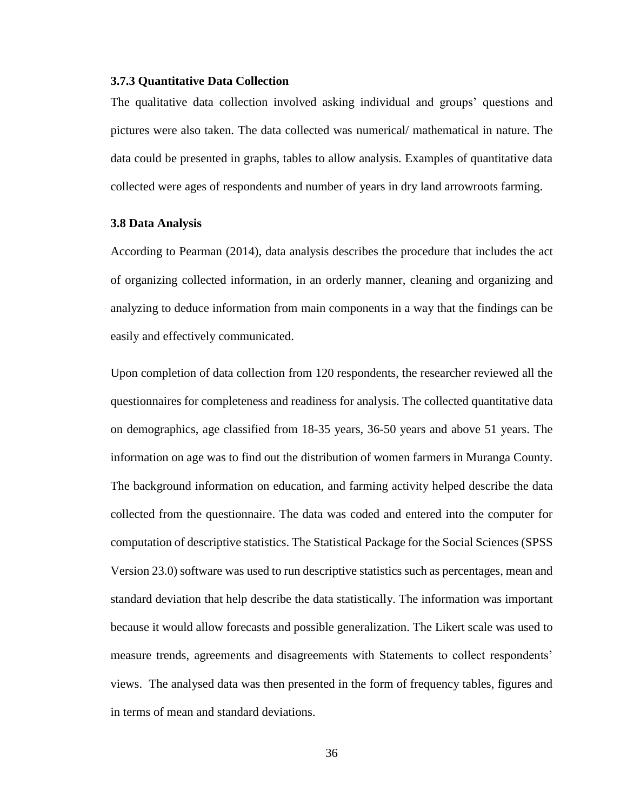### **3.7.3 Quantitative Data Collection**

The qualitative data collection involved asking individual and groups' questions and pictures were also taken. The data collected was numerical/ mathematical in nature. The data could be presented in graphs, tables to allow analysis. Examples of quantitative data collected were ages of respondents and number of years in dry land arrowroots farming.

#### **3.8 Data Analysis**

According to Pearman (2014), data analysis describes the procedure that includes the act of organizing collected information, in an orderly manner, cleaning and organizing and analyzing to deduce information from main components in a way that the findings can be easily and effectively communicated.

Upon completion of data collection from 120 respondents, the researcher reviewed all the questionnaires for completeness and readiness for analysis. The collected quantitative data on demographics, age classified from 18-35 years, 36-50 years and above 51 years. The information on age was to find out the distribution of women farmers in Muranga County. The background information on education, and farming activity helped describe the data collected from the questionnaire. The data was coded and entered into the computer for computation of descriptive statistics. The Statistical Package for the Social Sciences (SPSS Version 23.0) software was used to run descriptive statistics such as percentages, mean and standard deviation that help describe the data statistically. The information was important because it would allow forecasts and possible generalization. The Likert scale was used to measure trends, agreements and disagreements with Statements to collect respondents' views. The analysed data was then presented in the form of frequency tables, figures and in terms of mean and standard deviations.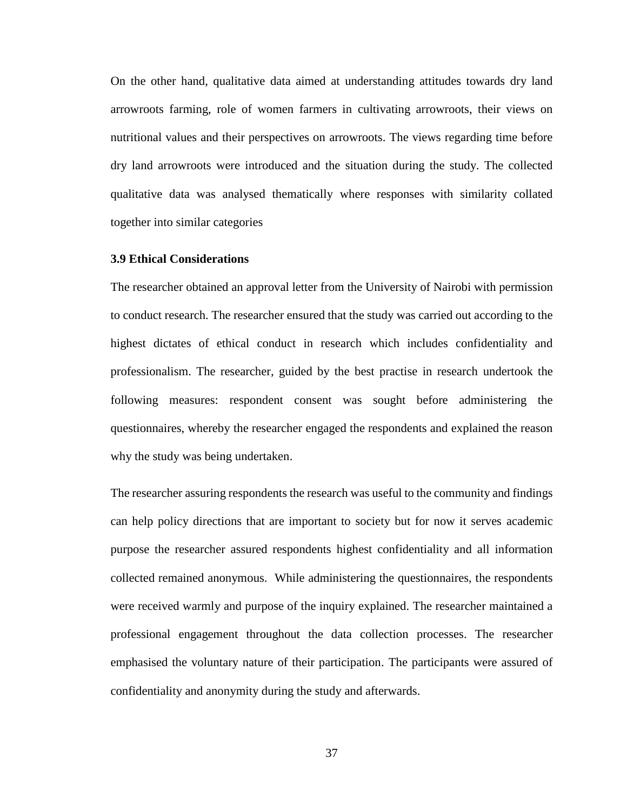On the other hand, qualitative data aimed at understanding attitudes towards dry land arrowroots farming, role of women farmers in cultivating arrowroots, their views on nutritional values and their perspectives on arrowroots. The views regarding time before dry land arrowroots were introduced and the situation during the study. The collected qualitative data was analysed thematically where responses with similarity collated together into similar categories

### **3.9 Ethical Considerations**

The researcher obtained an approval letter from the University of Nairobi with permission to conduct research. The researcher ensured that the study was carried out according to the highest dictates of ethical conduct in research which includes confidentiality and professionalism. The researcher, guided by the best practise in research undertook the following measures: respondent consent was sought before administering the questionnaires, whereby the researcher engaged the respondents and explained the reason why the study was being undertaken.

The researcher assuring respondents the research was useful to the community and findings can help policy directions that are important to society but for now it serves academic purpose the researcher assured respondents highest confidentiality and all information collected remained anonymous. While administering the questionnaires, the respondents were received warmly and purpose of the inquiry explained. The researcher maintained a professional engagement throughout the data collection processes. The researcher emphasised the voluntary nature of their participation. The participants were assured of confidentiality and anonymity during the study and afterwards.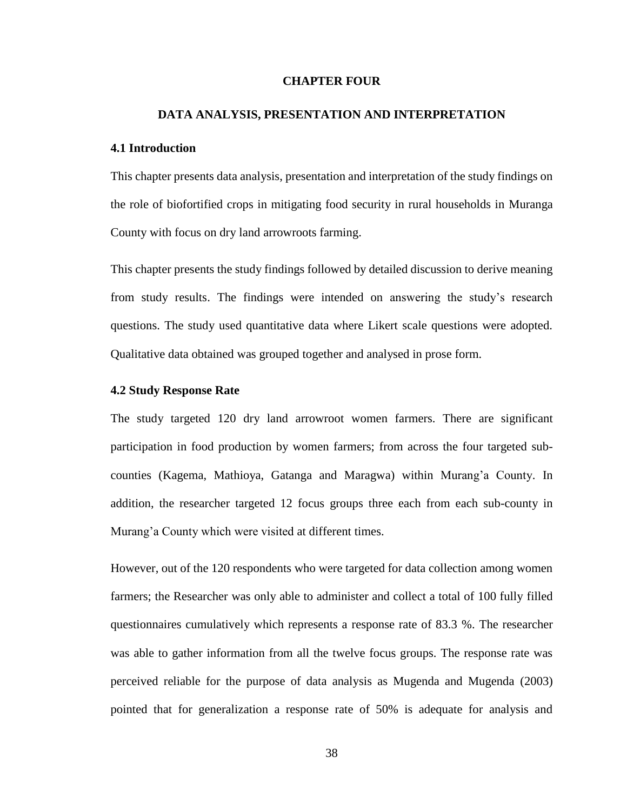### **CHAPTER FOUR**

### **DATA ANALYSIS, PRESENTATION AND INTERPRETATION**

### **4.1 Introduction**

This chapter presents data analysis, presentation and interpretation of the study findings on the role of biofortified crops in mitigating food security in rural households in Muranga County with focus on dry land arrowroots farming.

This chapter presents the study findings followed by detailed discussion to derive meaning from study results. The findings were intended on answering the study's research questions. The study used quantitative data where Likert scale questions were adopted. Qualitative data obtained was grouped together and analysed in prose form.

### **4.2 Study Response Rate**

The study targeted 120 dry land arrowroot women farmers. There are significant participation in food production by women farmers; from across the four targeted subcounties (Kagema, Mathioya, Gatanga and Maragwa) within Murang'a County. In addition, the researcher targeted 12 focus groups three each from each sub-county in Murang'a County which were visited at different times.

However, out of the 120 respondents who were targeted for data collection among women farmers; the Researcher was only able to administer and collect a total of 100 fully filled questionnaires cumulatively which represents a response rate of 83.3 %. The researcher was able to gather information from all the twelve focus groups. The response rate was perceived reliable for the purpose of data analysis as Mugenda and Mugenda (2003) pointed that for generalization a response rate of 50% is adequate for analysis and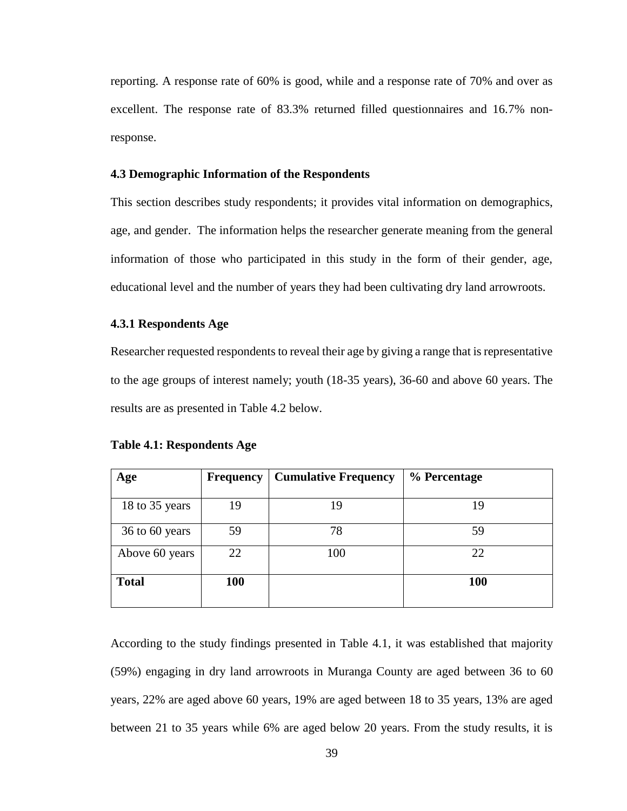reporting. A response rate of 60% is good, while and a response rate of 70% and over as excellent. The response rate of 83.3% returned filled questionnaires and 16.7% nonresponse.

### **4.3 Demographic Information of the Respondents**

This section describes study respondents; it provides vital information on demographics, age, and gender. The information helps the researcher generate meaning from the general information of those who participated in this study in the form of their gender, age, educational level and the number of years they had been cultivating dry land arrowroots.

### **4.3.1 Respondents Age**

Researcher requested respondents to reveal their age by giving a range that is representative to the age groups of interest namely; youth (18-35 years), 36-60 and above 60 years. The results are as presented in Table 4.2 below.

| Age            | <b>Frequency</b> | <b>Cumulative Frequency</b> | % Percentage |
|----------------|------------------|-----------------------------|--------------|
|                |                  |                             |              |
| 18 to 35 years | 19               | 19                          | 19           |
| 36 to 60 years | 59               | 78                          | 59           |
| Above 60 years | 22               | 100                         | 22           |
| <b>Total</b>   | 100              |                             | <b>100</b>   |

**Table 4.1: Respondents Age**

According to the study findings presented in Table 4.1, it was established that majority (59%) engaging in dry land arrowroots in Muranga County are aged between 36 to 60 years, 22% are aged above 60 years, 19% are aged between 18 to 35 years, 13% are aged between 21 to 35 years while 6% are aged below 20 years. From the study results, it is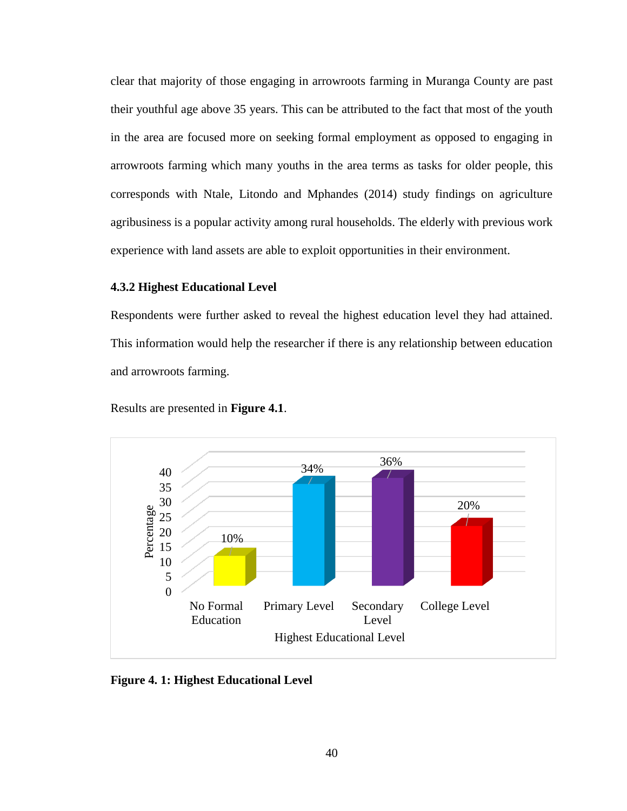clear that majority of those engaging in arrowroots farming in Muranga County are past their youthful age above 35 years. This can be attributed to the fact that most of the youth in the area are focused more on seeking formal employment as opposed to engaging in arrowroots farming which many youths in the area terms as tasks for older people, this corresponds with Ntale, Litondo and Mphandes (2014) study findings on agriculture agribusiness is a popular activity among rural households. The elderly with previous work experience with land assets are able to exploit opportunities in their environment.

## **4.3.2 Highest Educational Level**

Respondents were further asked to reveal the highest education level they had attained. This information would help the researcher if there is any relationship between education and arrowroots farming.



Results are presented in **Figure 4.1**.

**Figure 4. 1: Highest Educational Level**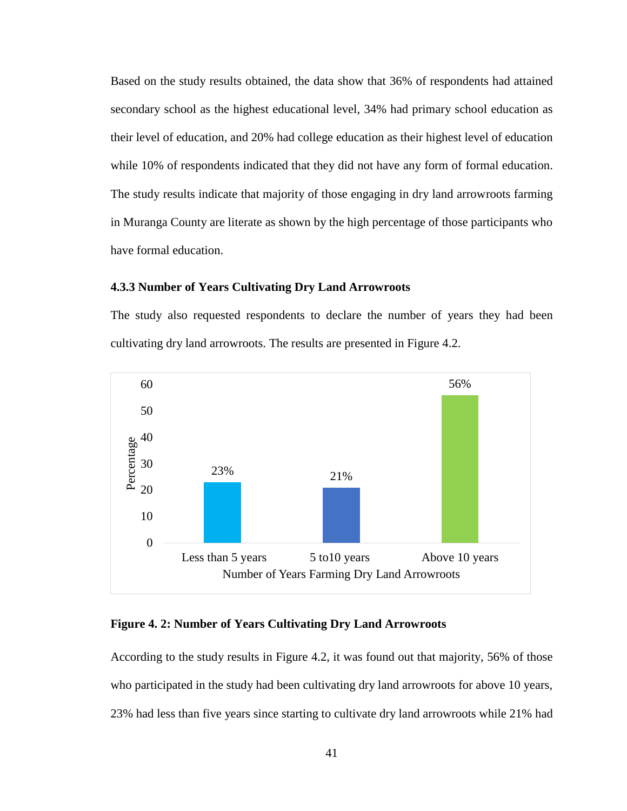Based on the study results obtained, the data show that 36% of respondents had attained secondary school as the highest educational level, 34% had primary school education as their level of education, and 20% had college education as their highest level of education while 10% of respondents indicated that they did not have any form of formal education. The study results indicate that majority of those engaging in dry land arrowroots farming in Muranga County are literate as shown by the high percentage of those participants who have formal education.

## **4.3.3 Number of Years Cultivating Dry Land Arrowroots**

The study also requested respondents to declare the number of years they had been cultivating dry land arrowroots. The results are presented in Figure 4.2.



### **Figure 4. 2: Number of Years Cultivating Dry Land Arrowroots**

According to the study results in Figure 4.2, it was found out that majority, 56% of those who participated in the study had been cultivating dry land arrowroots for above 10 years, 23% had less than five years since starting to cultivate dry land arrowroots while 21% had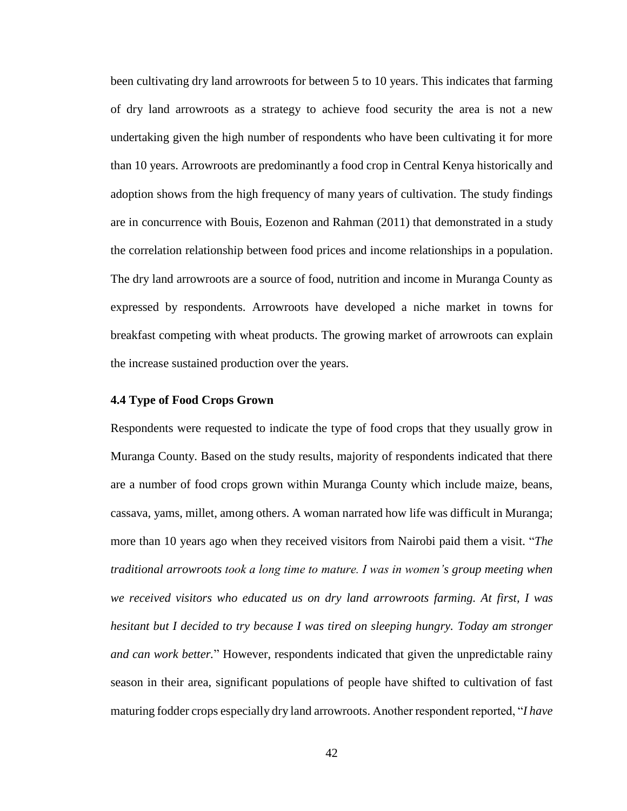been cultivating dry land arrowroots for between 5 to 10 years. This indicates that farming of dry land arrowroots as a strategy to achieve food security the area is not a new undertaking given the high number of respondents who have been cultivating it for more than 10 years. Arrowroots are predominantly a food crop in Central Kenya historically and adoption shows from the high frequency of many years of cultivation. The study findings are in concurrence with Bouis, Eozenon and Rahman (2011) that demonstrated in a study the correlation relationship between food prices and income relationships in a population. The dry land arrowroots are a source of food, nutrition and income in Muranga County as expressed by respondents. Arrowroots have developed a niche market in towns for breakfast competing with wheat products. The growing market of arrowroots can explain the increase sustained production over the years.

### **4.4 Type of Food Crops Grown**

Respondents were requested to indicate the type of food crops that they usually grow in Muranga County. Based on the study results, majority of respondents indicated that there are a number of food crops grown within Muranga County which include maize, beans, cassava, yams, millet, among others. A woman narrated how life was difficult in Muranga; more than 10 years ago when they received visitors from Nairobi paid them a visit. "*The traditional arrowroots took a long time to mature. I was in women's group meeting when we received visitors who educated us on dry land arrowroots farming. At first, I was hesitant but I decided to try because I was tired on sleeping hungry. Today am stronger and can work better.*" However, respondents indicated that given the unpredictable rainy season in their area, significant populations of people have shifted to cultivation of fast maturing fodder crops especially dry land arrowroots. Another respondent reported, "*I have*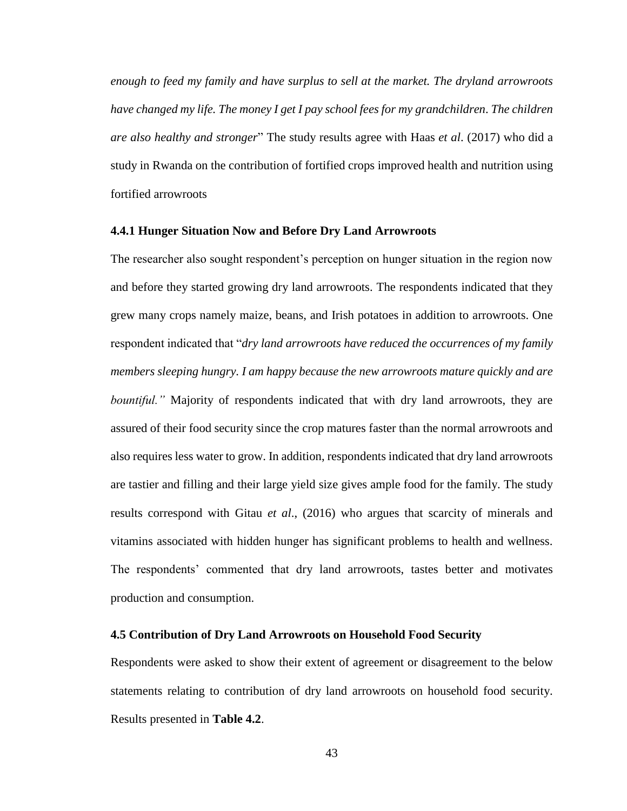*enough to feed my family and have surplus to sell at the market. The dryland arrowroots have changed my life. The money I get I pay school fees for my grandchildren*. *The children are also healthy and stronger*" The study results agree with Haas *et al*. (2017) who did a study in Rwanda on the contribution of fortified crops improved health and nutrition using fortified arrowroots

### **4.4.1 Hunger Situation Now and Before Dry Land Arrowroots**

The researcher also sought respondent's perception on hunger situation in the region now and before they started growing dry land arrowroots. The respondents indicated that they grew many crops namely maize, beans, and Irish potatoes in addition to arrowroots. One respondent indicated that "*dry land arrowroots have reduced the occurrences of my family members sleeping hungry. I am happy because the new arrowroots mature quickly and are bountiful.*" Majority of respondents indicated that with dry land arrowroots, they are assured of their food security since the crop matures faster than the normal arrowroots and also requires less water to grow. In addition, respondents indicated that dry land arrowroots are tastier and filling and their large yield size gives ample food for the family. The study results correspond with Gitau *et al*., (2016) who argues that scarcity of minerals and vitamins associated with hidden hunger has significant problems to health and wellness. The respondents' commented that dry land arrowroots, tastes better and motivates production and consumption.

## **4.5 Contribution of Dry Land Arrowroots on Household Food Security**

Respondents were asked to show their extent of agreement or disagreement to the below statements relating to contribution of dry land arrowroots on household food security. Results presented in **Table 4.2**.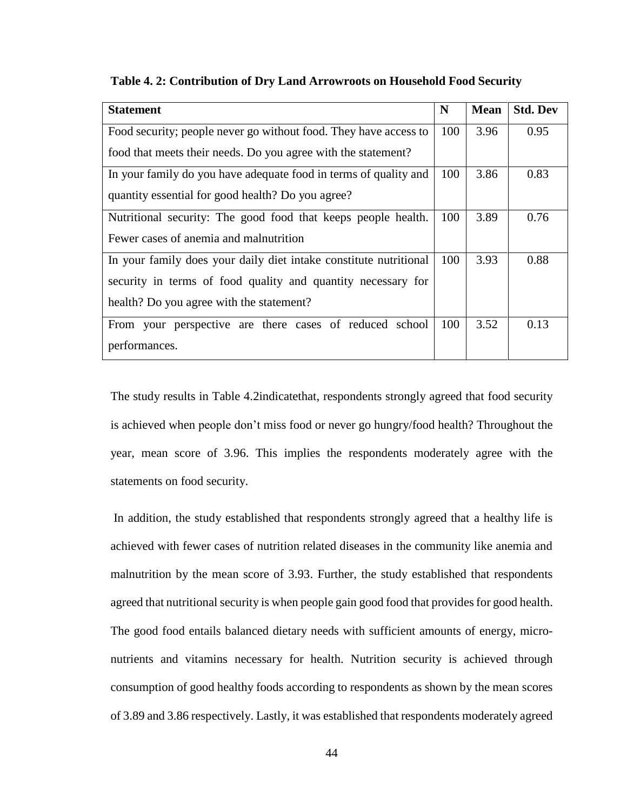| <b>Statement</b>                                                  | N   | <b>Mean</b> | <b>Std. Dev</b> |
|-------------------------------------------------------------------|-----|-------------|-----------------|
| Food security; people never go without food. They have access to  | 100 | 3.96        | 0.95            |
| food that meets their needs. Do you agree with the statement?     |     |             |                 |
| In your family do you have adequate food in terms of quality and  | 100 | 3.86        | 0.83            |
| quantity essential for good health? Do you agree?                 |     |             |                 |
| Nutritional security: The good food that keeps people health.     | 100 | 3.89        | 0.76            |
| Fewer cases of anemia and malnutrition                            |     |             |                 |
| In your family does your daily diet intake constitute nutritional | 100 | 3.93        | 0.88            |
| security in terms of food quality and quantity necessary for      |     |             |                 |
| health? Do you agree with the statement?                          |     |             |                 |
| From your perspective are there cases of reduced school           | 100 | 3.52        | 0.13            |
| performances.                                                     |     |             |                 |

**Table 4. 2: Contribution of Dry Land Arrowroots on Household Food Security**

The study results in Table 4.2indicatethat, respondents strongly agreed that food security is achieved when people don't miss food or never go hungry/food health? Throughout the year, mean score of 3.96. This implies the respondents moderately agree with the statements on food security.

In addition, the study established that respondents strongly agreed that a healthy life is achieved with fewer cases of nutrition related diseases in the community like anemia and malnutrition by the mean score of 3.93. Further, the study established that respondents agreed that nutritional security is when people gain good food that provides for good health. The good food entails balanced dietary needs with sufficient amounts of energy, micronutrients and vitamins necessary for health. Nutrition security is achieved through consumption of good healthy foods according to respondents as shown by the mean scores of 3.89 and 3.86 respectively. Lastly, it was established that respondents moderately agreed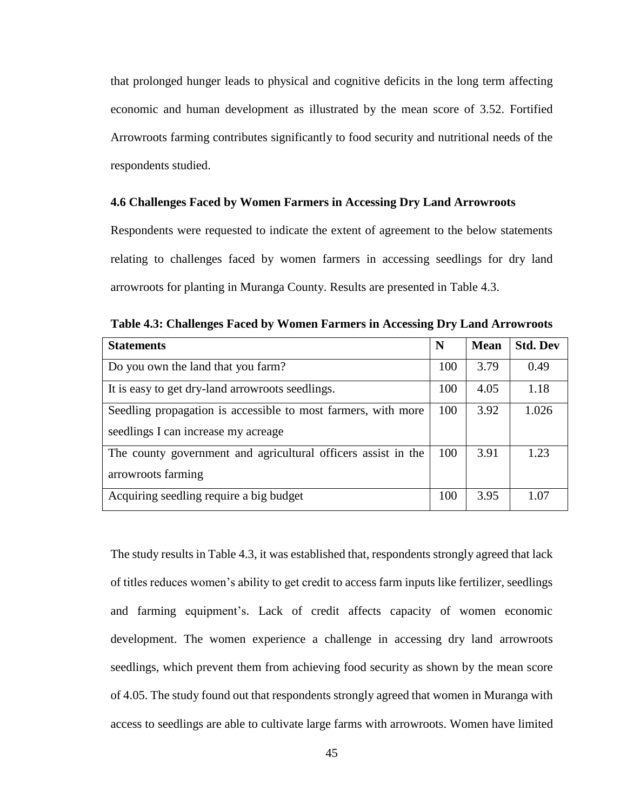that prolonged hunger leads to physical and cognitive deficits in the long term affecting economic and human development as illustrated by the mean score of 3.52. Fortified Arrowroots farming contributes significantly to food security and nutritional needs of the respondents studied.

## **4.6 Challenges Faced by Women Farmers in Accessing Dry Land Arrowroots**

Respondents were requested to indicate the extent of agreement to the below statements relating to challenges faced by women farmers in accessing seedlings for dry land arrowroots for planting in Muranga County. Results are presented in Table 4.3.

| <b>Statements</b>                                             | N   | <b>Mean</b> | <b>Std. Dev</b> |
|---------------------------------------------------------------|-----|-------------|-----------------|
| Do you own the land that you farm?                            | 100 | 3.79        | 0.49            |
| It is easy to get dry-land arrowroots seedlings.              | 100 | 4.05        | 1.18            |
| Seedling propagation is accessible to most farmers, with more | 100 | 3.92        | 1.026           |
| seedlings I can increase my acreage                           |     |             |                 |
| The county government and agricultural officers assist in the | 100 | 3.91        | 1.23            |
| arrowroots farming                                            |     |             |                 |
| Acquiring seedling require a big budget                       | 100 | 3.95        | 1.07            |

**Table 4.3: Challenges Faced by Women Farmers in Accessing Dry Land Arrowroots**

The study results in Table 4.3, it was established that, respondents strongly agreed that lack of titles reduces women's ability to get credit to access farm inputs like fertilizer, seedlings and farming equipment's. Lack of credit affects capacity of women economic development. The women experience a challenge in accessing dry land arrowroots seedlings, which prevent them from achieving food security as shown by the mean score of 4.05. The study found out that respondents strongly agreed that women in Muranga with access to seedlings are able to cultivate large farms with arrowroots. Women have limited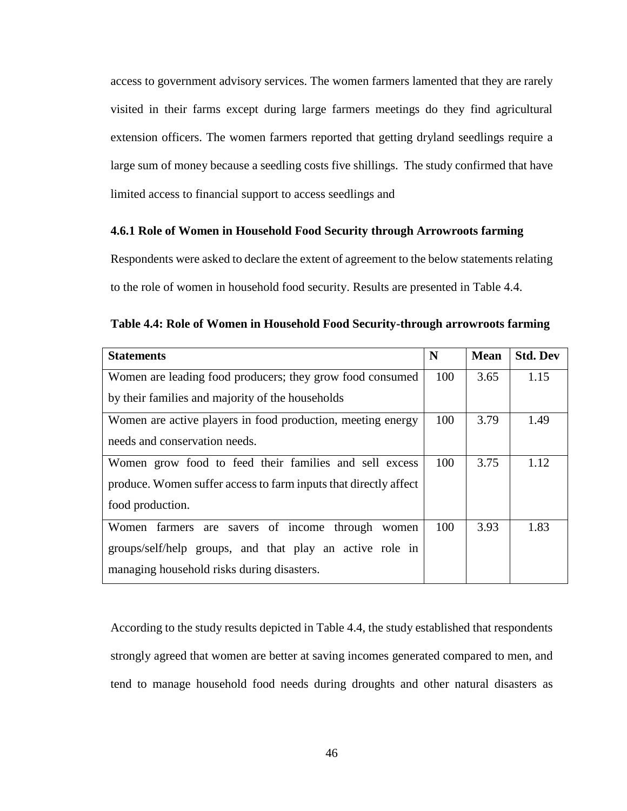access to government advisory services. The women farmers lamented that they are rarely visited in their farms except during large farmers meetings do they find agricultural extension officers. The women farmers reported that getting dryland seedlings require a large sum of money because a seedling costs five shillings. The study confirmed that have limited access to financial support to access seedlings and

## **4.6.1 Role of Women in Household Food Security through Arrowroots farming**

Respondents were asked to declare the extent of agreement to the below statements relating to the role of women in household food security. Results are presented in Table 4.4.

|  |  | Table 4.4: Role of Women in Household Food Security-through arrowroots farming |  |
|--|--|--------------------------------------------------------------------------------|--|
|  |  |                                                                                |  |

| <b>Statements</b>                                                | N   | <b>Mean</b> | <b>Std. Dev</b> |
|------------------------------------------------------------------|-----|-------------|-----------------|
| Women are leading food producers; they grow food consumed        | 100 | 3.65        | 1.15            |
| by their families and majority of the households                 |     |             |                 |
| Women are active players in food production, meeting energy      | 100 | 3.79        | 1.49            |
| needs and conservation needs.                                    |     |             |                 |
| Women grow food to feed their families and sell excess           | 100 | 3.75        | 1.12            |
| produce. Women suffer access to farm inputs that directly affect |     |             |                 |
| food production.                                                 |     |             |                 |
| Women farmers are savers of income through women                 | 100 | 3.93        | 1.83            |
| groups/self/help groups, and that play an active role in         |     |             |                 |
| managing household risks during disasters.                       |     |             |                 |

According to the study results depicted in Table 4.4, the study established that respondents strongly agreed that women are better at saving incomes generated compared to men, and tend to manage household food needs during droughts and other natural disasters as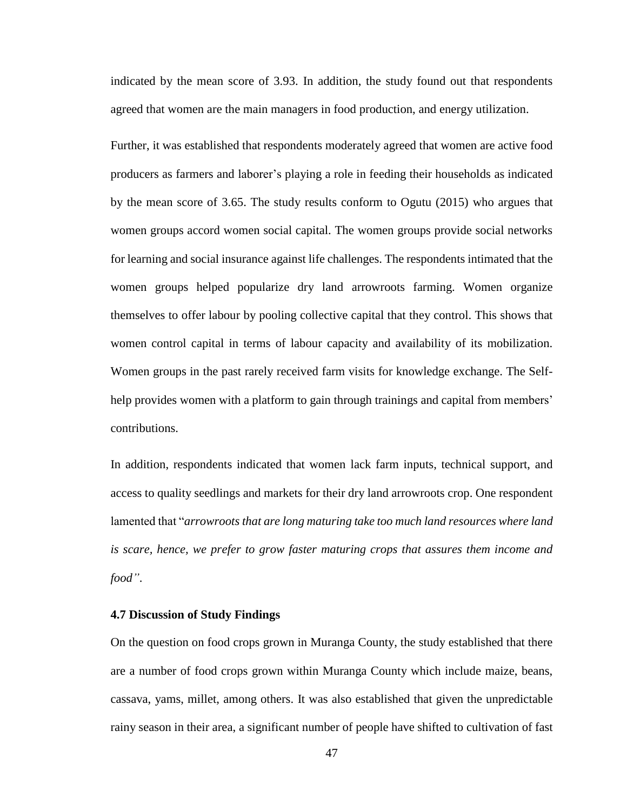indicated by the mean score of 3.93. In addition, the study found out that respondents agreed that women are the main managers in food production, and energy utilization.

Further, it was established that respondents moderately agreed that women are active food producers as farmers and laborer's playing a role in feeding their households as indicated by the mean score of 3.65. The study results conform to Ogutu (2015) who argues that women groups accord women social capital. The women groups provide social networks for learning and social insurance against life challenges. The respondents intimated that the women groups helped popularize dry land arrowroots farming. Women organize themselves to offer labour by pooling collective capital that they control. This shows that women control capital in terms of labour capacity and availability of its mobilization. Women groups in the past rarely received farm visits for knowledge exchange. The Selfhelp provides women with a platform to gain through trainings and capital from members' contributions.

In addition, respondents indicated that women lack farm inputs, technical support, and access to quality seedlings and markets for their dry land arrowroots crop. One respondent lamented that "*arrowroots that are long maturing take too much land resources where land is scare, hence, we prefer to grow faster maturing crops that assures them income and food"*.

## **4.7 Discussion of Study Findings**

On the question on food crops grown in Muranga County, the study established that there are a number of food crops grown within Muranga County which include maize, beans, cassava, yams, millet, among others. It was also established that given the unpredictable rainy season in their area, a significant number of people have shifted to cultivation of fast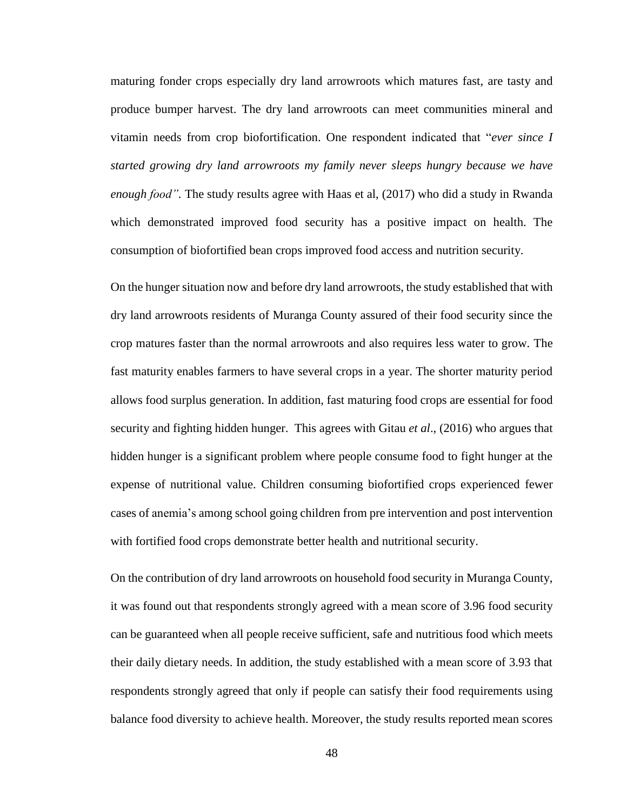maturing fonder crops especially dry land arrowroots which matures fast, are tasty and produce bumper harvest. The dry land arrowroots can meet communities mineral and vitamin needs from crop biofortification. One respondent indicated that "*ever since I started growing dry land arrowroots my family never sleeps hungry because we have enough food".* The study results agree with Haas et al, (2017) who did a study in Rwanda which demonstrated improved food security has a positive impact on health. The consumption of biofortified bean crops improved food access and nutrition security.

On the hunger situation now and before dry land arrowroots, the study established that with dry land arrowroots residents of Muranga County assured of their food security since the crop matures faster than the normal arrowroots and also requires less water to grow. The fast maturity enables farmers to have several crops in a year. The shorter maturity period allows food surplus generation. In addition, fast maturing food crops are essential for food security and fighting hidden hunger. This agrees with Gitau *et al*., (2016) who argues that hidden hunger is a significant problem where people consume food to fight hunger at the expense of nutritional value. Children consuming biofortified crops experienced fewer cases of anemia's among school going children from pre intervention and post intervention with fortified food crops demonstrate better health and nutritional security.

On the contribution of dry land arrowroots on household food security in Muranga County, it was found out that respondents strongly agreed with a mean score of 3.96 food security can be guaranteed when all people receive sufficient, safe and nutritious food which meets their daily dietary needs. In addition, the study established with a mean score of 3.93 that respondents strongly agreed that only if people can satisfy their food requirements using balance food diversity to achieve health. Moreover, the study results reported mean scores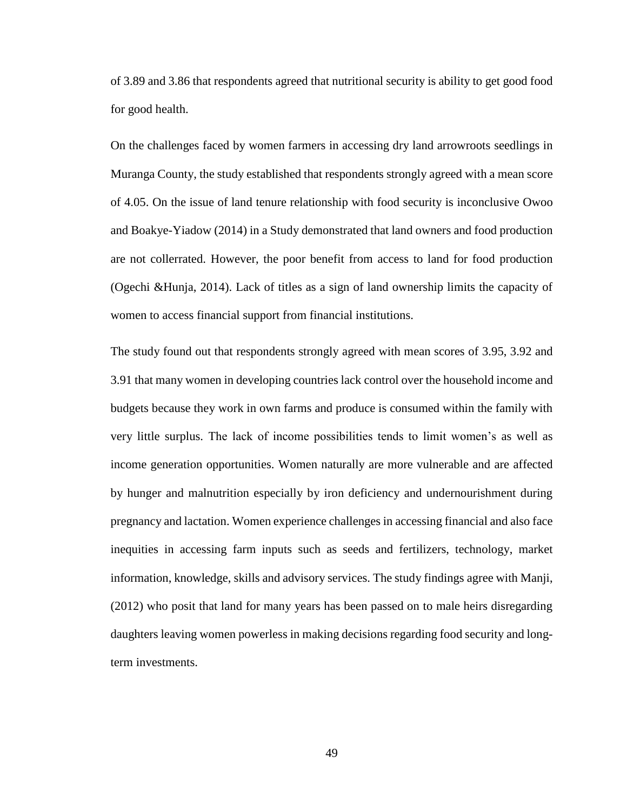of 3.89 and 3.86 that respondents agreed that nutritional security is ability to get good food for good health.

On the challenges faced by women farmers in accessing dry land arrowroots seedlings in Muranga County, the study established that respondents strongly agreed with a mean score of 4.05. On the issue of land tenure relationship with food security is inconclusive Owoo and Boakye-Yiadow (2014) in a Study demonstrated that land owners and food production are not collerrated. However, the poor benefit from access to land for food production (Ogechi &Hunja, 2014). Lack of titles as a sign of land ownership limits the capacity of women to access financial support from financial institutions.

The study found out that respondents strongly agreed with mean scores of 3.95, 3.92 and 3.91 that many women in developing countries lack control over the household income and budgets because they work in own farms and produce is consumed within the family with very little surplus. The lack of income possibilities tends to limit women's as well as income generation opportunities. Women naturally are more vulnerable and are affected by hunger and malnutrition especially by iron deficiency and undernourishment during pregnancy and lactation. Women experience challenges in accessing financial and also face inequities in accessing farm inputs such as seeds and fertilizers, technology, market information, knowledge, skills and advisory services. The study findings agree with Manji, (2012) who posit that land for many years has been passed on to male heirs disregarding daughters leaving women powerless in making decisions regarding food security and longterm investments.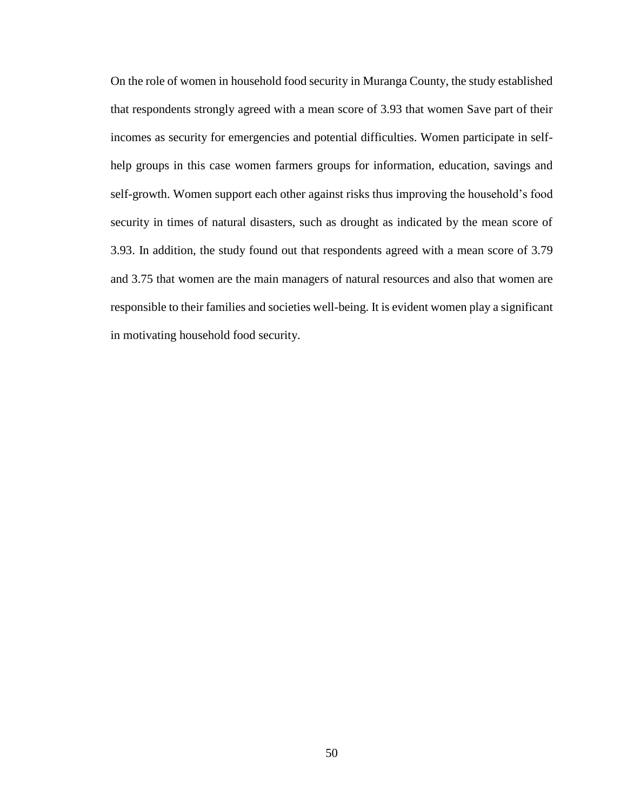On the role of women in household food security in Muranga County, the study established that respondents strongly agreed with a mean score of 3.93 that women Save part of their incomes as security for emergencies and potential difficulties. Women participate in selfhelp groups in this case women farmers groups for information, education, savings and self-growth. Women support each other against risks thus improving the household's food security in times of natural disasters, such as drought as indicated by the mean score of 3.93. In addition, the study found out that respondents agreed with a mean score of 3.79 and 3.75 that women are the main managers of natural resources and also that women are responsible to their families and societies well-being. It is evident women play a significant in motivating household food security.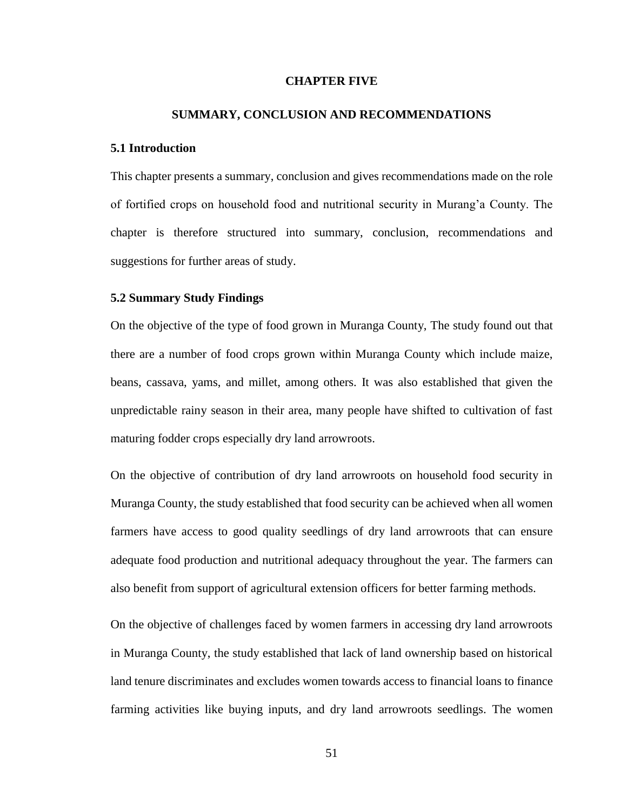### **CHAPTER FIVE**

### **SUMMARY, CONCLUSION AND RECOMMENDATIONS**

### **5.1 Introduction**

This chapter presents a summary, conclusion and gives recommendations made on the role of fortified crops on household food and nutritional security in Murang'a County. The chapter is therefore structured into summary, conclusion, recommendations and suggestions for further areas of study.

### **5.2 Summary Study Findings**

On the objective of the type of food grown in Muranga County, The study found out that there are a number of food crops grown within Muranga County which include maize, beans, cassava, yams, and millet, among others. It was also established that given the unpredictable rainy season in their area, many people have shifted to cultivation of fast maturing fodder crops especially dry land arrowroots.

On the objective of contribution of dry land arrowroots on household food security in Muranga County, the study established that food security can be achieved when all women farmers have access to good quality seedlings of dry land arrowroots that can ensure adequate food production and nutritional adequacy throughout the year. The farmers can also benefit from support of agricultural extension officers for better farming methods.

On the objective of challenges faced by women farmers in accessing dry land arrowroots in Muranga County, the study established that lack of land ownership based on historical land tenure discriminates and excludes women towards access to financial loans to finance farming activities like buying inputs, and dry land arrowroots seedlings. The women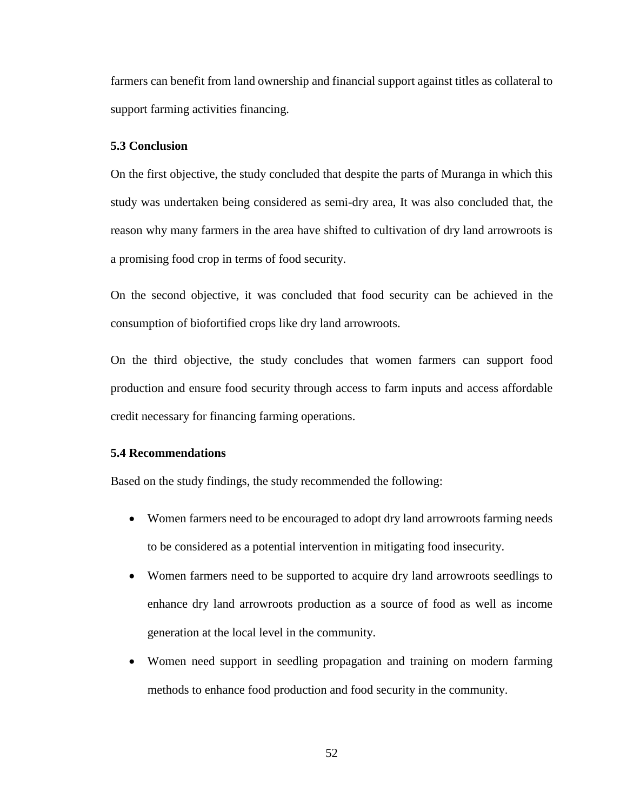farmers can benefit from land ownership and financial support against titles as collateral to support farming activities financing.

### **5.3 Conclusion**

On the first objective, the study concluded that despite the parts of Muranga in which this study was undertaken being considered as semi-dry area, It was also concluded that, the reason why many farmers in the area have shifted to cultivation of dry land arrowroots is a promising food crop in terms of food security.

On the second objective, it was concluded that food security can be achieved in the consumption of biofortified crops like dry land arrowroots.

On the third objective, the study concludes that women farmers can support food production and ensure food security through access to farm inputs and access affordable credit necessary for financing farming operations.

### **5.4 Recommendations**

Based on the study findings, the study recommended the following:

- Women farmers need to be encouraged to adopt dry land arrowroots farming needs to be considered as a potential intervention in mitigating food insecurity.
- Women farmers need to be supported to acquire dry land arrowroots seedlings to enhance dry land arrowroots production as a source of food as well as income generation at the local level in the community.
- Women need support in seedling propagation and training on modern farming methods to enhance food production and food security in the community.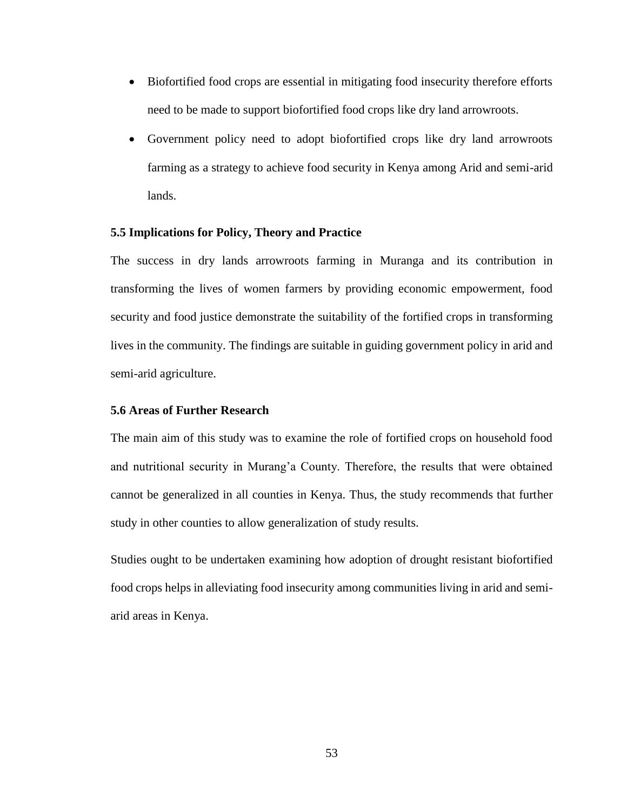- Biofortified food crops are essential in mitigating food insecurity therefore efforts need to be made to support biofortified food crops like dry land arrowroots.
- Government policy need to adopt biofortified crops like dry land arrowroots farming as a strategy to achieve food security in Kenya among Arid and semi-arid lands.

## **5.5 Implications for Policy, Theory and Practice**

The success in dry lands arrowroots farming in Muranga and its contribution in transforming the lives of women farmers by providing economic empowerment, food security and food justice demonstrate the suitability of the fortified crops in transforming lives in the community. The findings are suitable in guiding government policy in arid and semi-arid agriculture.

### **5.6 Areas of Further Research**

The main aim of this study was to examine the role of fortified crops on household food and nutritional security in Murang'a County. Therefore, the results that were obtained cannot be generalized in all counties in Kenya. Thus, the study recommends that further study in other counties to allow generalization of study results.

Studies ought to be undertaken examining how adoption of drought resistant biofortified food crops helps in alleviating food insecurity among communities living in arid and semiarid areas in Kenya.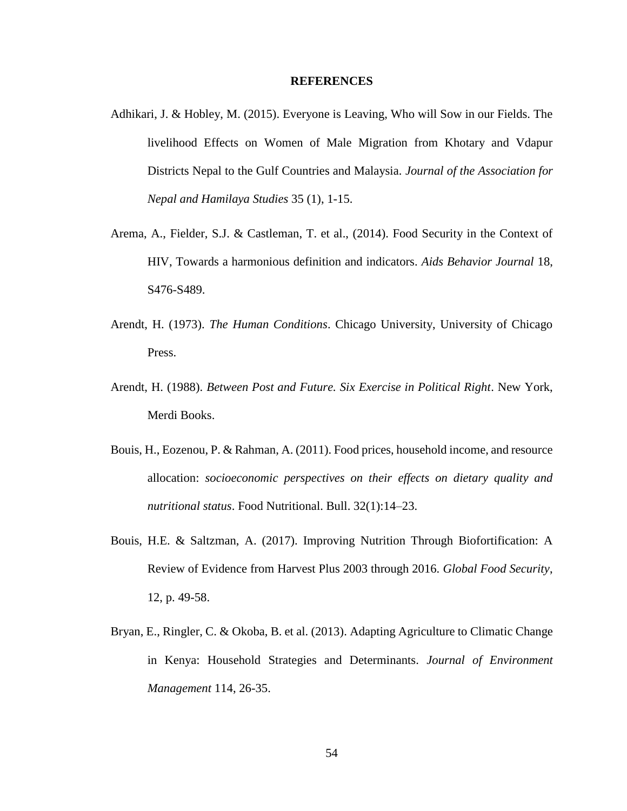### **REFERENCES**

- Adhikari, J. & Hobley, M. (2015). Everyone is Leaving, Who will Sow in our Fields. The livelihood Effects on Women of Male Migration from Khotary and Vdapur Districts Nepal to the Gulf Countries and Malaysia. *Journal of the Association for Nepal and Hamilaya Studies* 35 (1), 1-15.
- Arema, A., Fielder, S.J. & Castleman, T. et al., (2014). Food Security in the Context of HIV, Towards a harmonious definition and indicators. *Aids Behavior Journal* 18, S476-S489.
- Arendt, H. (1973). *The Human Conditions*. Chicago University, University of Chicago Press.
- Arendt, H. (1988). *Between Post and Future. Six Exercise in Political Right*. New York, Merdi Books.
- Bouis, H., Eozenou, P. & Rahman, A. (2011). Food prices, household income, and resource allocation: *socioeconomic perspectives on their effects on dietary quality and nutritional status*. Food Nutritional. Bull. 32(1):14–23.
- Bouis, H.E. & Saltzman, A. (2017). Improving Nutrition Through Biofortification: A Review of Evidence from Harvest Plus 2003 through 2016. *Global Food Security*, 12, p. 49-58.
- Bryan, E., Ringler, C. & Okoba, B. et al. (2013). Adapting Agriculture to Climatic Change in Kenya: Household Strategies and Determinants. *Journal of Environment Management* 114, 26-35.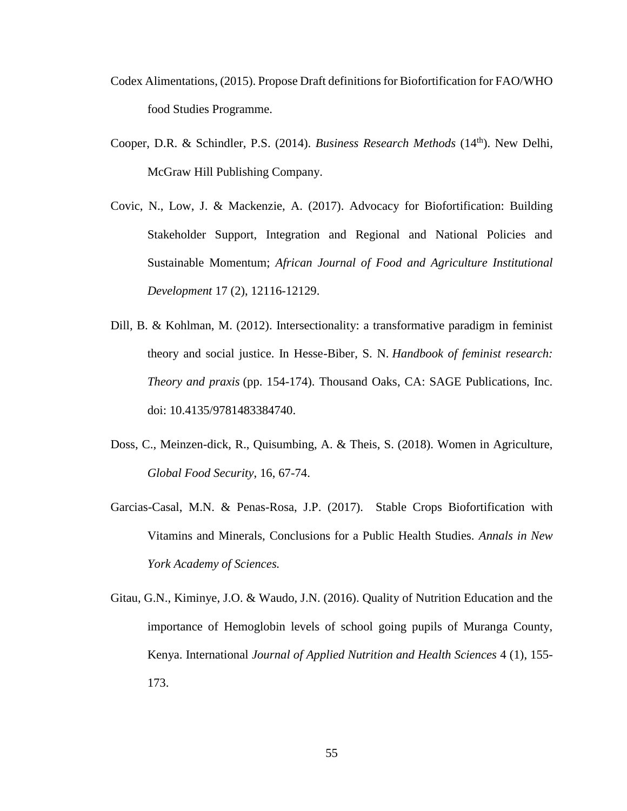- Codex Alimentations, (2015). Propose Draft definitions for Biofortification for FAO/WHO food Studies Programme.
- Cooper, D.R. & Schindler, P.S. (2014). *Business Research Methods* (14<sup>th</sup>). New Delhi, McGraw Hill Publishing Company.
- Covic, N., Low, J. & Mackenzie, A. (2017). Advocacy for Biofortification: Building Stakeholder Support, Integration and Regional and National Policies and Sustainable Momentum; *African Journal of Food and Agriculture Institutional Development* 17 (2), 12116-12129.
- Dill, B. & Kohlman, M. (2012). Intersectionality: a transformative paradigm in feminist theory and social justice. In Hesse-Biber, S. N. *Handbook of feminist research: Theory and praxis* (pp. 154-174). Thousand Oaks, CA: SAGE Publications, Inc. doi: 10.4135/9781483384740.
- Doss, C., Meinzen-dick, R., Quisumbing, A. & Theis, S. (2018). Women in Agriculture, *Global Food Security*, 16, 67-74.
- Garcias-Casal, M.N. & Penas-Rosa, J.P. (2017). Stable Crops Biofortification with Vitamins and Minerals, Conclusions for a Public Health Studies. *Annals in New York Academy of Sciences.*
- Gitau, G.N., Kiminye, J.O. & Waudo, J.N. (2016). Quality of Nutrition Education and the importance of Hemoglobin levels of school going pupils of Muranga County, Kenya. International *Journal of Applied Nutrition and Health Sciences* 4 (1), 155- 173.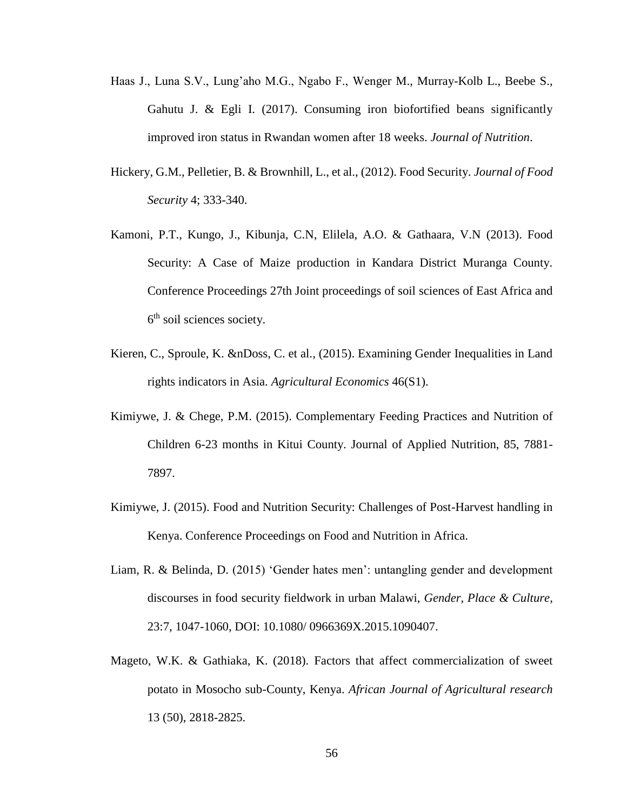- Haas J., Luna S.V., Lung'aho M.G., Ngabo F., Wenger M., Murray-Kolb L., Beebe S., Gahutu J. & Egli I. (2017). Consuming iron biofortified beans significantly improved iron status in Rwandan women after 18 weeks. *Journal of Nutrition*.
- Hickery, G.M., Pelletier, B. & Brownhill, L., et al., (2012). Food Security. *Journal of Food Security* 4; 333-340.
- Kamoni, P.T., Kungo, J., Kibunja, C.N, Elilela, A.O. & Gathaara, V.N (2013). Food Security: A Case of Maize production in Kandara District Muranga County. Conference Proceedings 27th Joint proceedings of soil sciences of East Africa and 6<sup>th</sup> soil sciences society.
- Kieren, C., Sproule, K. &nDoss, C. et al., (2015). Examining Gender Inequalities in Land rights indicators in Asia. *Agricultural Economics* 46(S1).
- Kimiywe, J. & Chege, P.M. (2015). Complementary Feeding Practices and Nutrition of Children 6-23 months in Kitui County. Journal of Applied Nutrition, 85, 7881- 7897.
- Kimiywe, J. (2015). Food and Nutrition Security: Challenges of Post-Harvest handling in Kenya. Conference Proceedings on Food and Nutrition in Africa.
- Liam, R. & Belinda, D. (2015) 'Gender hates men': untangling gender and development discourses in food security fieldwork in urban Malawi, *Gender, Place & Culture*, 23:7, 1047-1060, DOI: 10.1080/ 0966369X.2015.1090407.
- Mageto, W.K. & Gathiaka, K. (2018). Factors that affect commercialization of sweet potato in Mosocho sub-County, Kenya. *African Journal of Agricultural research* 13 (50), 2818-2825.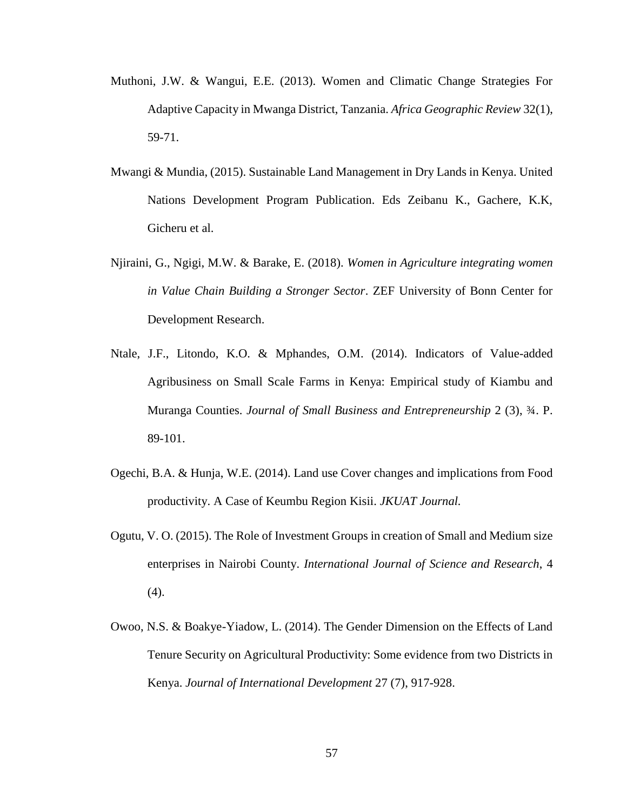- Muthoni, J.W. & Wangui, E.E. (2013). Women and Climatic Change Strategies For Adaptive Capacity in Mwanga District, Tanzania. *Africa Geographic Review* 32(1), 59-71.
- Mwangi & Mundia, (2015). Sustainable Land Management in Dry Lands in Kenya. United Nations Development Program Publication. Eds Zeibanu K., Gachere, K.K, Gicheru et al.
- Njiraini, G., Ngigi, M.W. & Barake, E. (2018). *Women in Agriculture integrating women in Value Chain Building a Stronger Sector*. ZEF University of Bonn Center for Development Research.
- Ntale, J.F., Litondo, K.O. & Mphandes, O.M. (2014). Indicators of Value-added Agribusiness on Small Scale Farms in Kenya: Empirical study of Kiambu and Muranga Counties. *Journal of Small Business and Entrepreneurship* 2 (3), ¾. P. 89-101.
- Ogechi, B.A. & Hunja, W.E. (2014). Land use Cover changes and implications from Food productivity. A Case of Keumbu Region Kisii. *JKUAT Journal.*
- Ogutu, V. O. (2015). The Role of Investment Groups in creation of Small and Medium size enterprises in Nairobi County. *International Journal of Science and Research*, 4 (4).
- Owoo, N.S. & Boakye-Yiadow, L. (2014). The Gender Dimension on the Effects of Land Tenure Security on Agricultural Productivity: Some evidence from two Districts in Kenya. *Journal of International Development* 27 (7), 917-928.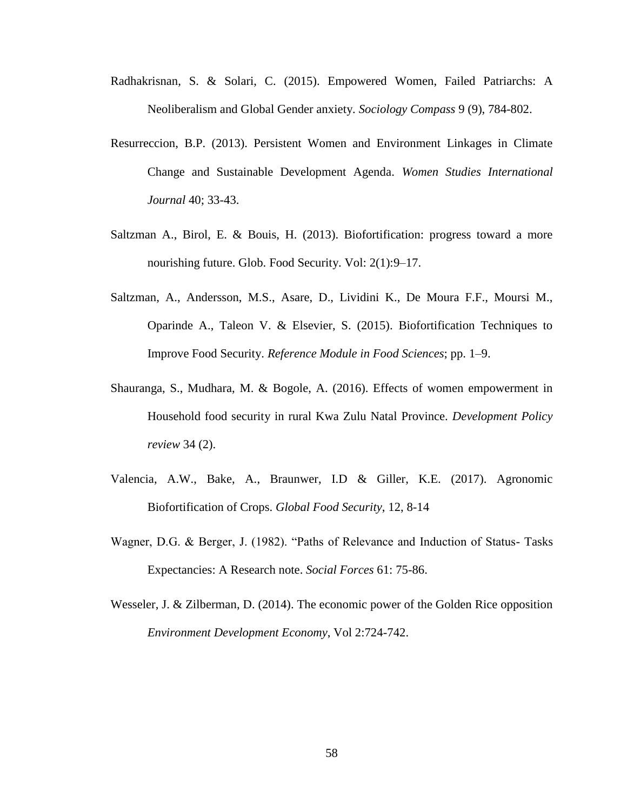- Radhakrisnan, S. & Solari, C. (2015). Empowered Women, Failed Patriarchs: A Neoliberalism and Global Gender anxiety. *Sociology Compass* 9 (9), 784-802.
- Resurreccion, B.P. (2013). Persistent Women and Environment Linkages in Climate Change and Sustainable Development Agenda. *Women Studies International Journal* 40; 33-43.
- Saltzman A., Birol, E. & Bouis, H. (2013). Biofortification: progress toward a more nourishing future. Glob. Food Security. Vol: 2(1):9–17.
- Saltzman, A., Andersson, M.S., Asare, D., Lividini K., De Moura F.F., Moursi M., Oparinde A., Taleon V. & Elsevier, S. (2015). Biofortification Techniques to Improve Food Security. *Reference Module in Food Sciences*; pp. 1–9.
- Shauranga, S., Mudhara, M. & Bogole, A. (2016). Effects of women empowerment in Household food security in rural Kwa Zulu Natal Province. *Development Policy review* 34 (2).
- Valencia, A.W., Bake, A., Braunwer, I.D & Giller, K.E. (2017). Agronomic Biofortification of Crops. *Global Food Security*, 12, 8-14
- Wagner, D.G. & Berger, J. (1982). "Paths of Relevance and Induction of Status- Tasks Expectancies: A Research note. *Social Forces* 61: 75-86.
- Wesseler, J. & Zilberman, D. (2014). The economic power of the Golden Rice opposition *Environment Development Economy*, Vol 2:724-742.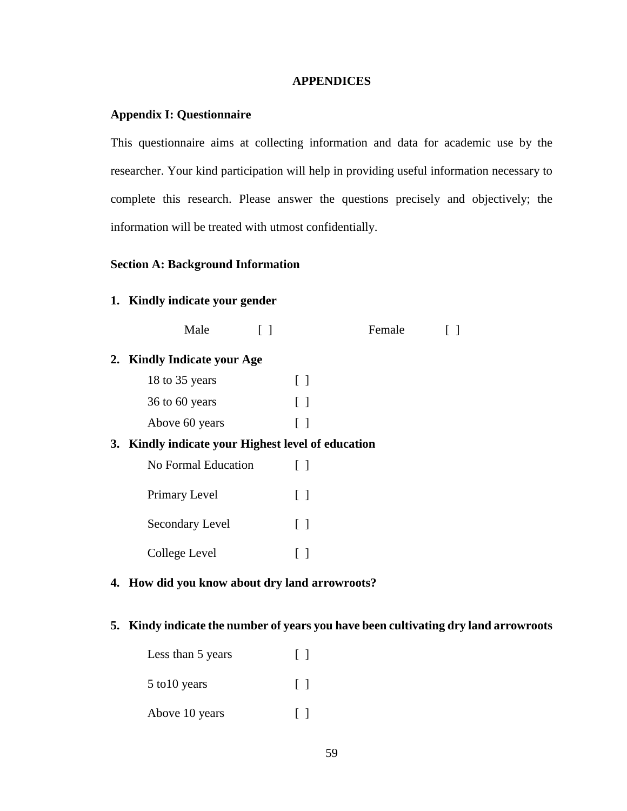## **APPENDICES**

# **Appendix I: Questionnaire**

This questionnaire aims at collecting information and data for academic use by the researcher. Your kind participation will help in providing useful information necessary to complete this research. Please answer the questions precisely and objectively; the information will be treated with utmost confidentially.

# **Section A: Background Information**

# **1. Kindly indicate your gender**

|                                                    | Male                        |                   | Female |  |
|----------------------------------------------------|-----------------------------|-------------------|--------|--|
|                                                    | 2. Kindly Indicate your Age |                   |        |  |
|                                                    | 18 to 35 years              | $\lceil$ $\rceil$ |        |  |
|                                                    | 36 to 60 years              | $\lceil$ $\rceil$ |        |  |
|                                                    | Above 60 years              | $\lceil$ $\rceil$ |        |  |
| 3. Kindly indicate your Highest level of education |                             |                   |        |  |
|                                                    | No Formal Education         | $\lceil$ $\rceil$ |        |  |
|                                                    | Primary Level               | $\lceil$ $\rceil$ |        |  |
|                                                    | Secondary Level             | $\lceil$ $\rceil$ |        |  |
|                                                    | College Level               | $\Box$            |        |  |
|                                                    |                             |                   |        |  |

# **4. How did you know about dry land arrowroots?**

## **5. Kindy indicate the number of years you have been cultivating dry land arrowroots**

| Less than 5 years | $\Box$  |
|-------------------|---------|
| 5 to 10 years     | $\perp$ |
| Above 10 years    |         |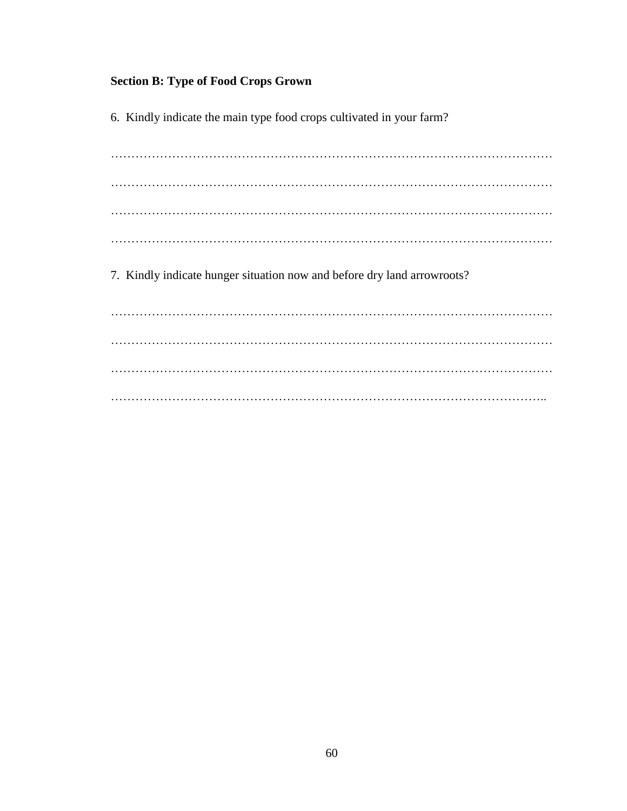# **Section B: Type of Food Crops Grown**

6. Kindly indicate the main type food crops cultivated in your farm?

……………………………………………………………………………………………… ……………………………………………………………………………………………… ……………………………………………………………………………………………… ………………………………………………………………………………………………

7. Kindly indicate hunger situation now and before dry land arrowroots?

……………………………………………………………………………………………… ……………………………………………………………………………………………… ……………………………………………………………………………………………… ……………………………………………………………………………………………..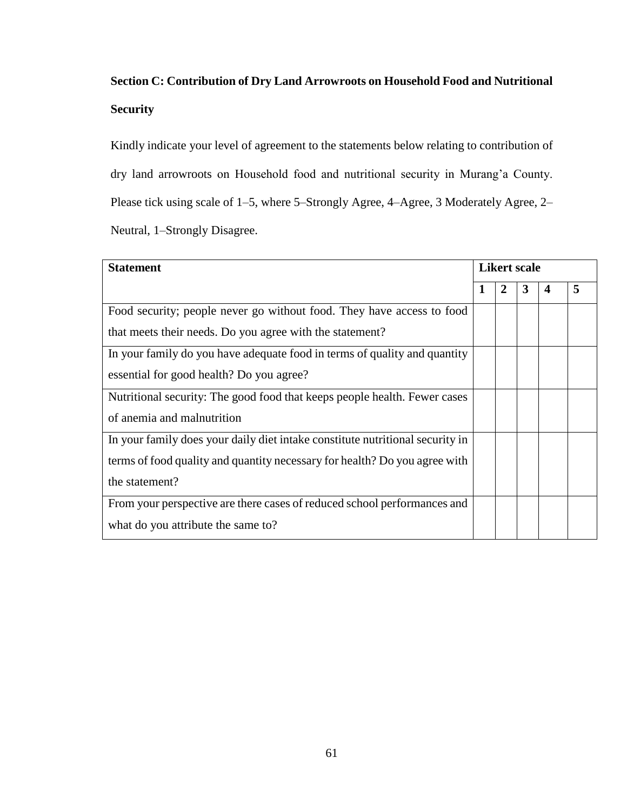# **Section C: Contribution of Dry Land Arrowroots on Household Food and Nutritional Security**

Kindly indicate your level of agreement to the statements below relating to contribution of dry land arrowroots on Household food and nutritional security in Murang'a County. Please tick using scale of 1–5, where 5–Strongly Agree, 4–Agree, 3 Moderately Agree, 2– Neutral, 1–Strongly Disagree.

| <b>Statement</b>                                                              |   |                | <b>Likert scale</b> |   |   |
|-------------------------------------------------------------------------------|---|----------------|---------------------|---|---|
|                                                                               | 1 | $\overline{2}$ | 3                   | 4 | 5 |
| Food security; people never go without food. They have access to food         |   |                |                     |   |   |
| that meets their needs. Do you agree with the statement?                      |   |                |                     |   |   |
| In your family do you have adequate food in terms of quality and quantity     |   |                |                     |   |   |
| essential for good health? Do you agree?                                      |   |                |                     |   |   |
| Nutritional security: The good food that keeps people health. Fewer cases     |   |                |                     |   |   |
| of anemia and malnutrition                                                    |   |                |                     |   |   |
| In your family does your daily diet intake constitute nutritional security in |   |                |                     |   |   |
| terms of food quality and quantity necessary for health? Do you agree with    |   |                |                     |   |   |
| the statement?                                                                |   |                |                     |   |   |
| From your perspective are there cases of reduced school performances and      |   |                |                     |   |   |
| what do you attribute the same to?                                            |   |                |                     |   |   |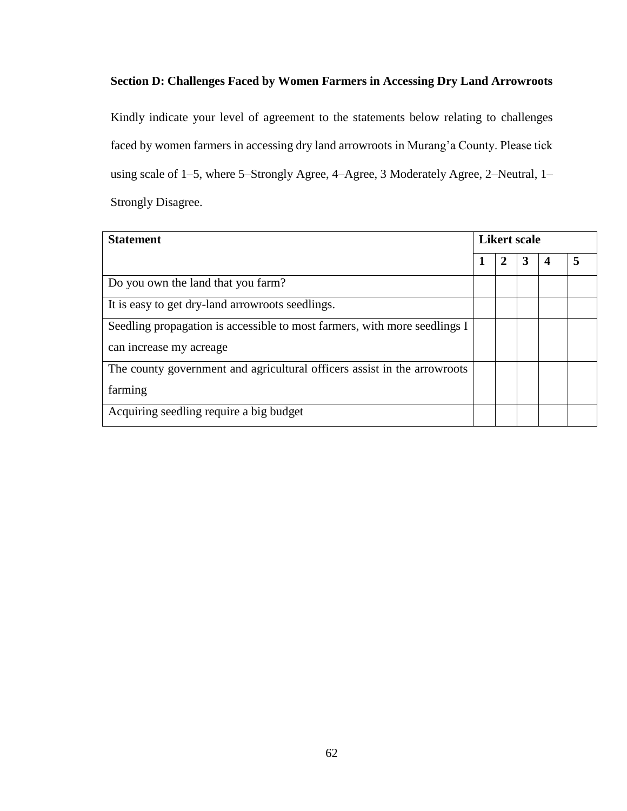# **Section D: Challenges Faced by Women Farmers in Accessing Dry Land Arrowroots**

Kindly indicate your level of agreement to the statements below relating to challenges faced by women farmers in accessing dry land arrowroots in Murang'a County. Please tick using scale of 1–5, where 5–Strongly Agree, 4–Agree, 3 Moderately Agree, 2–Neutral, 1– Strongly Disagree.

| <b>Statement</b>                                                          |   |   | <b>Likert scale</b> |   |
|---------------------------------------------------------------------------|---|---|---------------------|---|
|                                                                           | 1 | 2 | 3                   | 5 |
| Do you own the land that you farm?                                        |   |   |                     |   |
| It is easy to get dry-land arrowroots seedlings.                          |   |   |                     |   |
| Seedling propagation is accessible to most farmers, with more seedlings I |   |   |                     |   |
| can increase my acreage                                                   |   |   |                     |   |
| The county government and agricultural officers assist in the arrowroots  |   |   |                     |   |
| farming                                                                   |   |   |                     |   |
| Acquiring seedling require a big budget                                   |   |   |                     |   |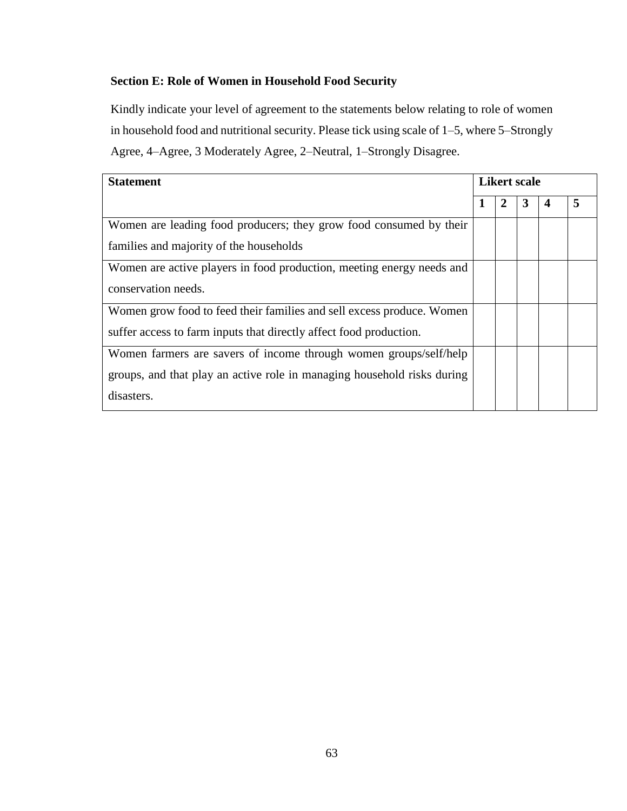# **Section E: Role of Women in Household Food Security**

Kindly indicate your level of agreement to the statements below relating to role of women in household food and nutritional security. Please tick using scale of 1–5, where 5–Strongly Agree, 4–Agree, 3 Moderately Agree, 2–Neutral, 1–Strongly Disagree.

| <b>Statement</b>                                                        |   |   | <b>Likert scale</b> |   |
|-------------------------------------------------------------------------|---|---|---------------------|---|
|                                                                         | 1 | 2 | 3                   | 5 |
| Women are leading food producers; they grow food consumed by their      |   |   |                     |   |
| families and majority of the households                                 |   |   |                     |   |
| Women are active players in food production, meeting energy needs and   |   |   |                     |   |
| conservation needs.                                                     |   |   |                     |   |
| Women grow food to feed their families and sell excess produce. Women   |   |   |                     |   |
| suffer access to farm inputs that directly affect food production.      |   |   |                     |   |
| Women farmers are savers of income through women groups/self/help       |   |   |                     |   |
| groups, and that play an active role in managing household risks during |   |   |                     |   |
| disasters.                                                              |   |   |                     |   |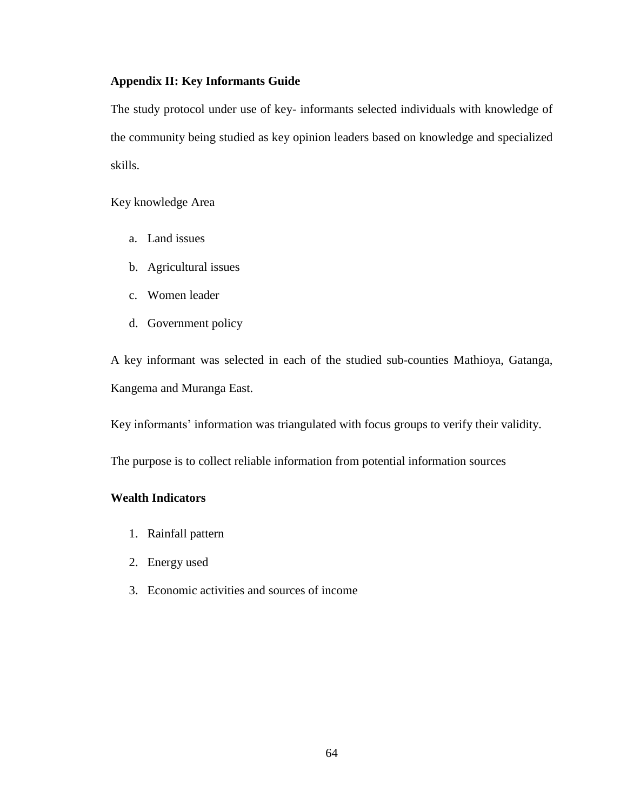## **Appendix II: Key Informants Guide**

The study protocol under use of key- informants selected individuals with knowledge of the community being studied as key opinion leaders based on knowledge and specialized skills.

Key knowledge Area

- a. Land issues
- b. Agricultural issues
- c. Women leader
- d. Government policy

A key informant was selected in each of the studied sub-counties Mathioya, Gatanga, Kangema and Muranga East.

Key informants' information was triangulated with focus groups to verify their validity.

The purpose is to collect reliable information from potential information sources

## **Wealth Indicators**

- 1. Rainfall pattern
- 2. Energy used
- 3. Economic activities and sources of income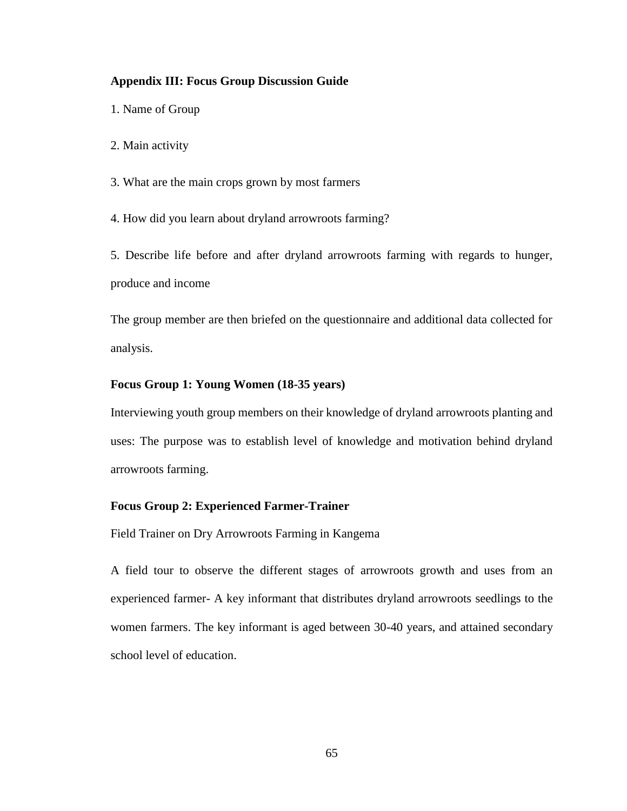#### **Appendix III: Focus Group Discussion Guide**

1. Name of Group

2. Main activity

3. What are the main crops grown by most farmers

4. How did you learn about dryland arrowroots farming?

5. Describe life before and after dryland arrowroots farming with regards to hunger, produce and income

The group member are then briefed on the questionnaire and additional data collected for analysis.

#### **Focus Group 1: Young Women (18-35 years)**

Interviewing youth group members on their knowledge of dryland arrowroots planting and uses: The purpose was to establish level of knowledge and motivation behind dryland arrowroots farming.

#### **Focus Group 2: Experienced Farmer-Trainer**

Field Trainer on Dry Arrowroots Farming in Kangema

A field tour to observe the different stages of arrowroots growth and uses from an experienced farmer- A key informant that distributes dryland arrowroots seedlings to the women farmers. The key informant is aged between 30-40 years, and attained secondary school level of education.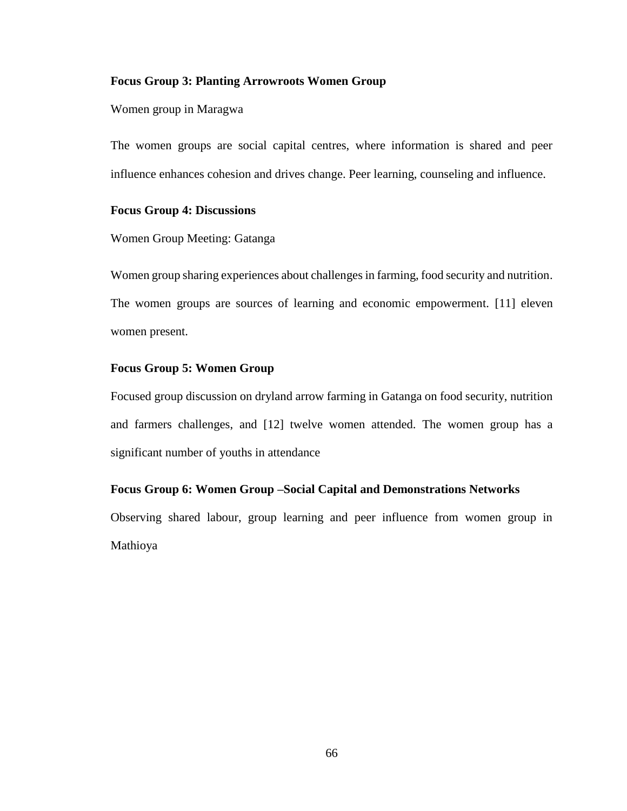#### **Focus Group 3: Planting Arrowroots Women Group**

#### Women group in Maragwa

The women groups are social capital centres, where information is shared and peer influence enhances cohesion and drives change. Peer learning, counseling and influence.

## **Focus Group 4: Discussions**

Women Group Meeting: Gatanga

Women group sharing experiences about challenges in farming, food security and nutrition. The women groups are sources of learning and economic empowerment. [11] eleven women present.

#### **Focus Group 5: Women Group**

Focused group discussion on dryland arrow farming in Gatanga on food security, nutrition and farmers challenges, and [12] twelve women attended. The women group has a significant number of youths in attendance

## **Focus Group 6: Women Group –Social Capital and Demonstrations Networks**

Observing shared labour, group learning and peer influence from women group in Mathioya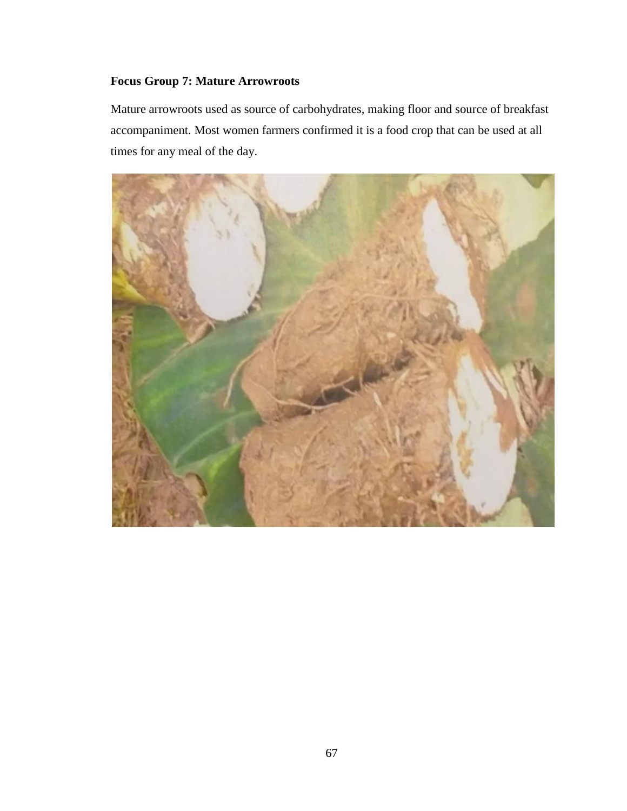# **Focus Group 7: Mature Arrowroots**

Mature arrowroots used as source of carbohydrates, making floor and source of breakfast accompaniment. Most women farmers confirmed it is a food crop that can be used at all times for any meal of the day.

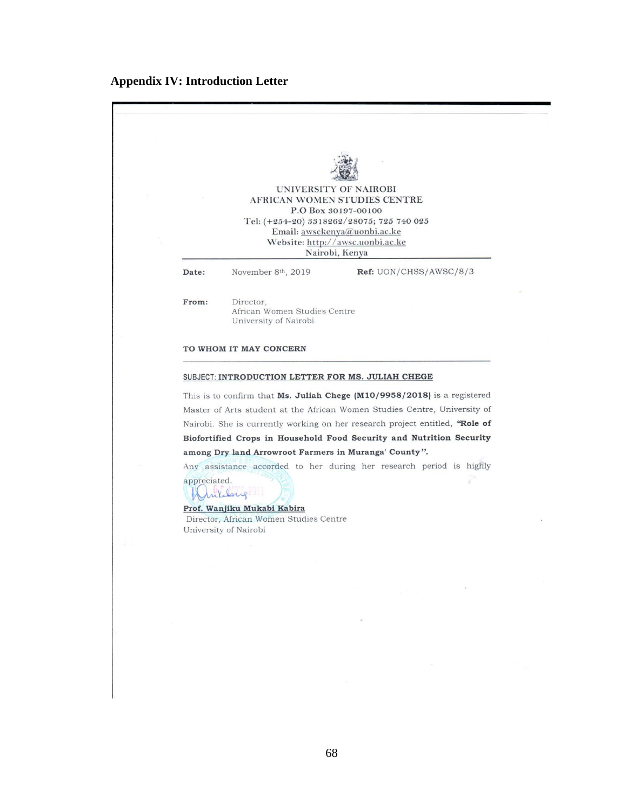# **Appendix IV: Introduction Letter**

|              |                                                                                       | UNIVERSITY OF NAIROBI                                                              |  |
|--------------|---------------------------------------------------------------------------------------|------------------------------------------------------------------------------------|--|
|              |                                                                                       | AFRICAN WOMEN STUDIES CENTRE<br>P.O Box 30197-00100                                |  |
|              |                                                                                       | Tel: (+254-20) 3318262/28075; 725 740 025                                          |  |
|              |                                                                                       | Email: awsckenya@uonbi.ac.ke<br>Website: http://awsc.uonbi.ac.ke<br>Nairobi, Kenya |  |
| Date:        | November 8th, 2019                                                                    | Ref: UON/CHSS/AWSC/8/3                                                             |  |
|              |                                                                                       |                                                                                    |  |
| From:        | Director,<br>African Women Studies Centre<br>University of Nairobi                    |                                                                                    |  |
|              |                                                                                       |                                                                                    |  |
|              | TO WHOM IT MAY CONCERN                                                                |                                                                                    |  |
|              | SUBJECT: INTRODUCTION LETTER FOR MS. JULIAH CHEGE                                     |                                                                                    |  |
|              | This is to confirm that Ms. Juliah Chege $(M10/9958/2018)$ is a registered            |                                                                                    |  |
|              | Master of Arts student at the African Women Studies Centre, University of             |                                                                                    |  |
|              | Nairobi. She is currently working on her research project entitled, "Role of          |                                                                                    |  |
|              | Biofortified Crops in Household Food Security and Nutrition Security                  |                                                                                    |  |
|              | among Dry land Arrowroot Farmers in Muranga' County".                                 |                                                                                    |  |
| appreciated. | Any assistance accorded to her during her research period is highly<br><i>mildrug</i> |                                                                                    |  |
|              | Prof. Wanjiku Mukabi Kabira                                                           |                                                                                    |  |
|              | Director, African Women Studies Centre<br>University of Nairobi                       |                                                                                    |  |
|              |                                                                                       |                                                                                    |  |
|              |                                                                                       |                                                                                    |  |
|              |                                                                                       |                                                                                    |  |
|              |                                                                                       |                                                                                    |  |
|              |                                                                                       |                                                                                    |  |